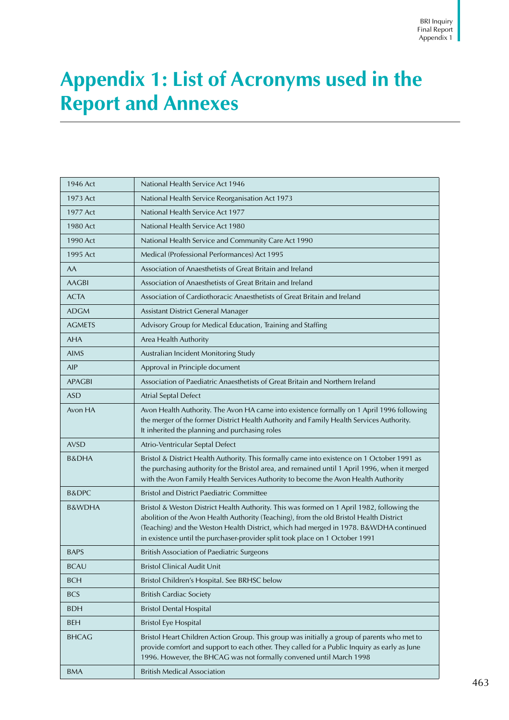# **Appendix 1: List of Acronyms used in the Report and Annexes**

| 1946 Act          | National Health Service Act 1946                                                                                                                                                                                                                                                                                                                               |  |
|-------------------|----------------------------------------------------------------------------------------------------------------------------------------------------------------------------------------------------------------------------------------------------------------------------------------------------------------------------------------------------------------|--|
| 1973 Act          | National Health Service Reorganisation Act 1973                                                                                                                                                                                                                                                                                                                |  |
| 1977 Act          | National Health Service Act 1977                                                                                                                                                                                                                                                                                                                               |  |
| 1980 Act          | National Health Service Act 1980                                                                                                                                                                                                                                                                                                                               |  |
| 1990 Act          | National Health Service and Community Care Act 1990                                                                                                                                                                                                                                                                                                            |  |
| 1995 Act          | Medical (Professional Performances) Act 1995                                                                                                                                                                                                                                                                                                                   |  |
| AA                | Association of Anaesthetists of Great Britain and Ireland                                                                                                                                                                                                                                                                                                      |  |
| <b>AAGBI</b>      | Association of Anaesthetists of Great Britain and Ireland                                                                                                                                                                                                                                                                                                      |  |
| <b>ACTA</b>       | Association of Cardiothoracic Anaesthetists of Great Britain and Ireland                                                                                                                                                                                                                                                                                       |  |
| <b>ADGM</b>       | Assistant District General Manager                                                                                                                                                                                                                                                                                                                             |  |
| <b>AGMETS</b>     | Advisory Group for Medical Education, Training and Staffing                                                                                                                                                                                                                                                                                                    |  |
| <b>AHA</b>        | Area Health Authority                                                                                                                                                                                                                                                                                                                                          |  |
| <b>AIMS</b>       | Australian Incident Monitoring Study                                                                                                                                                                                                                                                                                                                           |  |
| AIP               | Approval in Principle document                                                                                                                                                                                                                                                                                                                                 |  |
| <b>APAGBI</b>     | Association of Paediatric Anaesthetists of Great Britain and Northern Ireland                                                                                                                                                                                                                                                                                  |  |
| <b>ASD</b>        | <b>Atrial Septal Defect</b>                                                                                                                                                                                                                                                                                                                                    |  |
| Avon HA           | Avon Health Authority. The Avon HA came into existence formally on 1 April 1996 following<br>the merger of the former District Health Authority and Family Health Services Authority.<br>It inherited the planning and purchasing roles                                                                                                                        |  |
| <b>AVSD</b>       | Atrio-Ventricular Septal Defect                                                                                                                                                                                                                                                                                                                                |  |
| B&DHA             | Bristol & District Health Authority. This formally came into existence on 1 October 1991 as<br>the purchasing authority for the Bristol area, and remained until 1 April 1996, when it merged<br>with the Avon Family Health Services Authority to become the Avon Health Authority                                                                            |  |
| <b>B&amp;DPC</b>  | <b>Bristol and District Paediatric Committee</b>                                                                                                                                                                                                                                                                                                               |  |
| <b>B&amp;WDHA</b> | Bristol & Weston District Health Authority. This was formed on 1 April 1982, following the<br>abolition of the Avon Health Authority (Teaching), from the old Bristol Health District<br>(Teaching) and the Weston Health District, which had merged in 1978. B&WDHA continued<br>in existence until the purchaser-provider split took place on 1 October 1991 |  |
| <b>BAPS</b>       | <b>British Association of Paediatric Surgeons</b>                                                                                                                                                                                                                                                                                                              |  |
| <b>BCAU</b>       | <b>Bristol Clinical Audit Unit</b>                                                                                                                                                                                                                                                                                                                             |  |
| <b>BCH</b>        | Bristol Children's Hospital. See BRHSC below                                                                                                                                                                                                                                                                                                                   |  |
| <b>BCS</b>        | <b>British Cardiac Society</b>                                                                                                                                                                                                                                                                                                                                 |  |
| <b>BDH</b>        | <b>Bristol Dental Hospital</b>                                                                                                                                                                                                                                                                                                                                 |  |
| <b>BEH</b>        | <b>Bristol Eye Hospital</b>                                                                                                                                                                                                                                                                                                                                    |  |
| <b>BHCAG</b>      | Bristol Heart Children Action Group. This group was initially a group of parents who met to<br>provide comfort and support to each other. They called for a Public Inquiry as early as June<br>1996. However, the BHCAG was not formally convened until March 1998                                                                                             |  |
| <b>BMA</b>        | <b>British Medical Association</b>                                                                                                                                                                                                                                                                                                                             |  |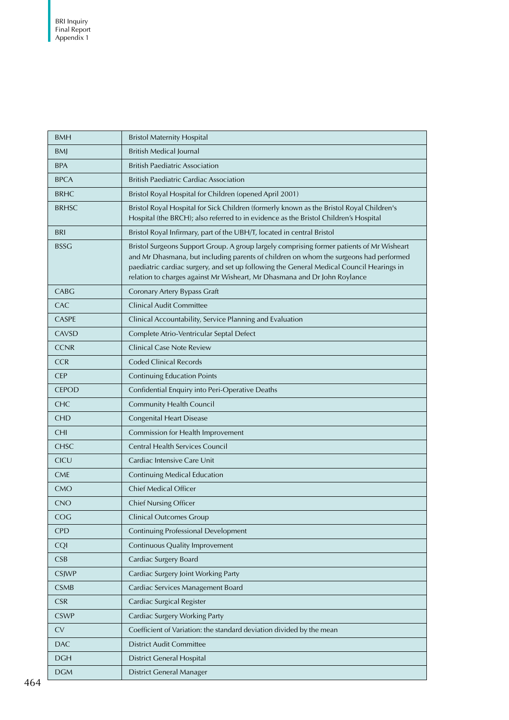| <b>BMH</b>   | <b>Bristol Maternity Hospital</b>                                                                                                                                                                                                                                                                                                                           |  |
|--------------|-------------------------------------------------------------------------------------------------------------------------------------------------------------------------------------------------------------------------------------------------------------------------------------------------------------------------------------------------------------|--|
| BMJ          | <b>British Medical Journal</b>                                                                                                                                                                                                                                                                                                                              |  |
| <b>BPA</b>   | <b>British Paediatric Association</b>                                                                                                                                                                                                                                                                                                                       |  |
| <b>BPCA</b>  | <b>British Paediatric Cardiac Association</b>                                                                                                                                                                                                                                                                                                               |  |
| <b>BRHC</b>  | Bristol Royal Hospital for Children (opened April 2001)                                                                                                                                                                                                                                                                                                     |  |
| <b>BRHSC</b> | Bristol Royal Hospital for Sick Children (formerly known as the Bristol Royal Children's<br>Hospital (the BRCH); also referred to in evidence as the Bristol Children's Hospital                                                                                                                                                                            |  |
| <b>BRI</b>   | Bristol Royal Infirmary, part of the UBH/T, located in central Bristol                                                                                                                                                                                                                                                                                      |  |
| <b>BSSG</b>  | Bristol Surgeons Support Group. A group largely comprising former patients of Mr Wisheart<br>and Mr Dhasmana, but including parents of children on whom the surgeons had performed<br>paediatric cardiac surgery, and set up following the General Medical Council Hearings in<br>relation to charges against Mr Wisheart, Mr Dhasmana and Dr John Roylance |  |
| CABG         | Coronary Artery Bypass Graft                                                                                                                                                                                                                                                                                                                                |  |
| CAC          | <b>Clinical Audit Committee</b>                                                                                                                                                                                                                                                                                                                             |  |
| <b>CASPE</b> | Clinical Accountability, Service Planning and Evaluation                                                                                                                                                                                                                                                                                                    |  |
| CAVSD        | Complete Atrio-Ventricular Septal Defect                                                                                                                                                                                                                                                                                                                    |  |
| <b>CCNR</b>  | <b>Clinical Case Note Review</b>                                                                                                                                                                                                                                                                                                                            |  |
| <b>CCR</b>   | <b>Coded Clinical Records</b>                                                                                                                                                                                                                                                                                                                               |  |
| <b>CEP</b>   | <b>Continuing Education Points</b>                                                                                                                                                                                                                                                                                                                          |  |
| <b>CEPOD</b> | Confidential Enquiry into Peri-Operative Deaths                                                                                                                                                                                                                                                                                                             |  |
| <b>CHC</b>   | Community Health Council                                                                                                                                                                                                                                                                                                                                    |  |
| <b>CHD</b>   | <b>Congenital Heart Disease</b>                                                                                                                                                                                                                                                                                                                             |  |
| <b>CHI</b>   | Commission for Health Improvement                                                                                                                                                                                                                                                                                                                           |  |
| <b>CHSC</b>  | <b>Central Health Services Council</b>                                                                                                                                                                                                                                                                                                                      |  |
| <b>CICU</b>  | Cardiac Intensive Care Unit                                                                                                                                                                                                                                                                                                                                 |  |
| <b>CME</b>   | <b>Continuing Medical Education</b>                                                                                                                                                                                                                                                                                                                         |  |
| <b>CMO</b>   | <b>Chief Medical Officer</b>                                                                                                                                                                                                                                                                                                                                |  |
| <b>CNO</b>   | <b>Chief Nursing Officer</b>                                                                                                                                                                                                                                                                                                                                |  |
| COG          | <b>Clinical Outcomes Group</b>                                                                                                                                                                                                                                                                                                                              |  |
| <b>CPD</b>   | <b>Continuing Professional Development</b>                                                                                                                                                                                                                                                                                                                  |  |
| <b>CQI</b>   | Continuous Quality Improvement                                                                                                                                                                                                                                                                                                                              |  |
| <b>CSB</b>   | Cardiac Surgery Board                                                                                                                                                                                                                                                                                                                                       |  |
| <b>CSJWP</b> | Cardiac Surgery Joint Working Party                                                                                                                                                                                                                                                                                                                         |  |
| <b>CSMB</b>  | Cardiac Services Management Board                                                                                                                                                                                                                                                                                                                           |  |
| <b>CSR</b>   | Cardiac Surgical Register                                                                                                                                                                                                                                                                                                                                   |  |
| <b>CSWP</b>  | Cardiac Surgery Working Party                                                                                                                                                                                                                                                                                                                               |  |
| CV           | Coefficient of Variation: the standard deviation divided by the mean                                                                                                                                                                                                                                                                                        |  |
| <b>DAC</b>   | <b>District Audit Committee</b>                                                                                                                                                                                                                                                                                                                             |  |
| <b>DGH</b>   | <b>District General Hospital</b>                                                                                                                                                                                                                                                                                                                            |  |
| <b>DGM</b>   | <b>District General Manager</b>                                                                                                                                                                                                                                                                                                                             |  |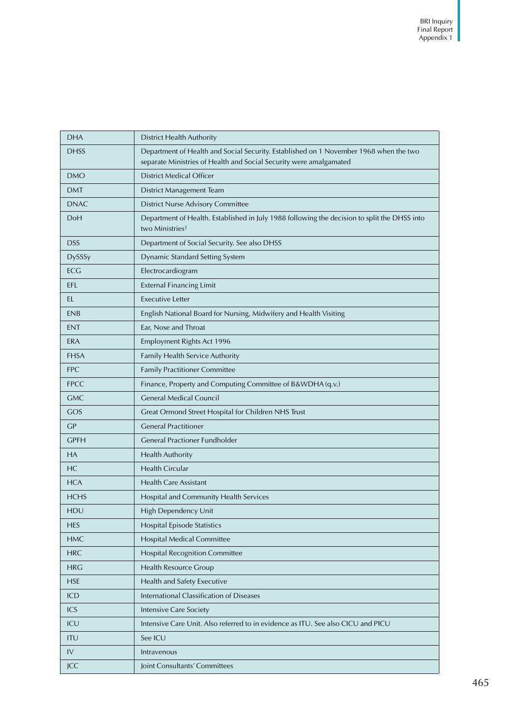L

| <b>DHA</b>    | <b>District Health Authority</b>                                                                                                                            |  |
|---------------|-------------------------------------------------------------------------------------------------------------------------------------------------------------|--|
| <b>DHSS</b>   | Department of Health and Social Security. Established on 1 November 1968 when the two<br>separate Ministries of Health and Social Security were amalgamated |  |
| <b>DMO</b>    | <b>District Medical Officer</b>                                                                                                                             |  |
| <b>DMT</b>    | <b>District Management Team</b>                                                                                                                             |  |
| <b>DNAC</b>   | <b>District Nurse Advisory Committee</b>                                                                                                                    |  |
| DoH           | Department of Health. Established in July 1988 following the decision to split the DHSS into<br>two Ministries <sup>1</sup>                                 |  |
| <b>DSS</b>    | Department of Social Security. See also DHSS                                                                                                                |  |
| <b>DySSSy</b> | <b>Dynamic Standard Setting System</b>                                                                                                                      |  |
| <b>ECG</b>    | Electrocardiogram                                                                                                                                           |  |
| EFL           | <b>External Financing Limit</b>                                                                                                                             |  |
| EL            | <b>Executive Letter</b>                                                                                                                                     |  |
| <b>ENB</b>    | English National Board for Nursing, Midwifery and Health Visiting                                                                                           |  |
| <b>ENT</b>    | Ear, Nose and Throat                                                                                                                                        |  |
| ERA           | Employment Rights Act 1996                                                                                                                                  |  |
| <b>FHSA</b>   | Family Health Service Authority                                                                                                                             |  |
| <b>FPC</b>    | <b>Family Practitioner Committee</b>                                                                                                                        |  |
| <b>FPCC</b>   | Finance, Property and Computing Committee of B&WDHA (q.v.)                                                                                                  |  |
| <b>GMC</b>    | <b>General Medical Council</b>                                                                                                                              |  |
| GOS           | Great Ormond Street Hospital for Children NHS Trust                                                                                                         |  |
| GP            | <b>General Practitioner</b>                                                                                                                                 |  |
| <b>GPFH</b>   | General Practioner Fundholder                                                                                                                               |  |
| НA            | Health Authority                                                                                                                                            |  |
| HC            | <b>Health Circular</b>                                                                                                                                      |  |
| <b>HCA</b>    | <b>Health Care Assistant</b>                                                                                                                                |  |
| <b>HCHS</b>   | Hospital and Community Health Services                                                                                                                      |  |
| HDU           | High Dependency Unit                                                                                                                                        |  |
| <b>HES</b>    | <b>Hospital Episode Statistics</b>                                                                                                                          |  |
| <b>HMC</b>    | <b>Hospital Medical Committee</b>                                                                                                                           |  |
| <b>HRC</b>    | <b>Hospital Recognition Committee</b>                                                                                                                       |  |
| <b>HRG</b>    | Health Resource Group                                                                                                                                       |  |
| <b>HSE</b>    | Health and Safety Executive                                                                                                                                 |  |
| ICD           | International Classification of Diseases                                                                                                                    |  |
| ICS           | <b>Intensive Care Society</b>                                                                                                                               |  |
| ICU           | Intensive Care Unit. Also referred to in evidence as ITU. See also CICU and PICU                                                                            |  |
| <b>ITU</b>    | See ICU                                                                                                                                                     |  |
| ${\sf IV}$    | Intravenous                                                                                                                                                 |  |
| JCC           | Joint Consultants' Committees                                                                                                                               |  |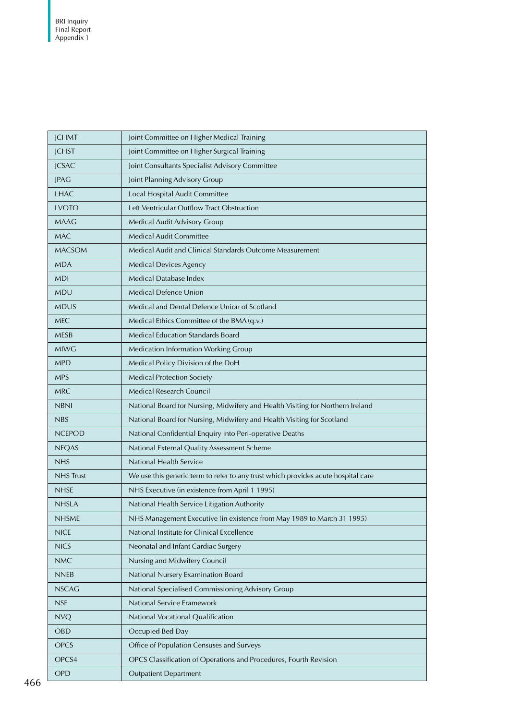| <b>JCHMT</b>     | Joint Committee on Higher Medical Training                                        |  |
|------------------|-----------------------------------------------------------------------------------|--|
| <b>ICHST</b>     | Joint Committee on Higher Surgical Training                                       |  |
| <b>JCSAC</b>     | Joint Consultants Specialist Advisory Committee                                   |  |
| <b>JPAG</b>      | Joint Planning Advisory Group                                                     |  |
| <b>LHAC</b>      | Local Hospital Audit Committee                                                    |  |
| <b>LVOTO</b>     | Left Ventricular Outflow Tract Obstruction                                        |  |
| <b>MAAG</b>      | Medical Audit Advisory Group                                                      |  |
| <b>MAC</b>       | <b>Medical Audit Committee</b>                                                    |  |
| <b>MACSOM</b>    | Medical Audit and Clinical Standards Outcome Measurement                          |  |
| <b>MDA</b>       | <b>Medical Devices Agency</b>                                                     |  |
| <b>MDI</b>       | Medical Database Index                                                            |  |
| <b>MDU</b>       | Medical Defence Union                                                             |  |
| <b>MDUS</b>      | Medical and Dental Defence Union of Scotland                                      |  |
| <b>MEC</b>       | Medical Ethics Committee of the BMA (q.v.)                                        |  |
| <b>MESB</b>      | Medical Education Standards Board                                                 |  |
| <b>MIWG</b>      | Medication Information Working Group                                              |  |
| <b>MPD</b>       | Medical Policy Division of the DoH                                                |  |
| <b>MPS</b>       | <b>Medical Protection Society</b>                                                 |  |
| <b>MRC</b>       | Medical Research Council                                                          |  |
| <b>NBNI</b>      | National Board for Nursing, Midwifery and Health Visiting for Northern Ireland    |  |
| <b>NBS</b>       | National Board for Nursing, Midwifery and Health Visiting for Scotland            |  |
| <b>NCEPOD</b>    | National Confidential Enquiry into Peri-operative Deaths                          |  |
| <b>NEQAS</b>     | National External Quality Assessment Scheme                                       |  |
| <b>NHS</b>       | National Health Service                                                           |  |
| <b>NHS Trust</b> | We use this generic term to refer to any trust which provides acute hospital care |  |
| <b>NHSE</b>      | NHS Executive (in existence from April 1 1995)                                    |  |
| <b>NHSLA</b>     | National Health Service Litigation Authority                                      |  |
| <b>NHSME</b>     | NHS Management Executive (in existence from May 1989 to March 31 1995)            |  |
| <b>NICE</b>      | National Institute for Clinical Excellence                                        |  |
| <b>NICS</b>      | Neonatal and Infant Cardiac Surgery                                               |  |
| <b>NMC</b>       | Nursing and Midwifery Council                                                     |  |
| <b>NNEB</b>      | National Nursery Examination Board                                                |  |
| <b>NSCAG</b>     | National Specialised Commissioning Advisory Group                                 |  |
| <b>NSF</b>       | National Service Framework                                                        |  |
| <b>NVQ</b>       | National Vocational Qualification                                                 |  |
| OBD              | Occupied Bed Day                                                                  |  |
| OPCS             | Office of Population Censuses and Surveys                                         |  |
| OPCS4            | OPCS Classification of Operations and Procedures, Fourth Revision                 |  |
| OPD              | <b>Outpatient Department</b>                                                      |  |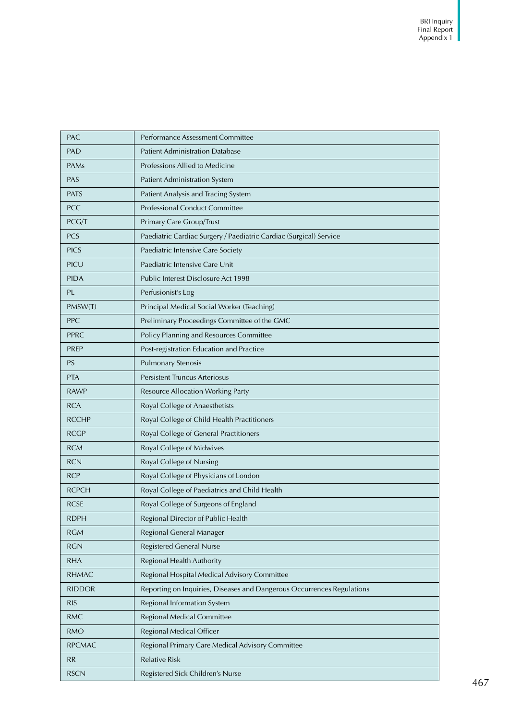I

| <b>PAC</b>    | Performance Assessment Committee                                       |
|---------------|------------------------------------------------------------------------|
| PAD           | <b>Patient Administration Database</b>                                 |
| PAMs          | Professions Allied to Medicine                                         |
| PAS           | Patient Administration System                                          |
| <b>PATS</b>   | Patient Analysis and Tracing System                                    |
| <b>PCC</b>    | <b>Professional Conduct Committee</b>                                  |
| PCG/T         | Primary Care Group/Trust                                               |
| <b>PCS</b>    | Paediatric Cardiac Surgery / Paediatric Cardiac (Surgical) Service     |
| <b>PICS</b>   | Paediatric Intensive Care Society                                      |
| PICU          | Paediatric Intensive Care Unit                                         |
| <b>PIDA</b>   | Public Interest Disclosure Act 1998                                    |
| PL.           | Perfusionist's Log                                                     |
| PMSW(T)       | Principal Medical Social Worker (Teaching)                             |
| <b>PPC</b>    | Preliminary Proceedings Committee of the GMC                           |
| <b>PPRC</b>   | Policy Planning and Resources Committee                                |
| <b>PREP</b>   | Post-registration Education and Practice                               |
| <b>PS</b>     | <b>Pulmonary Stenosis</b>                                              |
| <b>PTA</b>    | <b>Persistent Truncus Arteriosus</b>                                   |
| <b>RAWP</b>   | Resource Allocation Working Party                                      |
| <b>RCA</b>    | Royal College of Anaesthetists                                         |
| <b>RCCHP</b>  | Royal College of Child Health Practitioners                            |
| <b>RCGP</b>   | Royal College of General Practitioners                                 |
| <b>RCM</b>    | Royal College of Midwives                                              |
| <b>RCN</b>    | Royal College of Nursing                                               |
| <b>RCP</b>    | Royal College of Physicians of London                                  |
| <b>RCPCH</b>  | Royal College of Paediatrics and Child Health                          |
| <b>RCSE</b>   | Royal College of Surgeons of England                                   |
| <b>RDPH</b>   | Regional Director of Public Health                                     |
| <b>RGM</b>    | Regional General Manager                                               |
| <b>RGN</b>    | <b>Registered General Nurse</b>                                        |
| <b>RHA</b>    | Regional Health Authority                                              |
| <b>RHMAC</b>  | Regional Hospital Medical Advisory Committee                           |
| <b>RIDDOR</b> | Reporting on Inquiries, Diseases and Dangerous Occurrences Regulations |
| <b>RIS</b>    | Regional Information System                                            |
| <b>RMC</b>    | Regional Medical Committee                                             |
| <b>RMO</b>    | Regional Medical Officer                                               |
| <b>RPCMAC</b> | Regional Primary Care Medical Advisory Committee                       |
| <b>RR</b>     | <b>Relative Risk</b>                                                   |
| <b>RSCN</b>   | Registered Sick Children's Nurse                                       |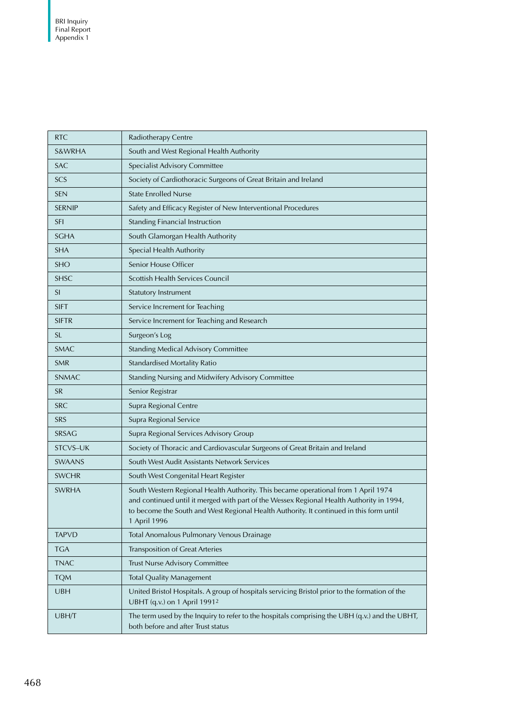| <b>RTC</b>    | Radiotherapy Centre                                                                                                                                                                                                                                                                       |  |
|---------------|-------------------------------------------------------------------------------------------------------------------------------------------------------------------------------------------------------------------------------------------------------------------------------------------|--|
| S&WRHA        | South and West Regional Health Authority                                                                                                                                                                                                                                                  |  |
| SAC           | Specialist Advisory Committee                                                                                                                                                                                                                                                             |  |
| SCS           | Society of Cardiothoracic Surgeons of Great Britain and Ireland                                                                                                                                                                                                                           |  |
| <b>SEN</b>    | <b>State Enrolled Nurse</b>                                                                                                                                                                                                                                                               |  |
| <b>SERNIP</b> | Safety and Efficacy Register of New Interventional Procedures                                                                                                                                                                                                                             |  |
| <b>SFI</b>    | <b>Standing Financial Instruction</b>                                                                                                                                                                                                                                                     |  |
| <b>SGHA</b>   | South Glamorgan Health Authority                                                                                                                                                                                                                                                          |  |
| <b>SHA</b>    | Special Health Authority                                                                                                                                                                                                                                                                  |  |
| <b>SHO</b>    | Senior House Officer                                                                                                                                                                                                                                                                      |  |
| SHSC          | Scottish Health Services Council                                                                                                                                                                                                                                                          |  |
| <sup>SI</sup> | Statutory Instrument                                                                                                                                                                                                                                                                      |  |
| <b>SIFT</b>   | Service Increment for Teaching                                                                                                                                                                                                                                                            |  |
| <b>SIFTR</b>  | Service Increment for Teaching and Research                                                                                                                                                                                                                                               |  |
| SL            | Surgeon's Log                                                                                                                                                                                                                                                                             |  |
| <b>SMAC</b>   | <b>Standing Medical Advisory Committee</b>                                                                                                                                                                                                                                                |  |
| <b>SMR</b>    | Standardised Mortality Ratio                                                                                                                                                                                                                                                              |  |
| <b>SNMAC</b>  | Standing Nursing and Midwifery Advisory Committee                                                                                                                                                                                                                                         |  |
| <b>SR</b>     | Senior Registrar                                                                                                                                                                                                                                                                          |  |
| <b>SRC</b>    | Supra Regional Centre                                                                                                                                                                                                                                                                     |  |
| SRS           | Supra Regional Service                                                                                                                                                                                                                                                                    |  |
| SRSAG         | Supra Regional Services Advisory Group                                                                                                                                                                                                                                                    |  |
| STCVS-UK      | Society of Thoracic and Cardiovascular Surgeons of Great Britain and Ireland                                                                                                                                                                                                              |  |
| <b>SWAANS</b> | South West Audit Assistants Network Services                                                                                                                                                                                                                                              |  |
| <b>SWCHR</b>  | South West Congenital Heart Register                                                                                                                                                                                                                                                      |  |
| <b>SWRHA</b>  | South Western Regional Health Authority. This became operational from 1 April 1974<br>and continued until it merged with part of the Wessex Regional Health Authority in 1994,<br>to become the South and West Regional Health Authority. It continued in this form until<br>1 April 1996 |  |
| <b>TAPVD</b>  | Total Anomalous Pulmonary Venous Drainage                                                                                                                                                                                                                                                 |  |
| <b>TGA</b>    | <b>Transposition of Great Arteries</b>                                                                                                                                                                                                                                                    |  |
| <b>TNAC</b>   | Trust Nurse Advisory Committee                                                                                                                                                                                                                                                            |  |
| <b>TQM</b>    | <b>Total Quality Management</b>                                                                                                                                                                                                                                                           |  |
| <b>UBH</b>    | United Bristol Hospitals. A group of hospitals servicing Bristol prior to the formation of the<br>UBHT (q.v.) on 1 April 19912                                                                                                                                                            |  |
| UBH/T         | The term used by the Inquiry to refer to the hospitals comprising the UBH $(q.v.)$ and the UBHT,<br>both before and after Trust status                                                                                                                                                    |  |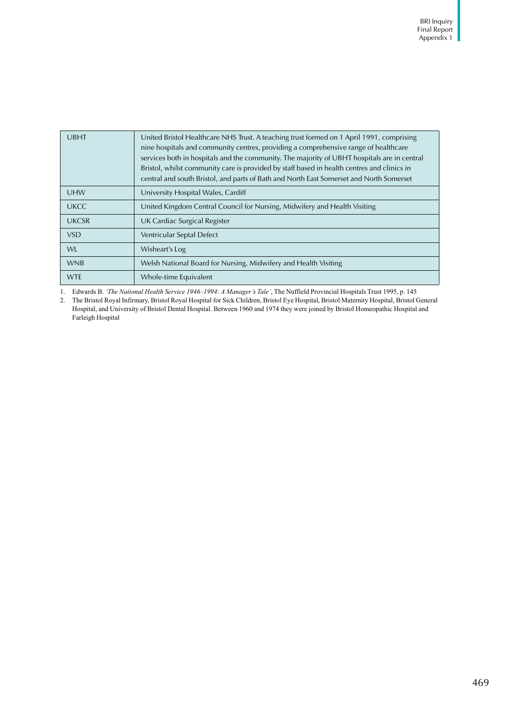| <b>UBHT</b>  | United Bristol Healthcare NHS Trust. A teaching trust formed on 1 April 1991, comprising<br>nine hospitals and community centres, providing a comprehensive range of healthcare<br>services both in hospitals and the community. The majority of UBHT hospitals are in central<br>Bristol, whilst community care is provided by staff based in health centres and clinics in<br>central and south Bristol, and parts of Bath and North East Somerset and North Somerset |
|--------------|-------------------------------------------------------------------------------------------------------------------------------------------------------------------------------------------------------------------------------------------------------------------------------------------------------------------------------------------------------------------------------------------------------------------------------------------------------------------------|
| <b>UHW</b>   | University Hospital Wales, Cardiff                                                                                                                                                                                                                                                                                                                                                                                                                                      |
| <b>UKCC</b>  | United Kingdom Central Council for Nursing, Midwifery and Health Visiting                                                                                                                                                                                                                                                                                                                                                                                               |
| <b>UKCSR</b> | <b>UK Cardiac Surgical Register</b>                                                                                                                                                                                                                                                                                                                                                                                                                                     |
| <b>VSD</b>   | Ventricular Septal Defect                                                                                                                                                                                                                                                                                                                                                                                                                                               |
| <b>WL</b>    | Wisheart's Log                                                                                                                                                                                                                                                                                                                                                                                                                                                          |
| <b>WNB</b>   | Welsh National Board for Nursing, Midwifery and Health Visiting                                                                                                                                                                                                                                                                                                                                                                                                         |
| <b>WTE</b>   | Whole-time Equivalent                                                                                                                                                                                                                                                                                                                                                                                                                                                   |

1. Edwards B. *'The National Health Service 1946–1994: A Manager's Tale'*, The Nuffield Provincial Hospitals Trust 1995, p. 145

2. The Bristol Royal Infirmary, Bristol Royal Hospital for Sick Children, Bristol Eye Hospital, Bristol Maternity Hospital, Bristol General Hospital, and University of Bristol Dental Hospital. Between 1960 and 1974 they were joined by Bristol Homeopathic Hospital and Farleigh Hospital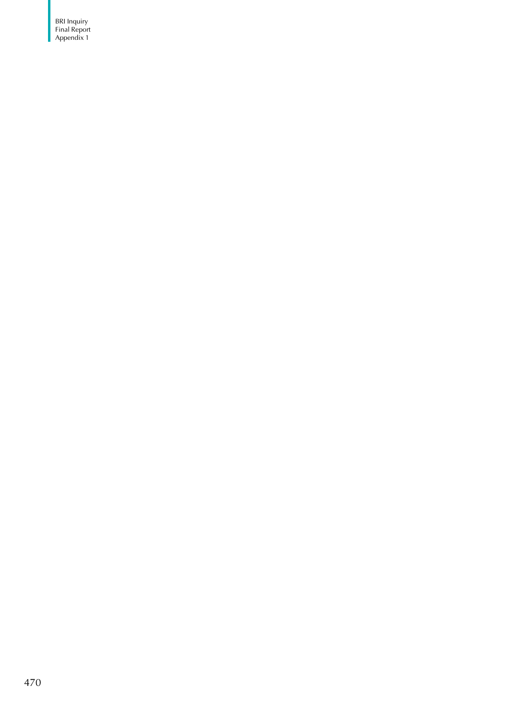BRI Inquiry Final Report Appendix 1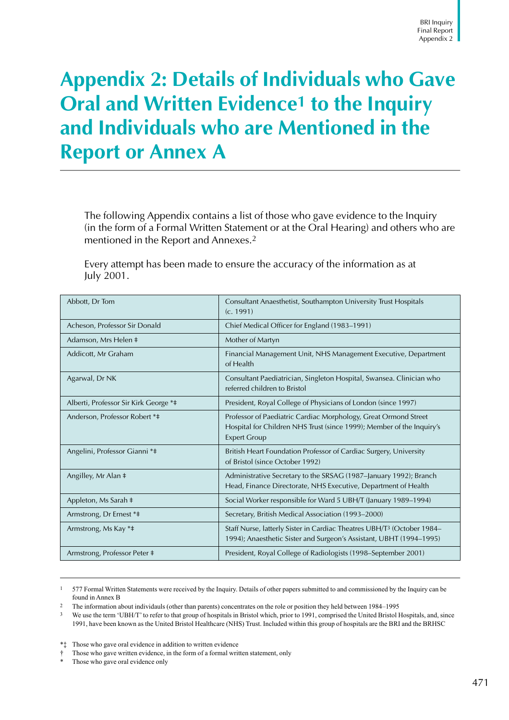# **Appendix 2: Details of Individuals who Gave Oral and Written Evidence<sup>1</sup> to the Inquiry and Individuals who are Mentioned in the Report or Annex A**

The following Appendix contains a list of those who gave evidence to the Inquiry (in the form of a Formal Written Statement or at the Oral Hearing) and others who are mentioned in the Report and Annexes.2

Every attempt has been made to ensure the accuracy of the information as at July 2001.

| Abbott, Dr Tom                        | Consultant Anaesthetist, Southampton University Trust Hospitals<br>(c. 1991)                                                                                    |
|---------------------------------------|-----------------------------------------------------------------------------------------------------------------------------------------------------------------|
| Acheson, Professor Sir Donald         | Chief Medical Officer for England (1983-1991)                                                                                                                   |
| Adamson, Mrs Helen ‡                  | Mother of Martyn                                                                                                                                                |
| Addicott, Mr Graham                   | Financial Management Unit, NHS Management Executive, Department<br>of Health                                                                                    |
| Agarwal, Dr NK                        | Consultant Paediatrician, Singleton Hospital, Swansea. Clinician who<br>referred children to Bristol                                                            |
| Alberti, Professor Sir Kirk George *‡ | President, Royal College of Physicians of London (since 1997)                                                                                                   |
| Anderson, Professor Robert *‡         | Professor of Paediatric Cardiac Morphology, Great Ormond Street<br>Hospital for Children NHS Trust (since 1999); Member of the Inquiry's<br><b>Expert Group</b> |
| Angelini, Professor Gianni *‡         | British Heart Foundation Professor of Cardiac Surgery, University<br>of Bristol (since October 1992)                                                            |
| Angilley, Mr Alan ‡                   | Administrative Secretary to the SRSAG (1987–January 1992); Branch<br>Head, Finance Directorate, NHS Executive, Department of Health                             |
| Appleton, Ms Sarah ‡                  | Social Worker responsible for Ward 5 UBH/T (January 1989-1994)                                                                                                  |
| Armstrong, Dr Ernest *‡               | Secretary, British Medical Association (1993-2000)                                                                                                              |
| Armstrong, Ms Kay *‡                  | Staff Nurse, latterly Sister in Cardiac Theatres UBH/T <sup>3</sup> (October 1984–<br>1994); Anaesthetic Sister and Surgeon's Assistant, UBHT (1994-1995)       |
| Armstrong, Professor Peter #          | President, Royal College of Radiologists (1998–September 2001)                                                                                                  |

<sup>1</sup> 577 Formal Written Statements were received by the Inquiry. Details of other papers submitted to and commissioned by the Inquiry can be found in Annex B

<sup>2</sup> The information about individauls (other than parents) concentrates on the role or position they held between 1984–1995

We use the term 'UBH/T' to refer to that group of hospitals in Bristol which, prior to 1991, comprised the United Bristol Hospitals, and, since 1991, have been known as the United Bristol Healthcare (NHS) Trust. Included within this group of hospitals are the BRI and the BRHSC

<sup>\*‡</sup> Those who gave oral evidence in addition to written evidence

<sup>†</sup> Those who gave written evidence, in the form of a formal written statement, only

Those who gave oral evidence only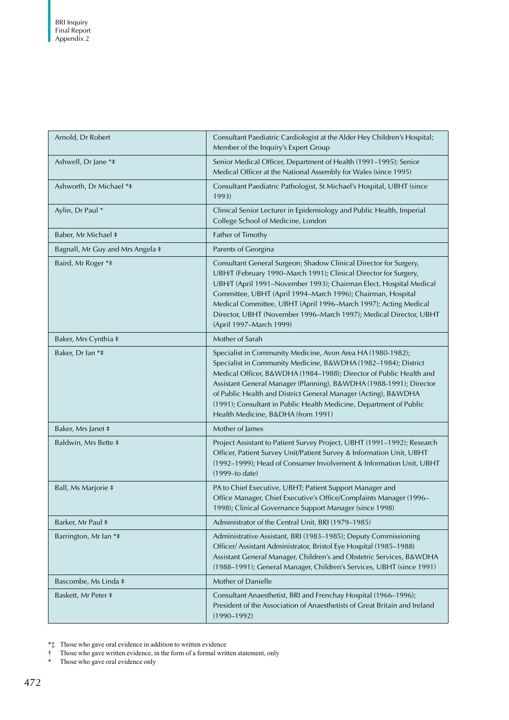| Arnold, Dr Robert                | Consultant Paediatric Cardiologist at the Alder Hey Children's Hospital;<br>Member of the Inquiry's Expert Group                                                                                                                                                                                                                                                                                                                                        |
|----------------------------------|---------------------------------------------------------------------------------------------------------------------------------------------------------------------------------------------------------------------------------------------------------------------------------------------------------------------------------------------------------------------------------------------------------------------------------------------------------|
| Ashwell, Dr Jane *#              | Senior Medical Officer, Department of Health (1991-1995); Senior<br>Medical Officer at the National Assembly for Wales (since 1995)                                                                                                                                                                                                                                                                                                                     |
| Ashworth, Dr Michael *‡          | Consultant Paediatric Pathologist, St Michael's Hospital, UBHT (since<br>1993)                                                                                                                                                                                                                                                                                                                                                                          |
| Aylin, Dr Paul *                 | Clinical Senior Lecturer in Epidemiology and Public Health, Imperial<br>College School of Medicine, London                                                                                                                                                                                                                                                                                                                                              |
| Baber, Mr Michael ‡              | Father of Timothy                                                                                                                                                                                                                                                                                                                                                                                                                                       |
| Bagnall, Mr Guy and Mrs Angela # | Parents of Georgina                                                                                                                                                                                                                                                                                                                                                                                                                                     |
| Baird, Mr Roger *‡               | Consultant General Surgeon; Shadow Clinical Director for Surgery,<br>UBH/T (February 1990-March 1991); Clinical Director for Surgery,<br>UBH/T (April 1991-November 1993); Chairman Elect, Hospital Medical<br>Committee, UBHT (April 1994–March 1996); Chairman, Hospital<br>Medical Committee, UBHT (April 1996–March 1997); Acting Medical<br>Director, UBHT (November 1996-March 1997); Medical Director, UBHT<br>(April 1997-March 1999)           |
| Baker, Mrs Cynthia ‡             | Mother of Sarah                                                                                                                                                                                                                                                                                                                                                                                                                                         |
| Baker, Dr Ian *‡                 | Specialist in Community Medicine, Avon Area HA (1980-1982);<br>Specialist in Community Medicine, B&WDHA (1982-1984); District<br>Medical Officer, B&WDHA (1984-1988); Director of Public Health and<br>Assistant General Manager (Planning), B&WDHA (1988-1991); Director<br>of Public Health and District General Manager (Acting), B&WDHA<br>(1991); Consultant in Public Health Medicine, Department of Public<br>Health Medicine, B&DHA (from 1991) |
| Baker, Mrs Janet ‡               | Mother of James                                                                                                                                                                                                                                                                                                                                                                                                                                         |
| Baldwin, Mrs Bette ‡             | Project Assistant to Patient Survey Project, UBHT (1991-1992); Research<br>Officer, Patient Survey Unit/Patient Survey & Information Unit, UBHT<br>(1992-1999); Head of Consumer Involvement & Information Unit, UBHT<br>(1999-to date)                                                                                                                                                                                                                 |
| Ball, Ms Marjorie ‡              | PA to Chief Executive, UBHT; Patient Support Manager and<br>Office Manager, Chief Executive's Office/Complaints Manager (1996-<br>1998); Clinical Governance Support Manager (since 1998)                                                                                                                                                                                                                                                               |
| Barker, Mr Paul ‡                | Administrator of the Central Unit, BRI (1979–1985)                                                                                                                                                                                                                                                                                                                                                                                                      |
| Barrington, Mr Ian *‡            | Administrative Assistant, BRI (1983-1985); Deputy Commissioning<br>Officer/Assistant Administrator, Bristol Eye Hospital (1985-1988)<br>Assistant General Manager, Children's and Obstetric Services, B&WDHA<br>(1988-1991); General Manager, Children's Services, UBHT (since 1991)                                                                                                                                                                    |
| Bascombe, Ms Linda ‡             | Mother of Danielle                                                                                                                                                                                                                                                                                                                                                                                                                                      |
| Baskett, Mr Peter ‡              | Consultant Anaesthetist, BRI and Frenchay Hospital (1966-1996);<br>President of the Association of Anaesthetists of Great Britain and Ireland<br>$(1990 - 1992)$                                                                                                                                                                                                                                                                                        |

<sup>\*‡</sup> Those who gave oral evidence in addition to written evidence

<sup>†</sup> Those who gave written evidence, in the form of a formal written statement, only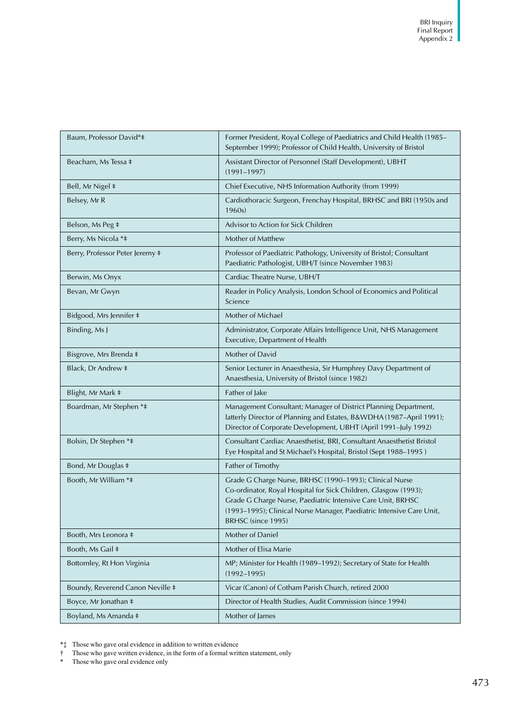| Baum, Professor David*‡          | Former President, Royal College of Paediatrics and Child Health (1985-<br>September 1999); Professor of Child Health, University of Bristol                                                                                                                                             |
|----------------------------------|-----------------------------------------------------------------------------------------------------------------------------------------------------------------------------------------------------------------------------------------------------------------------------------------|
| Beacham, Ms Tessa ‡              | Assistant Director of Personnel (Staff Development), UBHT<br>$(1991 - 1997)$                                                                                                                                                                                                            |
| Bell, Mr Nigel ‡                 | Chief Executive, NHS Information Authority (from 1999)                                                                                                                                                                                                                                  |
| Belsey, Mr R                     | Cardiothoracic Surgeon, Frenchay Hospital, BRHSC and BRI (1950s and<br>1960s                                                                                                                                                                                                            |
| Belson, Ms Peg #                 | Advisor to Action for Sick Children                                                                                                                                                                                                                                                     |
| Berry, Ms Nicola *‡              | <b>Mother of Matthew</b>                                                                                                                                                                                                                                                                |
| Berry, Professor Peter Jeremy ‡  | Professor of Paediatric Pathology, University of Bristol; Consultant<br>Paediatric Pathologist, UBH/T (since November 1983)                                                                                                                                                             |
| Berwin, Ms Onyx                  | Cardiac Theatre Nurse, UBH/T                                                                                                                                                                                                                                                            |
| Bevan, Mr Gwyn                   | Reader in Policy Analysis, London School of Economics and Political<br>Science                                                                                                                                                                                                          |
| Bidgood, Mrs Jennifer #          | Mother of Michael                                                                                                                                                                                                                                                                       |
| Binding, Ms J                    | Administrator, Corporate Affairs Intelligence Unit, NHS Management<br>Executive, Department of Health                                                                                                                                                                                   |
| Bisgrove, Mrs Brenda ‡           | Mother of David                                                                                                                                                                                                                                                                         |
| Black, Dr Andrew ‡               | Senior Lecturer in Anaesthesia, Sir Humphrey Davy Department of<br>Anaesthesia, University of Bristol (since 1982)                                                                                                                                                                      |
| Blight, Mr Mark ‡                | Father of Jake                                                                                                                                                                                                                                                                          |
| Boardman, Mr Stephen *‡          | Management Consultant; Manager of District Planning Department,<br>latterly Director of Planning and Estates, B&WDHA (1987-April 1991);<br>Director of Corporate Development, UBHT (April 1991-July 1992)                                                                               |
| Bolsin, Dr Stephen *‡            | Consultant Cardiac Anaesthetist, BRI, Consultant Anaesthetist Bristol<br>Eye Hospital and St Michael's Hospital, Bristol (Sept 1988-1995)                                                                                                                                               |
| Bond, Mr Douglas ‡               | Father of Timothy                                                                                                                                                                                                                                                                       |
| Booth, Mr William *‡             | Grade G Charge Nurse, BRHSC (1990-1993); Clinical Nurse<br>Co-ordinator, Royal Hospital for Sick Children, Glasgow (1993);<br>Grade G Charge Nurse, Paediatric Intensive Care Unit, BRHSC<br>(1993-1995); Clinical Nurse Manager, Paediatric Intensive Care Unit,<br>BRHSC (since 1995) |
| Booth, Mrs Leonora ‡             | Mother of Daniel                                                                                                                                                                                                                                                                        |
| Booth, Ms Gail ‡                 | Mother of Elisa Marie                                                                                                                                                                                                                                                                   |
| Bottomley, Rt Hon Virginia       | MP; Minister for Health (1989–1992); Secretary of State for Health<br>$(1992 - 1995)$                                                                                                                                                                                                   |
| Boundy, Reverend Canon Neville ‡ | Vicar (Canon) of Cotham Parish Church, retired 2000                                                                                                                                                                                                                                     |
| Boyce, Mr Jonathan ‡             | Director of Health Studies, Audit Commission (since 1994)                                                                                                                                                                                                                               |
| Boyland, Ms Amanda ‡             | Mother of James                                                                                                                                                                                                                                                                         |

<sup>\*‡</sup> Those who gave oral evidence in addition to written evidence

<sup>†</sup> Those who gave written evidence, in the form of a formal written statement, only

<sup>\*</sup> Those who gave oral evidence only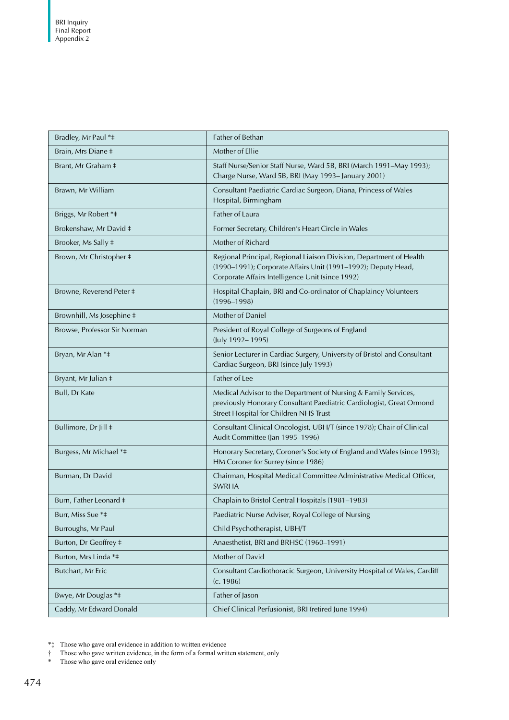| Bradley, Mr Paul *‡          | Father of Bethan                                                                                                                                                                         |
|------------------------------|------------------------------------------------------------------------------------------------------------------------------------------------------------------------------------------|
| Brain, Mrs Diane ‡           | Mother of Ellie                                                                                                                                                                          |
| Brant, Mr Graham ‡           | Staff Nurse/Senior Staff Nurse, Ward 5B, BRI (March 1991-May 1993);<br>Charge Nurse, Ward 5B, BRI (May 1993-January 2001)                                                                |
| Brawn, Mr William            | Consultant Paediatric Cardiac Surgeon, Diana, Princess of Wales<br>Hospital, Birmingham                                                                                                  |
| Briggs, Mr Robert *‡         | Father of Laura                                                                                                                                                                          |
| Brokenshaw, Mr David ‡       | Former Secretary, Children's Heart Circle in Wales                                                                                                                                       |
| Brooker, Ms Sally ‡          | Mother of Richard                                                                                                                                                                        |
| Brown, Mr Christopher #      | Regional Principal, Regional Liaison Division, Department of Health<br>(1990-1991); Corporate Affairs Unit (1991-1992); Deputy Head,<br>Corporate Affairs Intelligence Unit (since 1992) |
| Browne, Reverend Peter ‡     | Hospital Chaplain, BRI and Co-ordinator of Chaplaincy Volunteers<br>$(1996 - 1998)$                                                                                                      |
| Brownhill, Ms Josephine ‡    | Mother of Daniel                                                                                                                                                                         |
| Browse, Professor Sir Norman | President of Royal College of Surgeons of England<br>(July 1992-1995)                                                                                                                    |
| Bryan, Mr Alan *‡            | Senior Lecturer in Cardiac Surgery, University of Bristol and Consultant<br>Cardiac Surgeon, BRI (since July 1993)                                                                       |
| Bryant, Mr Julian ‡          | Father of Lee                                                                                                                                                                            |
| Bull, Dr Kate                | Medical Advisor to the Department of Nursing & Family Services,<br>previously Honorary Consultant Paediatric Cardiologist, Great Ormond<br>Street Hospital for Children NHS Trust        |
| Bullimore, Dr Jill ‡         | Consultant Clinical Oncologist, UBH/T (since 1978); Chair of Clinical<br>Audit Committee (Jan 1995-1996)                                                                                 |
| Burgess, Mr Michael **       | Honorary Secretary, Coroner's Society of England and Wales (since 1993);<br>HM Coroner for Surrey (since 1986)                                                                           |
| Burman, Dr David             | Chairman, Hospital Medical Committee Administrative Medical Officer,<br><b>SWRHA</b>                                                                                                     |
| Burn, Father Leonard ‡       | Chaplain to Bristol Central Hospitals (1981-1983)                                                                                                                                        |
| Burr, Miss Sue *‡            | Paediatric Nurse Adviser, Royal College of Nursing                                                                                                                                       |
| Burroughs, Mr Paul           | Child Psychotherapist, UBH/T                                                                                                                                                             |
| Burton, Dr Geoffrey #        | Anaesthetist, BRI and BRHSC (1960-1991)                                                                                                                                                  |
| Burton, Mrs Linda *‡         | Mother of David                                                                                                                                                                          |
| Butchart, Mr Eric            | Consultant Cardiothoracic Surgeon, University Hospital of Wales, Cardiff<br>(c. 1986)                                                                                                    |
| Bwye, Mr Douglas *‡          | Father of Jason                                                                                                                                                                          |
| Caddy, Mr Edward Donald      | Chief Clinical Perfusionist, BRI (retired June 1994)                                                                                                                                     |

<sup>\*‡</sup> Those who gave oral evidence in addition to written evidence

<sup>†</sup> Those who gave written evidence, in the form of a formal written statement, only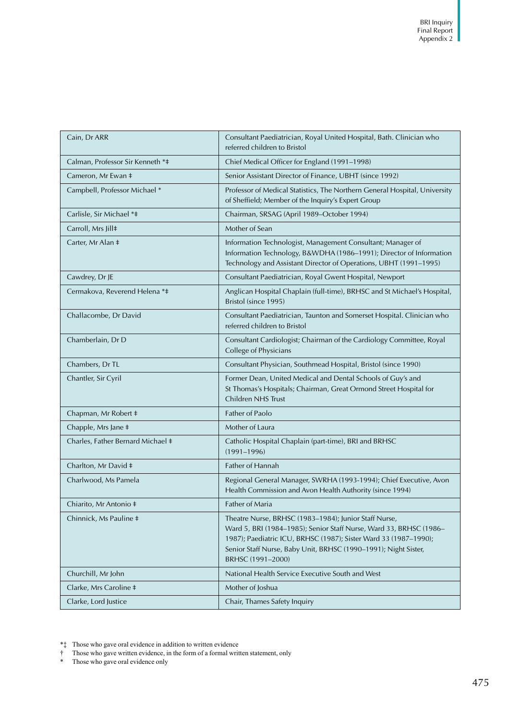| Cain, Dr ARR                      | Consultant Paediatrician, Royal United Hospital, Bath. Clinician who<br>referred children to Bristol                                                                                                                                                                                    |
|-----------------------------------|-----------------------------------------------------------------------------------------------------------------------------------------------------------------------------------------------------------------------------------------------------------------------------------------|
| Calman, Professor Sir Kenneth *‡  | Chief Medical Officer for England (1991-1998)                                                                                                                                                                                                                                           |
| Cameron, Mr Ewan ‡                | Senior Assistant Director of Finance, UBHT (since 1992)                                                                                                                                                                                                                                 |
| Campbell, Professor Michael *     | Professor of Medical Statistics, The Northern General Hospital, University<br>of Sheffield; Member of the Inquiry's Expert Group                                                                                                                                                        |
| Carlisle, Sir Michael *‡          | Chairman, SRSAG (April 1989-October 1994)                                                                                                                                                                                                                                               |
| Carroll, Mrs Jill‡                | Mother of Sean                                                                                                                                                                                                                                                                          |
| Carter, Mr Alan ‡                 | Information Technologist, Management Consultant; Manager of<br>Information Technology, B&WDHA (1986-1991); Director of Information<br>Technology and Assistant Director of Operations, UBHT (1991-1995)                                                                                 |
| Cawdrey, Dr JE                    | Consultant Paediatrician, Royal Gwent Hospital, Newport                                                                                                                                                                                                                                 |
| Cermakova, Reverend Helena *‡     | Anglican Hospital Chaplain (full-time), BRHSC and St Michael's Hospital,<br>Bristol (since 1995)                                                                                                                                                                                        |
| Challacombe, Dr David             | Consultant Paediatrician, Taunton and Somerset Hospital. Clinician who<br>referred children to Bristol                                                                                                                                                                                  |
| Chamberlain, Dr D                 | Consultant Cardiologist; Chairman of the Cardiology Committee, Royal<br>College of Physicians                                                                                                                                                                                           |
| Chambers, Dr TL                   | Consultant Physician, Southmead Hospital, Bristol (since 1990)                                                                                                                                                                                                                          |
| Chantler, Sir Cyril               | Former Dean, United Medical and Dental Schools of Guy's and<br>St Thomas's Hospitals; Chairman, Great Ormond Street Hospital for<br>Children NHS Trust                                                                                                                                  |
| Chapman, Mr Robert ‡              | Father of Paolo                                                                                                                                                                                                                                                                         |
| Chapple, Mrs Jane #               | Mother of Laura                                                                                                                                                                                                                                                                         |
| Charles, Father Bernard Michael ‡ | Catholic Hospital Chaplain (part-time), BRI and BRHSC<br>$(1991 - 1996)$                                                                                                                                                                                                                |
| Charlton, Mr David ‡              | <b>Father of Hannah</b>                                                                                                                                                                                                                                                                 |
| Charlwood, Ms Pamela              | Regional General Manager, SWRHA (1993-1994); Chief Executive, Avon<br>Health Commission and Avon Health Authority (since 1994)                                                                                                                                                          |
| Chiarito, Mr Antonio ‡            | Father of Maria                                                                                                                                                                                                                                                                         |
| Chinnick, Ms Pauline ‡            | Theatre Nurse, BRHSC (1983-1984); Junior Staff Nurse,<br>Ward 5, BRI (1984-1985); Senior Staff Nurse, Ward 33, BRHSC (1986-<br>1987); Paediatric ICU, BRHSC (1987); Sister Ward 33 (1987-1990);<br>Senior Staff Nurse, Baby Unit, BRHSC (1990-1991); Night Sister,<br>BRHSC (1991-2000) |
| Churchill, Mr John                | National Health Service Executive South and West                                                                                                                                                                                                                                        |
| Clarke, Mrs Caroline ‡            | Mother of Joshua                                                                                                                                                                                                                                                                        |
| Clarke, Lord Justice              | Chair, Thames Safety Inquiry                                                                                                                                                                                                                                                            |

<sup>\*‡</sup> Those who gave oral evidence in addition to written evidence

<sup>†</sup> Those who gave written evidence, in the form of a formal written statement, only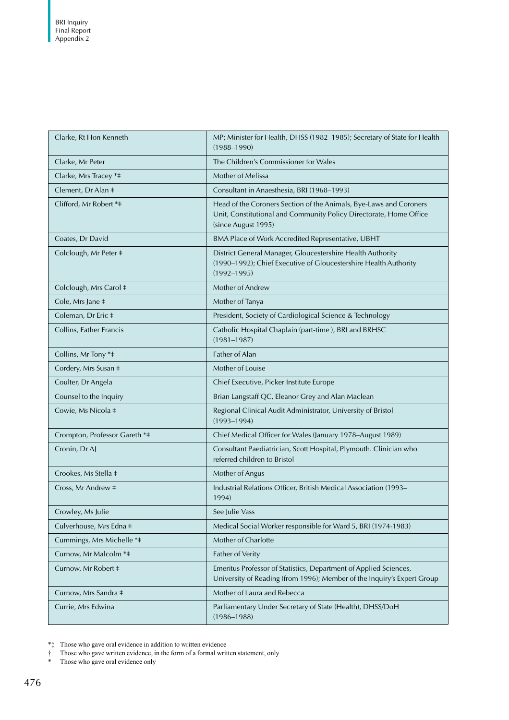| Clarke, Rt Hon Kenneth        | MP; Minister for Health, DHSS (1982-1985); Secretary of State for Health<br>$(1988 - 1990)$                                                                     |
|-------------------------------|-----------------------------------------------------------------------------------------------------------------------------------------------------------------|
| Clarke, Mr Peter              | The Children's Commissioner for Wales                                                                                                                           |
| Clarke, Mrs Tracey *‡         | Mother of Melissa                                                                                                                                               |
| Clement, Dr Alan ‡            | Consultant in Anaesthesia, BRI (1968-1993)                                                                                                                      |
| Clifford, Mr Robert *‡        | Head of the Coroners Section of the Animals, Bye-Laws and Coroners<br>Unit, Constitutional and Community Policy Directorate, Home Office<br>(since August 1995) |
| Coates, Dr David              | BMA Place of Work Accredited Representative, UBHT                                                                                                               |
| Colclough, Mr Peter ‡         | District General Manager, Gloucestershire Health Authority<br>(1990-1992); Chief Executive of Gloucestershire Health Authority<br>$(1992 - 1995)$               |
| Colclough, Mrs Carol ‡        | Mother of Andrew                                                                                                                                                |
| Cole, Mrs Jane ‡              | Mother of Tanya                                                                                                                                                 |
| Coleman, Dr Eric #            | President, Society of Cardiological Science & Technology                                                                                                        |
| Collins, Father Francis       | Catholic Hospital Chaplain (part-time), BRI and BRHSC<br>$(1981 - 1987)$                                                                                        |
| Collins, Mr Tony *#           | Father of Alan                                                                                                                                                  |
| Cordery, Mrs Susan ‡          | Mother of Louise                                                                                                                                                |
| Coulter, Dr Angela            | Chief Executive, Picker Institute Europe                                                                                                                        |
| Counsel to the Inquiry        | Brian Langstaff QC, Eleanor Grey and Alan Maclean                                                                                                               |
| Cowie, Ms Nicola ‡            | Regional Clinical Audit Administrator, University of Bristol<br>$(1993 - 1994)$                                                                                 |
| Crompton, Professor Gareth *‡ | Chief Medical Officer for Wales (January 1978-August 1989)                                                                                                      |
| Cronin, Dr AJ                 | Consultant Paediatrician, Scott Hospital, Plymouth. Clinician who<br>referred children to Bristol                                                               |
| Crookes, Ms Stella ‡          | Mother of Angus                                                                                                                                                 |
| Cross, Mr Andrew ‡            | Industrial Relations Officer, British Medical Association (1993-<br>1994)                                                                                       |
| Crowley, Ms Julie             | See Julie Vass                                                                                                                                                  |
| Culverhouse, Mrs Edna ‡       | Medical Social Worker responsible for Ward 5, BRI (1974-1983)                                                                                                   |
| Cummings, Mrs Michelle *‡     | Mother of Charlotte                                                                                                                                             |
| Curnow, Mr Malcolm *‡         | Father of Verity                                                                                                                                                |
| Curnow, Mr Robert ‡           | Emeritus Professor of Statistics, Department of Applied Sciences,<br>University of Reading (from 1996); Member of the Inquiry's Expert Group                    |
| Curnow, Mrs Sandra ‡          | Mother of Laura and Rebecca                                                                                                                                     |
| Currie, Mrs Edwina            | Parliamentary Under Secretary of State (Health), DHSS/DoH<br>$(1986 - 1988)$                                                                                    |

<sup>\*‡</sup> Those who gave oral evidence in addition to written evidence

<sup>†</sup> Those who gave written evidence, in the form of a formal written statement, only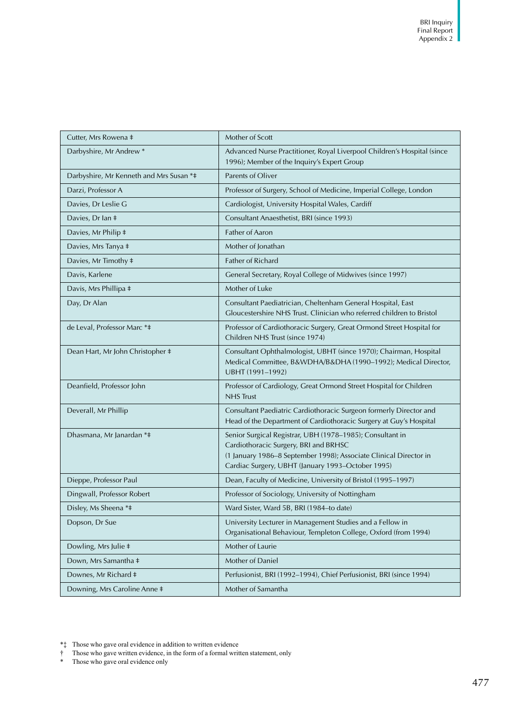| Cutter, Mrs Rowena ‡                    | Mother of Scott                                                                                                                                                                                                              |
|-----------------------------------------|------------------------------------------------------------------------------------------------------------------------------------------------------------------------------------------------------------------------------|
| Darbyshire, Mr Andrew *                 | Advanced Nurse Practitioner, Royal Liverpool Children's Hospital (since<br>1996); Member of the Inquiry's Expert Group                                                                                                       |
| Darbyshire, Mr Kenneth and Mrs Susan *‡ | Parents of Oliver                                                                                                                                                                                                            |
| Darzi, Professor A                      | Professor of Surgery, School of Medicine, Imperial College, London                                                                                                                                                           |
| Davies, Dr Leslie G                     | Cardiologist, University Hospital Wales, Cardiff                                                                                                                                                                             |
| Davies, Dr Ian ‡                        | Consultant Anaesthetist, BRI (since 1993)                                                                                                                                                                                    |
| Davies, Mr Philip ‡                     | Father of Aaron                                                                                                                                                                                                              |
| Davies, Mrs Tanya ‡                     | Mother of Jonathan                                                                                                                                                                                                           |
| Davies, Mr Timothy ‡                    | Father of Richard                                                                                                                                                                                                            |
| Davis, Karlene                          | General Secretary, Royal College of Midwives (since 1997)                                                                                                                                                                    |
| Davis, Mrs Phillipa ‡                   | Mother of Luke                                                                                                                                                                                                               |
| Day, Dr Alan                            | Consultant Paediatrician, Cheltenham General Hospital, East<br>Gloucestershire NHS Trust. Clinician who referred children to Bristol                                                                                         |
| de Leval, Professor Marc *‡             | Professor of Cardiothoracic Surgery, Great Ormond Street Hospital for<br>Children NHS Trust (since 1974)                                                                                                                     |
| Dean Hart, Mr John Christopher #        | Consultant Ophthalmologist, UBHT (since 1970); Chairman, Hospital<br>Medical Committee, B&WDHA/B&DHA (1990-1992); Medical Director,<br>UBHT (1991-1992)                                                                      |
| Deanfield, Professor John               | Professor of Cardiology, Great Ormond Street Hospital for Children<br><b>NHS Trust</b>                                                                                                                                       |
| Deverall, Mr Phillip                    | Consultant Paediatric Cardiothoracic Surgeon formerly Director and<br>Head of the Department of Cardiothoracic Surgery at Guy's Hospital                                                                                     |
| Dhasmana, Mr Janardan *‡                | Senior Surgical Registrar, UBH (1978-1985); Consultant in<br>Cardiothoracic Surgery, BRI and BRHSC<br>(1 January 1986-8 September 1998); Associate Clinical Director in<br>Cardiac Surgery, UBHT (January 1993-October 1995) |
| Dieppe, Professor Paul                  | Dean, Faculty of Medicine, University of Bristol (1995-1997)                                                                                                                                                                 |
| Dingwall, Professor Robert              | Professor of Sociology, University of Nottingham                                                                                                                                                                             |
| Disley, Ms Sheena *‡                    | Ward Sister, Ward 5B, BRI (1984-to date)                                                                                                                                                                                     |
| Dopson, Dr Sue                          | University Lecturer in Management Studies and a Fellow in<br>Organisational Behaviour, Templeton College, Oxford (from 1994)                                                                                                 |
| Dowling, Mrs Julie ‡                    | Mother of Laurie                                                                                                                                                                                                             |
| Down, Mrs Samantha ‡                    | Mother of Daniel                                                                                                                                                                                                             |
| Downes, Mr Richard ‡                    | Perfusionist, BRI (1992–1994), Chief Perfusionist, BRI (since 1994)                                                                                                                                                          |
| Downing, Mrs Caroline Anne #            | Mother of Samantha                                                                                                                                                                                                           |

<sup>\*‡</sup> Those who gave oral evidence in addition to written evidence

<sup>†</sup> Those who gave written evidence, in the form of a formal written statement, only

<sup>\*</sup> Those who gave oral evidence only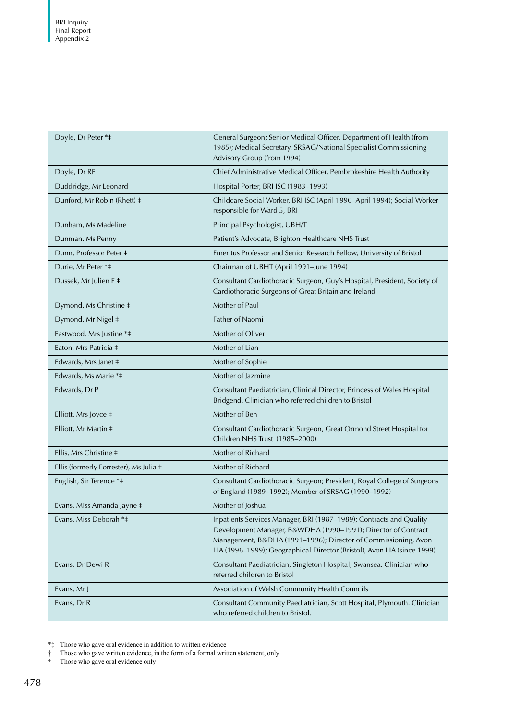| Doyle, Dr Peter *‡                     | General Surgeon; Senior Medical Officer, Department of Health (from<br>1985); Medical Secretary, SRSAG/National Specialist Commissioning<br>Advisory Group (from 1994)                                                                                                          |
|----------------------------------------|---------------------------------------------------------------------------------------------------------------------------------------------------------------------------------------------------------------------------------------------------------------------------------|
| Doyle, Dr RF                           | Chief Administrative Medical Officer, Pembrokeshire Health Authority                                                                                                                                                                                                            |
| Duddridge, Mr Leonard                  | Hospital Porter, BRHSC (1983-1993)                                                                                                                                                                                                                                              |
| Dunford, Mr Robin (Rhett) ‡            | Childcare Social Worker, BRHSC (April 1990-April 1994); Social Worker<br>responsible for Ward 5, BRI                                                                                                                                                                            |
| Dunham, Ms Madeline                    | Principal Psychologist, UBH/T                                                                                                                                                                                                                                                   |
| Dunman, Ms Penny                       | Patient's Advocate, Brighton Healthcare NHS Trust                                                                                                                                                                                                                               |
| Dunn, Professor Peter ‡                | Emeritus Professor and Senior Research Fellow, University of Bristol                                                                                                                                                                                                            |
| Durie, Mr Peter *‡                     | Chairman of UBHT (April 1991-June 1994)                                                                                                                                                                                                                                         |
| Dussek, Mr Julien E ‡                  | Consultant Cardiothoracic Surgeon, Guy's Hospital, President, Society of<br>Cardiothoracic Surgeons of Great Britain and Ireland                                                                                                                                                |
| Dymond, Ms Christine #                 | Mother of Paul                                                                                                                                                                                                                                                                  |
| Dymond, Mr Nigel ‡                     | Father of Naomi                                                                                                                                                                                                                                                                 |
| Eastwood, Mrs Justine *‡               | Mother of Oliver                                                                                                                                                                                                                                                                |
| Eaton, Mrs Patricia ‡                  | Mother of Lian                                                                                                                                                                                                                                                                  |
| Edwards, Mrs Janet ‡                   | Mother of Sophie                                                                                                                                                                                                                                                                |
| Edwards, Ms Marie *‡                   | Mother of Jazmine                                                                                                                                                                                                                                                               |
| Edwards, Dr P                          | Consultant Paediatrician, Clinical Director, Princess of Wales Hospital<br>Bridgend. Clinician who referred children to Bristol                                                                                                                                                 |
| Elliott, Mrs Joyce #                   | Mother of Ben                                                                                                                                                                                                                                                                   |
| Elliott, Mr Martin ‡                   | Consultant Cardiothoracic Surgeon, Great Ormond Street Hospital for<br>Children NHS Trust (1985-2000)                                                                                                                                                                           |
| Ellis, Mrs Christine ‡                 | Mother of Richard                                                                                                                                                                                                                                                               |
| Ellis (formerly Forrester), Ms Julia ‡ | Mother of Richard                                                                                                                                                                                                                                                               |
| English, Sir Terence *‡                | Consultant Cardiothoracic Surgeon; President, Royal College of Surgeons<br>of England (1989-1992); Member of SRSAG (1990-1992)                                                                                                                                                  |
| Evans, Miss Amanda Jayne ‡             | Mother of Joshua                                                                                                                                                                                                                                                                |
| Evans, Miss Deborah *‡                 | Inpatients Services Manager, BRI (1987-1989); Contracts and Quality<br>Development Manager, B&WDHA (1990-1991); Director of Contract<br>Management, B&DHA (1991-1996); Director of Commissioning, Avon<br>HA (1996-1999); Geographical Director (Bristol), Avon HA (since 1999) |
| Evans, Dr Dewi R                       | Consultant Paediatrician, Singleton Hospital, Swansea. Clinician who<br>referred children to Bristol                                                                                                                                                                            |
| Evans, Mr J                            | Association of Welsh Community Health Councils                                                                                                                                                                                                                                  |
| Evans, Dr R                            | Consultant Community Paediatrician, Scott Hospital, Plymouth. Clinician<br>who referred children to Bristol.                                                                                                                                                                    |

<sup>\*‡</sup> Those who gave oral evidence in addition to written evidence

<sup>†</sup> Those who gave written evidence, in the form of a formal written statement, only

<sup>\*</sup> Those who gave oral evidence only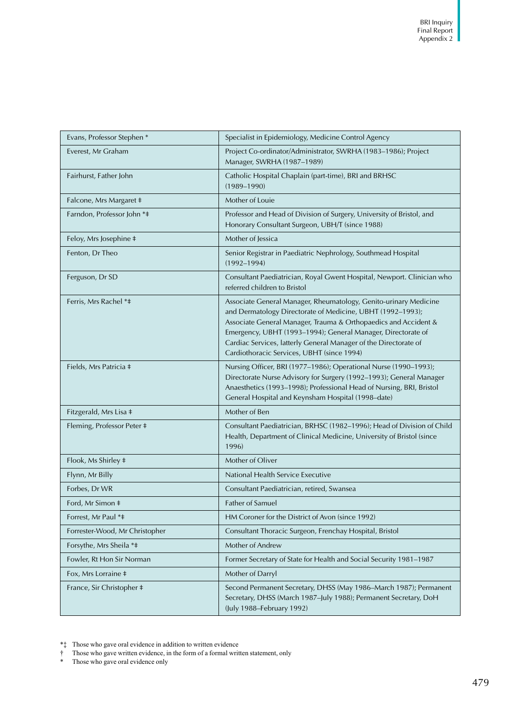| Evans, Professor Stephen *     | Specialist in Epidemiology, Medicine Control Agency                                                                                                                                                                                                                                                                                                                                 |
|--------------------------------|-------------------------------------------------------------------------------------------------------------------------------------------------------------------------------------------------------------------------------------------------------------------------------------------------------------------------------------------------------------------------------------|
| Everest, Mr Graham             | Project Co-ordinator/Administrator, SWRHA (1983-1986); Project<br>Manager, SWRHA (1987-1989)                                                                                                                                                                                                                                                                                        |
| Fairhurst, Father John         | Catholic Hospital Chaplain (part-time), BRI and BRHSC<br>$(1989 - 1990)$                                                                                                                                                                                                                                                                                                            |
| Falcone, Mrs Margaret ‡        | Mother of Louie                                                                                                                                                                                                                                                                                                                                                                     |
| Farndon, Professor John *‡     | Professor and Head of Division of Surgery, University of Bristol, and<br>Honorary Consultant Surgeon, UBH/T (since 1988)                                                                                                                                                                                                                                                            |
| Feloy, Mrs Josephine #         | Mother of Jessica                                                                                                                                                                                                                                                                                                                                                                   |
| Fenton, Dr Theo                | Senior Registrar in Paediatric Nephrology, Southmead Hospital<br>$(1992 - 1994)$                                                                                                                                                                                                                                                                                                    |
| Ferguson, Dr SD                | Consultant Paediatrician, Royal Gwent Hospital, Newport. Clinician who<br>referred children to Bristol                                                                                                                                                                                                                                                                              |
| Ferris, Mrs Rachel *‡          | Associate General Manager, Rheumatology, Genito-urinary Medicine<br>and Dermatology Directorate of Medicine, UBHT (1992-1993);<br>Associate General Manager, Trauma & Orthopaedics and Accident &<br>Emergency, UBHT (1993-1994); General Manager, Directorate of<br>Cardiac Services, latterly General Manager of the Directorate of<br>Cardiothoracic Services, UBHT (since 1994) |
| Fields, Mrs Patricia ‡         | Nursing Officer, BRI (1977-1986); Operational Nurse (1990-1993);<br>Directorate Nurse Advisory for Surgery (1992-1993); General Manager<br>Anaesthetics (1993-1998); Professional Head of Nursing, BRI, Bristol<br>General Hospital and Keynsham Hospital (1998-date)                                                                                                               |
| Fitzgerald, Mrs Lisa ‡         | Mother of Ben                                                                                                                                                                                                                                                                                                                                                                       |
| Fleming, Professor Peter #     | Consultant Paediatrician, BRHSC (1982-1996); Head of Division of Child<br>Health, Department of Clinical Medicine, University of Bristol (since<br>1996)                                                                                                                                                                                                                            |
| Flook, Ms Shirley #            | Mother of Oliver                                                                                                                                                                                                                                                                                                                                                                    |
| Flynn, Mr Billy                | National Health Service Executive                                                                                                                                                                                                                                                                                                                                                   |
| Forbes, Dr WR                  | Consultant Paediatrician, retired, Swansea                                                                                                                                                                                                                                                                                                                                          |
| Ford, Mr Simon ‡               | <b>Father of Samuel</b>                                                                                                                                                                                                                                                                                                                                                             |
| Forrest, Mr Paul *‡            | HM Coroner for the District of Avon (since 1992)                                                                                                                                                                                                                                                                                                                                    |
| Forrester-Wood, Mr Christopher | Consultant Thoracic Surgeon, Frenchay Hospital, Bristol                                                                                                                                                                                                                                                                                                                             |
| Forsythe, Mrs Sheila *‡        | Mother of Andrew                                                                                                                                                                                                                                                                                                                                                                    |
| Fowler, Rt Hon Sir Norman      | Former Secretary of State for Health and Social Security 1981-1987                                                                                                                                                                                                                                                                                                                  |
| Fox, Mrs Lorraine ‡            | Mother of Darryl                                                                                                                                                                                                                                                                                                                                                                    |
| France, Sir Christopher ‡      | Second Permanent Secretary, DHSS (May 1986–March 1987); Permanent<br>Secretary, DHSS (March 1987-July 1988); Permanent Secretary, DoH<br>(July 1988-February 1992)                                                                                                                                                                                                                  |

<sup>\*‡</sup> Those who gave oral evidence in addition to written evidence

<sup>†</sup> Those who gave written evidence, in the form of a formal written statement, only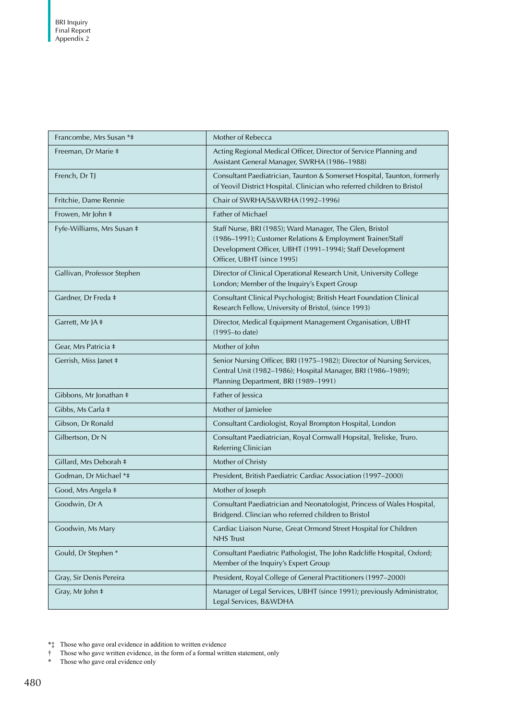| Francombe, Mrs Susan *‡     | Mother of Rebecca                                                                                                                                                                                                |
|-----------------------------|------------------------------------------------------------------------------------------------------------------------------------------------------------------------------------------------------------------|
| Freeman, Dr Marie ‡         | Acting Regional Medical Officer, Director of Service Planning and<br>Assistant General Manager, SWRHA (1986-1988)                                                                                                |
| French, Dr TJ               | Consultant Paediatrician, Taunton & Somerset Hospital, Taunton, formerly<br>of Yeovil District Hospital. Clinician who referred children to Bristol                                                              |
| Fritchie, Dame Rennie       | Chair of SWRHA/S&WRHA (1992-1996)                                                                                                                                                                                |
| Frowen, Mr John ‡           | Father of Michael                                                                                                                                                                                                |
| Fyfe-Williams, Mrs Susan ‡  | Staff Nurse, BRI (1985); Ward Manager, The Glen, Bristol<br>(1986-1991); Customer Relations & Employment Trainer/Staff<br>Development Officer, UBHT (1991-1994); Staff Development<br>Officer, UBHT (since 1995) |
| Gallivan, Professor Stephen | Director of Clinical Operational Research Unit, University College<br>London; Member of the Inquiry's Expert Group                                                                                               |
| Gardner, Dr Freda ‡         | Consultant Clinical Psychologist; British Heart Foundation Clinical<br>Research Fellow, University of Bristol, (since 1993)                                                                                      |
| Garrett, Mr JA ‡            | Director, Medical Equipment Management Organisation, UBHT<br>(1995-to date)                                                                                                                                      |
| Gear, Mrs Patricia ‡        | Mother of John                                                                                                                                                                                                   |
| Gerrish, Miss Janet ‡       | Senior Nursing Officer, BRI (1975-1982); Director of Nursing Services,<br>Central Unit (1982-1986); Hospital Manager, BRI (1986-1989);<br>Planning Department, BRI (1989-1991)                                   |
| Gibbons, Mr Jonathan ‡      | Father of Jessica                                                                                                                                                                                                |
| Gibbs, Ms Carla ‡           | Mother of Jamielee                                                                                                                                                                                               |
| Gibson, Dr Ronald           | Consultant Cardiologist, Royal Brompton Hospital, London                                                                                                                                                         |
| Gilbertson, Dr N            | Consultant Paediatrician, Royal Cornwall Hopsital, Treliske, Truro.<br>Referring Clinician                                                                                                                       |
| Gillard, Mrs Deborah ‡      | Mother of Christy                                                                                                                                                                                                |
| Godman, Dr Michael *‡       | President, British Paediatric Cardiac Association (1997-2000)                                                                                                                                                    |
| Good, Mrs Angela ‡          | Mother of Joseph                                                                                                                                                                                                 |
| Goodwin, Dr A               | Consultant Paediatrician and Neonatologist, Princess of Wales Hospital,<br>Bridgend. Clincian who referred children to Bristol                                                                                   |
| Goodwin, Ms Mary            | Cardiac Liaison Nurse, Great Ormond Street Hospital for Children<br><b>NHS Trust</b>                                                                                                                             |
| Gould, Dr Stephen *         | Consultant Paediatric Pathologist, The John Radcliffe Hospital, Oxford;<br>Member of the Inquiry's Expert Group                                                                                                  |
| Gray, Sir Denis Pereira     | President, Royal College of General Practitioners (1997-2000)                                                                                                                                                    |
| Gray, Mr John ‡             | Manager of Legal Services, UBHT (since 1991); previously Administrator,<br>Legal Services, B&WDHA                                                                                                                |

<sup>\*‡</sup> Those who gave oral evidence in addition to written evidence

- † Those who gave written evidence, in the form of a formal written statement, only
- \* Those who gave oral evidence only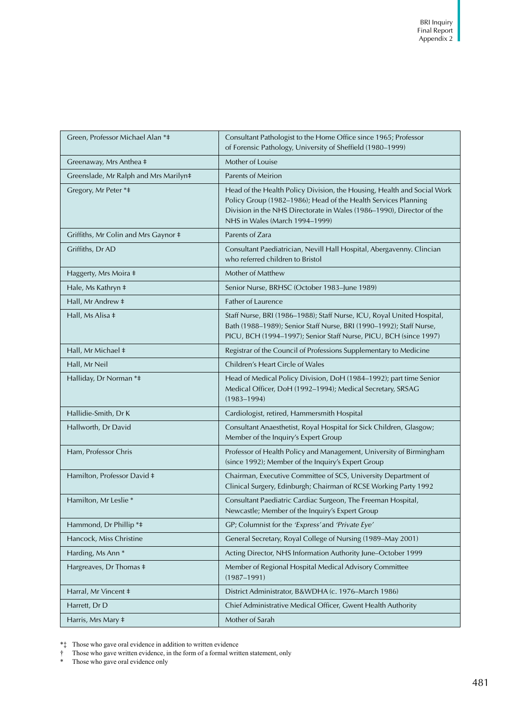| Green, Professor Michael Alan *‡      | Consultant Pathologist to the Home Office since 1965; Professor<br>of Forensic Pathology, University of Sheffield (1980-1999)                                                                                                                        |
|---------------------------------------|------------------------------------------------------------------------------------------------------------------------------------------------------------------------------------------------------------------------------------------------------|
| Greenaway, Mrs Anthea ‡               | Mother of Louise                                                                                                                                                                                                                                     |
| Greenslade, Mr Ralph and Mrs Marilyn‡ | <b>Parents of Meirion</b>                                                                                                                                                                                                                            |
| Gregory, Mr Peter *‡                  | Head of the Health Policy Division, the Housing, Health and Social Work<br>Policy Group (1982-1986); Head of the Health Services Planning<br>Division in the NHS Directorate in Wales (1986-1990), Director of the<br>NHS in Wales (March 1994-1999) |
| Griffiths, Mr Colin and Mrs Gaynor #  | Parents of Zara                                                                                                                                                                                                                                      |
| Griffiths, Dr AD                      | Consultant Paediatrician, Nevill Hall Hospital, Abergavenny. Clincian<br>who referred children to Bristol                                                                                                                                            |
| Haggerty, Mrs Moira ‡                 | Mother of Matthew                                                                                                                                                                                                                                    |
| Hale, Ms Kathryn $\ddagger$           | Senior Nurse, BRHSC (October 1983-June 1989)                                                                                                                                                                                                         |
| Hall, Mr Andrew ‡                     | <b>Father of Laurence</b>                                                                                                                                                                                                                            |
| Hall, Ms Alisa ‡                      | Staff Nurse, BRI (1986-1988); Staff Nurse, ICU, Royal United Hospital,<br>Bath (1988-1989); Senior Staff Nurse, BRI (1990-1992); Staff Nurse,<br>PICU, BCH (1994-1997); Senior Staff Nurse, PICU, BCH (since 1997)                                   |
| Hall, Mr Michael ‡                    | Registrar of the Council of Professions Supplementary to Medicine                                                                                                                                                                                    |
| Hall, Mr Neil                         | Children's Heart Circle of Wales                                                                                                                                                                                                                     |
| Halliday, Dr Norman *‡                | Head of Medical Policy Division, DoH (1984-1992); part time Senior<br>Medical Officer, DoH (1992-1994); Medical Secretary, SRSAG<br>$(1983 - 1994)$                                                                                                  |
| Hallidie-Smith, Dr K                  | Cardiologist, retired, Hammersmith Hospital                                                                                                                                                                                                          |
| Hallworth, Dr David                   | Consultant Anaesthetist, Royal Hospital for Sick Children, Glasgow;<br>Member of the Inquiry's Expert Group                                                                                                                                          |
| Ham, Professor Chris                  | Professor of Health Policy and Management, University of Birmingham<br>(since 1992); Member of the Inquiry's Expert Group                                                                                                                            |
| Hamilton, Professor David #           | Chairman, Executive Committee of SCS, University Department of<br>Clinical Surgery, Edinburgh; Chairman of RCSE Working Party 1992                                                                                                                   |
| Hamilton, Mr Leslie*                  | Consultant Paediatric Cardiac Surgeon, The Freeman Hospital,<br>Newcastle; Member of the Inquiry's Expert Group                                                                                                                                      |
| Hammond, Dr Phillip *‡                | GP; Columnist for the 'Express' and 'Private Eye'                                                                                                                                                                                                    |
| Hancock, Miss Christine               | General Secretary, Royal College of Nursing (1989-May 2001)                                                                                                                                                                                          |
| Harding, Ms Ann *                     | Acting Director, NHS Information Authority June-October 1999                                                                                                                                                                                         |
| Hargreaves, Dr Thomas ‡               | Member of Regional Hospital Medical Advisory Committee<br>$(1987 - 1991)$                                                                                                                                                                            |
| Harral, Mr Vincent ‡                  | District Administrator, B&WDHA (c. 1976–March 1986)                                                                                                                                                                                                  |
| Harrett, Dr D                         | Chief Administrative Medical Officer, Gwent Health Authority                                                                                                                                                                                         |
| Harris, Mrs Mary #                    | Mother of Sarah                                                                                                                                                                                                                                      |

\*‡ Those who gave oral evidence in addition to written evidence

† Those who gave written evidence, in the form of a formal written statement, only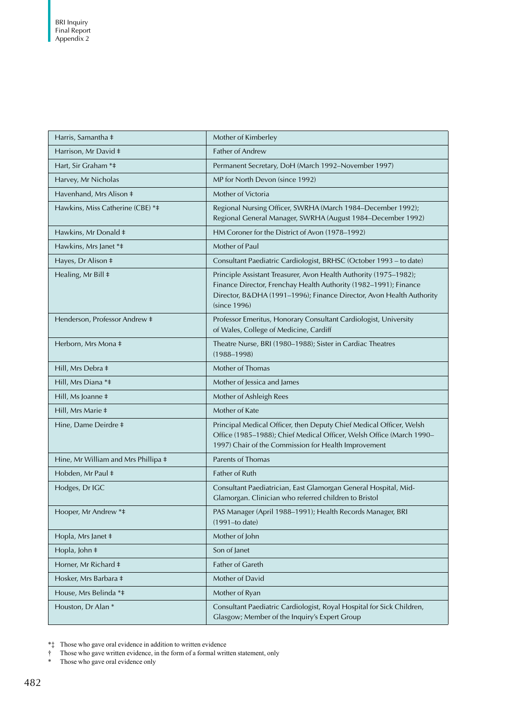| Harris, Samantha ‡                  | Mother of Kimberley                                                                                                                                                                                                           |
|-------------------------------------|-------------------------------------------------------------------------------------------------------------------------------------------------------------------------------------------------------------------------------|
| Harrison, Mr David ‡                | <b>Father of Andrew</b>                                                                                                                                                                                                       |
| Hart, Sir Graham *‡                 | Permanent Secretary, DoH (March 1992-November 1997)                                                                                                                                                                           |
| Harvey, Mr Nicholas                 | MP for North Devon (since 1992)                                                                                                                                                                                               |
| Havenhand, Mrs Alison ‡             | Mother of Victoria                                                                                                                                                                                                            |
| Hawkins, Miss Catherine (CBE) *‡    | Regional Nursing Officer, SWRHA (March 1984–December 1992);<br>Regional General Manager, SWRHA (August 1984–December 1992)                                                                                                    |
| Hawkins, Mr Donald ‡                | HM Coroner for the District of Avon (1978–1992)                                                                                                                                                                               |
| Hawkins, Mrs Janet *‡               | Mother of Paul                                                                                                                                                                                                                |
| Hayes, Dr Alison #                  | Consultant Paediatric Cardiologist, BRHSC (October 1993 - to date)                                                                                                                                                            |
| Healing, Mr Bill ‡                  | Principle Assistant Treasurer, Avon Health Authority (1975-1982);<br>Finance Director, Frenchay Health Authority (1982-1991); Finance<br>Director, B&DHA (1991-1996); Finance Director, Avon Health Authority<br>(since 1996) |
| Henderson, Professor Andrew #       | Professor Emeritus, Honorary Consultant Cardiologist, University<br>of Wales, College of Medicine, Cardiff                                                                                                                    |
| Herborn, Mrs Mona ‡                 | Theatre Nurse, BRI (1980-1988); Sister in Cardiac Theatres<br>$(1988 - 1998)$                                                                                                                                                 |
| Hill, Mrs Debra ‡                   | Mother of Thomas                                                                                                                                                                                                              |
| Hill, Mrs Diana *‡                  | Mother of Jessica and James                                                                                                                                                                                                   |
| Hill, Ms Joanne ‡                   | Mother of Ashleigh Rees                                                                                                                                                                                                       |
| Hill, Mrs Marie ‡                   | Mother of Kate                                                                                                                                                                                                                |
| Hine, Dame Deirdre ‡                | Principal Medical Officer, then Deputy Chief Medical Officer, Welsh<br>Office (1985-1988); Chief Medical Officer, Welsh Office (March 1990-<br>1997) Chair of the Commission for Health Improvement                           |
| Hine, Mr William and Mrs Phillipa ‡ | Parents of Thomas                                                                                                                                                                                                             |
| Hobden, Mr Paul ‡                   | Father of Ruth                                                                                                                                                                                                                |
| Hodges, Dr IGC                      | Consultant Paediatrician, East Glamorgan General Hospital, Mid-<br>Glamorgan. Clinician who referred children to Bristol                                                                                                      |
| Hooper, Mr Andrew **                | PAS Manager (April 1988-1991); Health Records Manager, BRI<br>(1991–to date)                                                                                                                                                  |
| Hopla, Mrs Janet ‡                  | Mother of John                                                                                                                                                                                                                |
| Hopla, John #                       | Son of Janet                                                                                                                                                                                                                  |
| Horner, Mr Richard ‡                | Father of Gareth                                                                                                                                                                                                              |
| Hosker, Mrs Barbara ‡               | Mother of David                                                                                                                                                                                                               |
| House, Mrs Belinda *‡               | Mother of Ryan                                                                                                                                                                                                                |
| Houston, Dr Alan *                  | Consultant Paediatric Cardiologist, Royal Hospital for Sick Children,<br>Glasgow; Member of the Inquiry's Expert Group                                                                                                        |

<sup>\*‡</sup> Those who gave oral evidence in addition to written evidence

<sup>†</sup> Those who gave written evidence, in the form of a formal written statement, only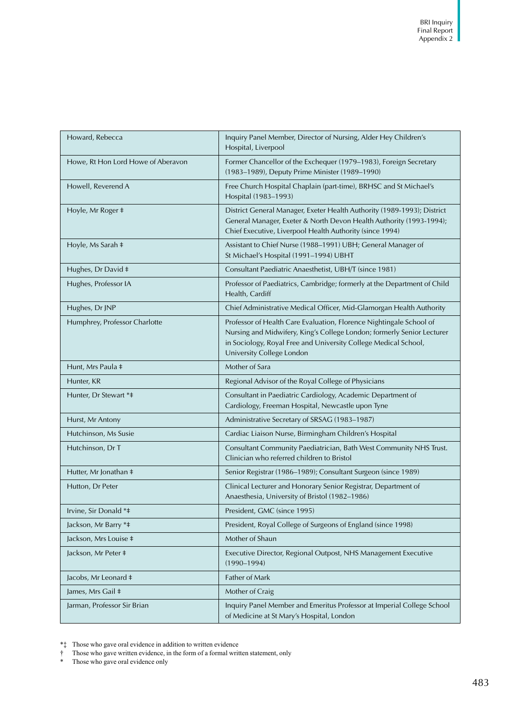| Howard, Rebecca                    | Inquiry Panel Member, Director of Nursing, Alder Hey Children's<br>Hospital, Liverpool                                                                                                                                                        |
|------------------------------------|-----------------------------------------------------------------------------------------------------------------------------------------------------------------------------------------------------------------------------------------------|
| Howe, Rt Hon Lord Howe of Aberavon | Former Chancellor of the Exchequer (1979-1983), Foreign Secretary<br>(1983-1989), Deputy Prime Minister (1989-1990)                                                                                                                           |
| Howell, Reverend A                 | Free Church Hospital Chaplain (part-time), BRHSC and St Michael's<br>Hospital (1983-1993)                                                                                                                                                     |
| Hoyle, Mr Roger #                  | District General Manager, Exeter Health Authority (1989-1993); District<br>General Manager, Exeter & North Devon Health Authority (1993-1994);<br>Chief Executive, Liverpool Health Authority (since 1994)                                    |
| Hoyle, Ms Sarah ‡                  | Assistant to Chief Nurse (1988-1991) UBH; General Manager of<br>St Michael's Hospital (1991-1994) UBHT                                                                                                                                        |
| Hughes, Dr David #                 | Consultant Paediatric Anaesthetist, UBH/T (since 1981)                                                                                                                                                                                        |
| Hughes, Professor IA               | Professor of Paediatrics, Cambridge; formerly at the Department of Child<br>Health, Cardiff                                                                                                                                                   |
| Hughes, Dr JNP                     | Chief Administrative Medical Officer, Mid-Glamorgan Health Authority                                                                                                                                                                          |
| Humphrey, Professor Charlotte      | Professor of Health Care Evaluation, Florence Nightingale School of<br>Nursing and Midwifery, King's College London; formerly Senior Lecturer<br>in Sociology, Royal Free and University College Medical School,<br>University College London |
| Hunt, Mrs Paula ‡                  | Mother of Sara                                                                                                                                                                                                                                |
| Hunter, KR                         | Regional Advisor of the Royal College of Physicians                                                                                                                                                                                           |
| Hunter, Dr Stewart *‡              | Consultant in Paediatric Cardiology, Academic Department of<br>Cardiology, Freeman Hospital, Newcastle upon Tyne                                                                                                                              |
| Hurst, Mr Antony                   | Administrative Secretary of SRSAG (1983-1987)                                                                                                                                                                                                 |
| Hutchinson, Ms Susie               | Cardiac Liaison Nurse, Birmingham Children's Hospital                                                                                                                                                                                         |
| Hutchinson, Dr T                   | Consultant Community Paediatrician, Bath West Community NHS Trust.<br>Clinician who referred children to Bristol                                                                                                                              |
| Hutter, Mr Jonathan ‡              | Senior Registrar (1986-1989); Consultant Surgeon (since 1989)                                                                                                                                                                                 |
| Hutton, Dr Peter                   | Clinical Lecturer and Honorary Senior Registrar, Department of<br>Anaesthesia, University of Bristol (1982-1986)                                                                                                                              |
| Irvine, Sir Donald *‡              | President, GMC (since 1995)                                                                                                                                                                                                                   |
| Jackson, Mr Barry *‡               | President, Royal College of Surgeons of England (since 1998)                                                                                                                                                                                  |
| Jackson, Mrs Louise ‡              | Mother of Shaun                                                                                                                                                                                                                               |
| Jackson, Mr Peter ‡                | Executive Director, Regional Outpost, NHS Management Executive<br>$(1990 - 1994)$                                                                                                                                                             |
| Jacobs, Mr Leonard ‡               | Father of Mark                                                                                                                                                                                                                                |
| James, Mrs Gail ‡                  | Mother of Craig                                                                                                                                                                                                                               |
| Jarman, Professor Sir Brian        | Inquiry Panel Member and Emeritus Professor at Imperial College School<br>of Medicine at St Mary's Hospital, London                                                                                                                           |

<sup>\*‡</sup> Those who gave oral evidence in addition to written evidence

<sup>†</sup> Those who gave written evidence, in the form of a formal written statement, only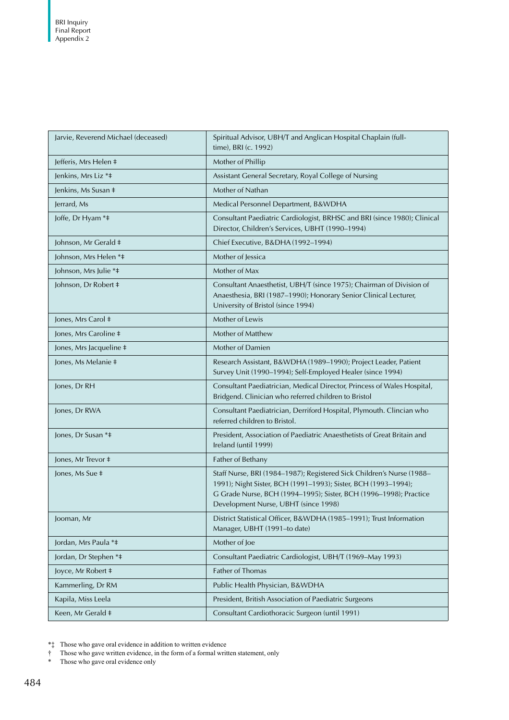| Jarvie, Reverend Michael (deceased) | Spiritual Advisor, UBH/T and Anglican Hospital Chaplain (full-<br>time), BRI (c. 1992)                                                                                                                                                               |
|-------------------------------------|------------------------------------------------------------------------------------------------------------------------------------------------------------------------------------------------------------------------------------------------------|
| Jefferis, Mrs Helen ‡               | Mother of Phillip                                                                                                                                                                                                                                    |
| Jenkins, Mrs Liz *‡                 | Assistant General Secretary, Royal College of Nursing                                                                                                                                                                                                |
| Jenkins, Ms Susan ‡                 | Mother of Nathan                                                                                                                                                                                                                                     |
| Jerrard, Ms                         | Medical Personnel Department, B&WDHA                                                                                                                                                                                                                 |
| Joffe, Dr Hyam *‡                   | Consultant Paediatric Cardiologist, BRHSC and BRI (since 1980); Clinical<br>Director, Children's Services, UBHT (1990-1994)                                                                                                                          |
| Johnson, Mr Gerald ‡                | Chief Executive, B&DHA (1992-1994)                                                                                                                                                                                                                   |
| Johnson, Mrs Helen *‡               | Mother of Jessica                                                                                                                                                                                                                                    |
| Johnson, Mrs Julie *‡               | Mother of Max                                                                                                                                                                                                                                        |
| Johnson, Dr Robert #                | Consultant Anaesthetist, UBH/T (since 1975); Chairman of Division of<br>Anaesthesia, BRI (1987-1990); Honorary Senior Clinical Lecturer,<br>University of Bristol (since 1994)                                                                       |
| Jones, Mrs Carol ‡                  | Mother of Lewis                                                                                                                                                                                                                                      |
| Jones, Mrs Caroline ‡               | Mother of Matthew                                                                                                                                                                                                                                    |
| Jones, Mrs Jacqueline ‡             | Mother of Damien                                                                                                                                                                                                                                     |
| Jones, Ms Melanie ‡                 | Research Assistant, B&WDHA (1989-1990); Project Leader, Patient<br>Survey Unit (1990-1994); Self-Employed Healer (since 1994)                                                                                                                        |
| Jones, Dr RH                        | Consultant Paediatrician, Medical Director, Princess of Wales Hospital,<br>Bridgend. Clinician who referred children to Bristol                                                                                                                      |
| Jones, Dr RWA                       | Consultant Paediatrician, Derriford Hospital, Plymouth. Clincian who<br>referred children to Bristol.                                                                                                                                                |
| Jones, Dr Susan *‡                  | President, Association of Paediatric Anaesthetists of Great Britain and<br>Ireland (until 1999)                                                                                                                                                      |
| Jones, Mr Trevor #                  | Father of Bethany                                                                                                                                                                                                                                    |
| Jones, Ms Sue ‡                     | Staff Nurse, BRI (1984-1987); Registered Sick Children's Nurse (1988-<br>1991); Night Sister, BCH (1991-1993); Sister, BCH (1993-1994);<br>G Grade Nurse, BCH (1994-1995); Sister, BCH (1996-1998); Practice<br>Development Nurse, UBHT (since 1998) |
| Jooman, Mr                          | District Statistical Officer, B&WDHA (1985-1991); Trust Information<br>Manager, UBHT (1991-to date)                                                                                                                                                  |
| Jordan, Mrs Paula *‡                | Mother of Joe                                                                                                                                                                                                                                        |
| Jordan, Dr Stephen *‡               | Consultant Paediatric Cardiologist, UBH/T (1969-May 1993)                                                                                                                                                                                            |
| Joyce, Mr Robert #                  | Father of Thomas                                                                                                                                                                                                                                     |
| Kammerling, Dr RM                   | Public Health Physician, B&WDHA                                                                                                                                                                                                                      |
| Kapila, Miss Leela                  | President, British Association of Paediatric Surgeons                                                                                                                                                                                                |
| Keen, Mr Gerald ‡                   | Consultant Cardiothoracic Surgeon (until 1991)                                                                                                                                                                                                       |

<sup>\*‡</sup> Those who gave oral evidence in addition to written evidence

<sup>†</sup> Those who gave written evidence, in the form of a formal written statement, only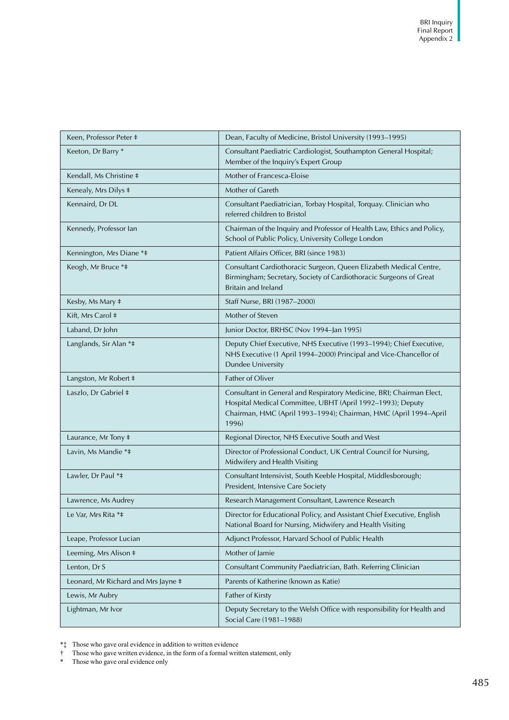| Keen, Professor Peter ‡             | Dean, Faculty of Medicine, Bristol University (1993-1995)                                                                                                                                                       |
|-------------------------------------|-----------------------------------------------------------------------------------------------------------------------------------------------------------------------------------------------------------------|
| Keeton, Dr Barry *                  | Consultant Paediatric Cardiologist, Southampton General Hospital;<br>Member of the Inquiry's Expert Group                                                                                                       |
| Kendall, Ms Christine ‡             | Mother of Francesca-Eloise                                                                                                                                                                                      |
| Kenealy, Mrs Dilys ‡                | Mother of Gareth                                                                                                                                                                                                |
| Kennaird, Dr DL                     | Consultant Paediatrician, Torbay Hospital, Torquay. Clinician who<br>referred children to Bristol                                                                                                               |
| Kennedy, Professor Ian              | Chairman of the Inquiry and Professor of Health Law, Ethics and Policy,<br>School of Public Policy, University College London                                                                                   |
| Kennington, Mrs Diane *‡            | Patient Affairs Officer, BRI (since 1983)                                                                                                                                                                       |
| Keogh, Mr Bruce *#                  | Consultant Cardiothoracic Surgeon, Queen Elizabeth Medical Centre,<br>Birmingham; Secretary, Society of Cardiothoracic Surgeons of Great<br><b>Britain and Ireland</b>                                          |
| Kesby, Ms Mary ‡                    | Staff Nurse, BRI (1987-2000)                                                                                                                                                                                    |
| Kift, Mrs Carol ‡                   | Mother of Steven                                                                                                                                                                                                |
| Laband, Dr John                     | Junior Doctor, BRHSC (Nov 1994-Jan 1995)                                                                                                                                                                        |
| Langlands, Sir Alan *‡              | Deputy Chief Executive, NHS Executive (1993-1994); Chief Executive,<br>NHS Executive (1 April 1994-2000) Principal and Vice-Chancellor of<br>Dundee University                                                  |
| Langston, Mr Robert #               | Father of Oliver                                                                                                                                                                                                |
| Laszlo, Dr Gabriel ‡                | Consultant in General and Respiratory Medicine, BRI; Chairman Elect,<br>Hospital Medical Committee, UBHT (April 1992-1993); Deputy<br>Chairman, HMC (April 1993-1994); Chairman, HMC (April 1994-April<br>1996) |
| Laurance, Mr Tony #                 | Regional Director, NHS Executive South and West                                                                                                                                                                 |
| Lavin, Ms Mandie *‡                 | Director of Professional Conduct, UK Central Council for Nursing,<br>Midwifery and Health Visiting                                                                                                              |
| Lawler, Dr Paul *‡                  | Consultant Intensivist, South Keeble Hospital, Middlesborough;<br>President, Intensive Care Society                                                                                                             |
| Lawrence, Ms Audrey                 | Research Management Consultant, Lawrence Research                                                                                                                                                               |
| Le Var, Mrs Rita *‡                 | Director for Educational Policy, and Assistant Chief Executive, English<br>National Board for Nursing, Midwifery and Health Visiting                                                                            |
| Leape, Professor Lucian             | Adjunct Professor, Harvard School of Public Health                                                                                                                                                              |
| Leeming, Mrs Alison #               | Mother of Jamie                                                                                                                                                                                                 |
| Lenton, Dr S                        | Consultant Community Paediatrician, Bath. Referring Clinician                                                                                                                                                   |
| Leonard, Mr Richard and Mrs Jayne ‡ | Parents of Katherine (known as Katie)                                                                                                                                                                           |
| Lewis, Mr Aubry                     | Father of Kirsty                                                                                                                                                                                                |
| Lightman, Mr Ivor                   | Deputy Secretary to the Welsh Office with responsibility for Health and<br>Social Care (1981-1988)                                                                                                              |

<sup>\*‡</sup> Those who gave oral evidence in addition to written evidence

<sup>†</sup> Those who gave written evidence, in the form of a formal written statement, only

<sup>\*</sup> Those who gave oral evidence only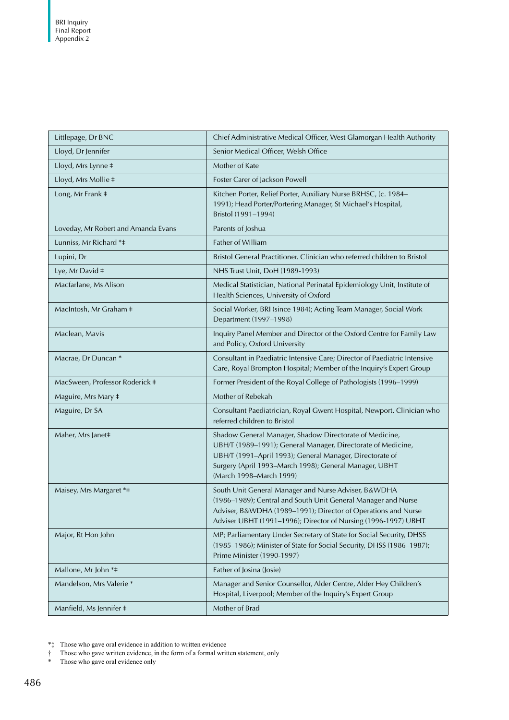| Littlepage, Dr BNC                  | Chief Administrative Medical Officer, West Glamorgan Health Authority                                                                                                                                                                                                    |
|-------------------------------------|--------------------------------------------------------------------------------------------------------------------------------------------------------------------------------------------------------------------------------------------------------------------------|
| Lloyd, Dr Jennifer                  | Senior Medical Officer, Welsh Office                                                                                                                                                                                                                                     |
| Lloyd, Mrs Lynne ‡                  | Mother of Kate                                                                                                                                                                                                                                                           |
| Lloyd, Mrs Mollie ‡                 | Foster Carer of Jackson Powell                                                                                                                                                                                                                                           |
| Long, Mr Frank #                    | Kitchen Porter, Relief Porter, Auxiliary Nurse BRHSC, (c. 1984-<br>1991); Head Porter/Portering Manager, St Michael's Hospital,<br>Bristol (1991-1994)                                                                                                                   |
| Loveday, Mr Robert and Amanda Evans | Parents of Joshua                                                                                                                                                                                                                                                        |
| Lunniss, Mr Richard *‡              | <b>Father of William</b>                                                                                                                                                                                                                                                 |
| Lupini, Dr                          | Bristol General Practitioner. Clinician who referred children to Bristol                                                                                                                                                                                                 |
| Lye, Mr David #                     | NHS Trust Unit, DoH (1989-1993)                                                                                                                                                                                                                                          |
| Macfarlane, Ms Alison               | Medical Statistician, National Perinatal Epidemiology Unit, Institute of<br>Health Sciences, University of Oxford                                                                                                                                                        |
| MacIntosh, Mr Graham ‡              | Social Worker, BRI (since 1984); Acting Team Manager, Social Work<br>Department (1997-1998)                                                                                                                                                                              |
| Maclean, Mavis                      | Inquiry Panel Member and Director of the Oxford Centre for Family Law<br>and Policy, Oxford University                                                                                                                                                                   |
| Macrae, Dr Duncan*                  | Consultant in Paediatric Intensive Care; Director of Paediatric Intensive<br>Care, Royal Brompton Hospital; Member of the Inquiry's Expert Group                                                                                                                         |
| MacSween, Professor Roderick ‡      | Former President of the Royal College of Pathologists (1996-1999)                                                                                                                                                                                                        |
| Maguire, Mrs Mary #                 | Mother of Rebekah                                                                                                                                                                                                                                                        |
| Maguire, Dr SA                      | Consultant Paediatrician, Royal Gwent Hospital, Newport. Clinician who<br>referred children to Bristol                                                                                                                                                                   |
| Maher, Mrs Janet‡                   | Shadow General Manager, Shadow Directorate of Medicine,<br>UBH/T (1989-1991); General Manager, Directorate of Medicine,<br>UBH/T (1991-April 1993); General Manager, Directorate of<br>Surgery (April 1993-March 1998); General Manager, UBHT<br>(March 1998-March 1999) |
| Maisey, Mrs Margaret **             | South Unit General Manager and Nurse Adviser, B&WDHA<br>(1986-1989); Central and South Unit General Manager and Nurse<br>Adviser, B&WDHA (1989-1991); Director of Operations and Nurse<br>Adviser UBHT (1991-1996); Director of Nursing (1996-1997) UBHT                 |
| Major, Rt Hon John                  | MP; Parliamentary Under Secretary of State for Social Security, DHSS<br>(1985-1986); Minister of State for Social Security, DHSS (1986-1987);<br>Prime Minister (1990-1997)                                                                                              |
| Mallone, Mr John *‡                 | Father of Josina (Josie)                                                                                                                                                                                                                                                 |
| Mandelson, Mrs Valerie *            | Manager and Senior Counsellor, Alder Centre, Alder Hey Children's<br>Hospital, Liverpool; Member of the Inquiry's Expert Group                                                                                                                                           |
| Manfield, Ms Jennifer #             | Mother of Brad                                                                                                                                                                                                                                                           |

<sup>\*‡</sup> Those who gave oral evidence in addition to written evidence

<sup>†</sup> Those who gave written evidence, in the form of a formal written statement, only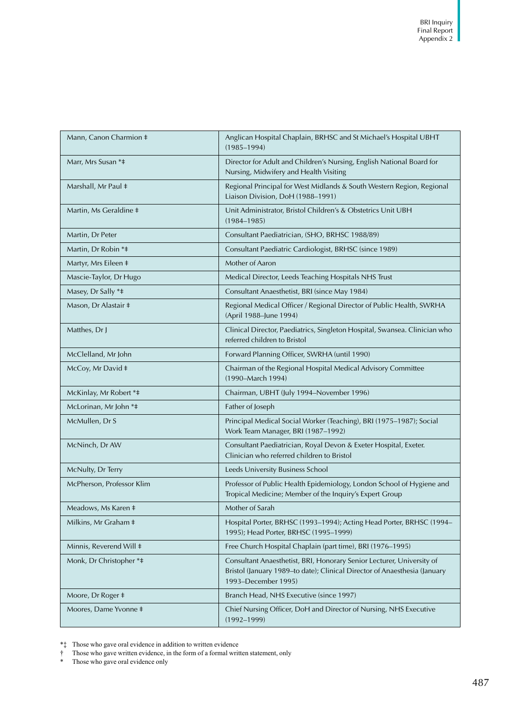| Mann, Canon Charmion ‡    | Anglican Hospital Chaplain, BRHSC and St Michael's Hospital UBHT<br>$(1985 - 1994)$                                                                                       |
|---------------------------|---------------------------------------------------------------------------------------------------------------------------------------------------------------------------|
| Marr, Mrs Susan *‡        | Director for Adult and Children's Nursing, English National Board for<br>Nursing, Midwifery and Health Visiting                                                           |
| Marshall, Mr Paul ‡       | Regional Principal for West Midlands & South Western Region, Regional<br>Liaison Division, DoH (1988-1991)                                                                |
| Martin, Ms Geraldine ‡    | Unit Administrator, Bristol Children's & Obstetrics Unit UBH<br>$(1984 - 1985)$                                                                                           |
| Martin, Dr Peter          | Consultant Paediatrician, (SHO, BRHSC 1988/89)                                                                                                                            |
| Martin, Dr Robin *‡       | Consultant Paediatric Cardiologist, BRHSC (since 1989)                                                                                                                    |
| Martyr, Mrs Eileen ‡      | Mother of Aaron                                                                                                                                                           |
| Mascie-Taylor, Dr Hugo    | Medical Director, Leeds Teaching Hospitals NHS Trust                                                                                                                      |
| Masey, Dr Sally *#        | Consultant Anaesthetist, BRI (since May 1984)                                                                                                                             |
| Mason, Dr Alastair ‡      | Regional Medical Officer / Regional Director of Public Health, SWRHA<br>(April 1988-June 1994)                                                                            |
| Matthes, Dr J             | Clinical Director, Paediatrics, Singleton Hospital, Swansea. Clinician who<br>referred children to Bristol                                                                |
| McClelland, Mr John       | Forward Planning Officer, SWRHA (until 1990)                                                                                                                              |
| McCoy, Mr David ‡         | Chairman of the Regional Hospital Medical Advisory Committee<br>(1990-March 1994)                                                                                         |
| McKinlay, Mr Robert **    | Chairman, UBHT (July 1994-November 1996)                                                                                                                                  |
| McLorinan, Mr John *‡     | Father of Joseph                                                                                                                                                          |
| McMullen, Dr S            | Principal Medical Social Worker (Teaching), BRI (1975-1987); Social<br>Work Team Manager, BRI (1987-1992)                                                                 |
| McNinch, Dr AW            | Consultant Paediatrician, Royal Devon & Exeter Hospital, Exeter.<br>Clinician who referred children to Bristol                                                            |
| McNulty, Dr Terry         | Leeds University Business School                                                                                                                                          |
| McPherson, Professor Klim | Professor of Public Health Epidemiology, London School of Hygiene and<br>Tropical Medicine; Member of the Inquiry's Expert Group                                          |
| Meadows, Ms Karen ‡       | Mother of Sarah                                                                                                                                                           |
| Milkins, Mr Graham ‡      | Hospital Porter, BRHSC (1993–1994); Acting Head Porter, BRHSC (1994–<br>1995); Head Porter, BRHSC (1995-1999)                                                             |
| Minnis, Reverend Will ‡   | Free Church Hospital Chaplain (part time), BRI (1976-1995)                                                                                                                |
| Monk, Dr Christopher *‡   | Consultant Anaesthetist, BRI, Honorary Senior Lecturer, University of<br>Bristol (January 1989-to date); Clinical Director of Anaesthesia (January<br>1993-December 1995) |
| Moore, Dr Roger ‡         | Branch Head, NHS Executive (since 1997)                                                                                                                                   |
| Moores, Dame Yvonne ‡     | Chief Nursing Officer, DoH and Director of Nursing, NHS Executive<br>$(1992 - 1999)$                                                                                      |

<sup>\*‡</sup> Those who gave oral evidence in addition to written evidence

<sup>†</sup> Those who gave written evidence, in the form of a formal written statement, only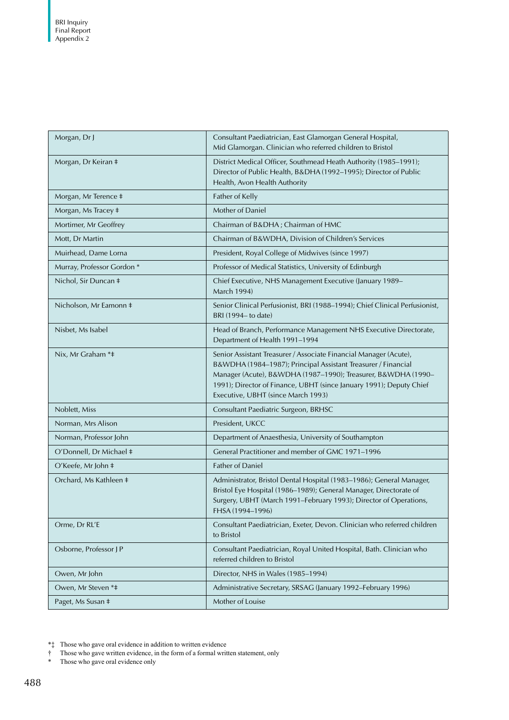| Morgan, Dr J              | Consultant Paediatrician, East Glamorgan General Hospital,<br>Mid Glamorgan. Clinician who referred children to Bristol                                                                                                                                                                                          |  |  |  |  |
|---------------------------|------------------------------------------------------------------------------------------------------------------------------------------------------------------------------------------------------------------------------------------------------------------------------------------------------------------|--|--|--|--|
| Morgan, Dr Keiran ‡       | District Medical Officer, Southmead Heath Authority (1985-1991);<br>Director of Public Health, B&DHA (1992-1995); Director of Public<br>Health, Avon Health Authority                                                                                                                                            |  |  |  |  |
| Morgan, Mr Terence #      | Father of Kelly                                                                                                                                                                                                                                                                                                  |  |  |  |  |
| Morgan, Ms Tracey ‡       | Mother of Daniel                                                                                                                                                                                                                                                                                                 |  |  |  |  |
| Mortimer, Mr Geoffrey     | Chairman of B&DHA ; Chairman of HMC                                                                                                                                                                                                                                                                              |  |  |  |  |
| Mott, Dr Martin           | Chairman of B&WDHA, Division of Children's Services                                                                                                                                                                                                                                                              |  |  |  |  |
| Muirhead, Dame Lorna      | President, Royal College of Midwives (since 1997)                                                                                                                                                                                                                                                                |  |  |  |  |
| Murray, Professor Gordon* | Professor of Medical Statistics, University of Edinburgh                                                                                                                                                                                                                                                         |  |  |  |  |
| Nichol, Sir Duncan ‡      | Chief Executive, NHS Management Executive (January 1989-<br>March 1994)                                                                                                                                                                                                                                          |  |  |  |  |
| Nicholson, Mr Eamonn ‡    | Senior Clinical Perfusionist, BRI (1988-1994); Chief Clinical Perfusionist,<br>BRI (1994-to date)                                                                                                                                                                                                                |  |  |  |  |
| Nisbet, Ms Isabel         | Head of Branch, Performance Management NHS Executive Directorate,<br>Department of Health 1991-1994                                                                                                                                                                                                              |  |  |  |  |
| Nix, Mr Graham *‡         | Senior Assistant Treasurer / Associate Financial Manager (Acute),<br>B&WDHA (1984-1987); Principal Assistant Treasurer / Financial<br>Manager (Acute), B&WDHA (1987-1990); Treasurer, B&WDHA (1990-<br>1991); Director of Finance, UBHT (since January 1991); Deputy Chief<br>Executive, UBHT (since March 1993) |  |  |  |  |
| Noblett, Miss             | Consultant Paediatric Surgeon, BRHSC                                                                                                                                                                                                                                                                             |  |  |  |  |
| Norman, Mrs Alison        | President, UKCC                                                                                                                                                                                                                                                                                                  |  |  |  |  |
| Norman, Professor John    | Department of Anaesthesia, University of Southampton                                                                                                                                                                                                                                                             |  |  |  |  |
| O'Donnell, Dr Michael ‡   | General Practitioner and member of GMC 1971-1996                                                                                                                                                                                                                                                                 |  |  |  |  |
| O'Keefe, Mr John ‡        | <b>Father of Daniel</b>                                                                                                                                                                                                                                                                                          |  |  |  |  |
| Orchard, Ms Kathleen ‡    | Administrator, Bristol Dental Hospital (1983-1986); General Manager,<br>Bristol Eye Hospital (1986-1989); General Manager, Directorate of<br>Surgery, UBHT (March 1991-February 1993); Director of Operations,<br>FHSA (1994-1996)                                                                               |  |  |  |  |
| Orme, Dr RL'E             | Consultant Paediatrician, Exeter, Devon. Clinician who referred children<br>to Bristol                                                                                                                                                                                                                           |  |  |  |  |
| Osborne, Professor J P    | Consultant Paediatrician, Royal United Hospital, Bath. Clinician who<br>referred children to Bristol                                                                                                                                                                                                             |  |  |  |  |
| Owen, Mr John             | Director, NHS in Wales (1985-1994)                                                                                                                                                                                                                                                                               |  |  |  |  |
| Owen, Mr Steven *‡        | Administrative Secretary, SRSAG (January 1992-February 1996)                                                                                                                                                                                                                                                     |  |  |  |  |
| Paget, Ms Susan ‡         | Mother of Louise                                                                                                                                                                                                                                                                                                 |  |  |  |  |

<sup>\*‡</sup> Those who gave oral evidence in addition to written evidence

<sup>†</sup> Those who gave written evidence, in the form of a formal written statement, only

<sup>\*</sup> Those who gave oral evidence only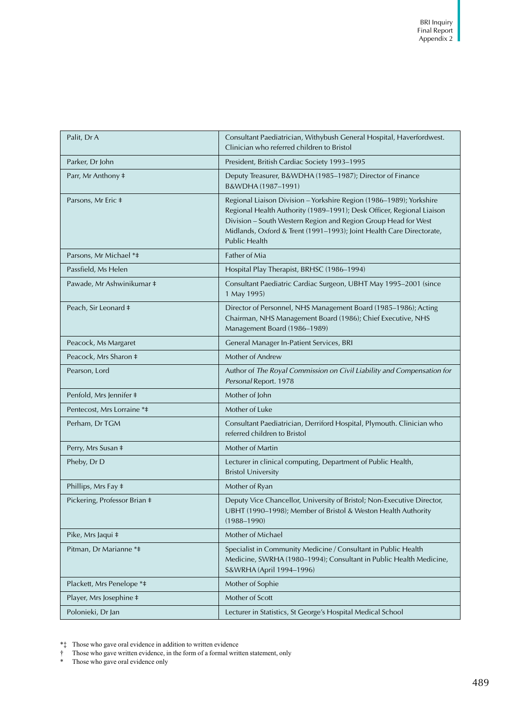| Palit, Dr A                  | Consultant Paediatrician, Withybush General Hospital, Haverfordwest.<br>Clinician who referred children to Bristol                                                                                                                                                                                      |  |  |  |  |
|------------------------------|---------------------------------------------------------------------------------------------------------------------------------------------------------------------------------------------------------------------------------------------------------------------------------------------------------|--|--|--|--|
| Parker, Dr John              | President, British Cardiac Society 1993-1995                                                                                                                                                                                                                                                            |  |  |  |  |
| Parr, Mr Anthony ‡           | Deputy Treasurer, B&WDHA (1985-1987); Director of Finance<br>B&WDHA (1987-1991)                                                                                                                                                                                                                         |  |  |  |  |
| Parsons, Mr Eric #           | Regional Liaison Division - Yorkshire Region (1986-1989); Yorkshire<br>Regional Health Authority (1989-1991); Desk Officer, Regional Liaison<br>Division - South Western Region and Region Group Head for West<br>Midlands, Oxford & Trent (1991-1993); Joint Health Care Directorate,<br>Public Health |  |  |  |  |
| Parsons, Mr Michael *‡       | Father of Mia                                                                                                                                                                                                                                                                                           |  |  |  |  |
| Passfield, Ms Helen          | Hospital Play Therapist, BRHSC (1986-1994)                                                                                                                                                                                                                                                              |  |  |  |  |
| Pawade, Mr Ashwinikumar #    | Consultant Paediatric Cardiac Surgeon, UBHT May 1995-2001 (since<br>1 May 1995)                                                                                                                                                                                                                         |  |  |  |  |
| Peach, Sir Leonard ‡         | Director of Personnel, NHS Management Board (1985-1986); Acting<br>Chairman, NHS Management Board (1986); Chief Executive, NHS<br>Management Board (1986-1989)                                                                                                                                          |  |  |  |  |
| Peacock, Ms Margaret         | General Manager In-Patient Services, BRI                                                                                                                                                                                                                                                                |  |  |  |  |
| Peacock, Mrs Sharon ‡        | Mother of Andrew                                                                                                                                                                                                                                                                                        |  |  |  |  |
| Pearson, Lord                | Author of The Royal Commission on Civil Liability and Compensation for<br>Personal Report. 1978                                                                                                                                                                                                         |  |  |  |  |
| Penfold, Mrs Jennifer ‡      | Mother of John                                                                                                                                                                                                                                                                                          |  |  |  |  |
| Pentecost, Mrs Lorraine *‡   | Mother of Luke                                                                                                                                                                                                                                                                                          |  |  |  |  |
| Perham, Dr TGM               | Consultant Paediatrician, Derriford Hospital, Plymouth. Clinician who<br>referred children to Bristol                                                                                                                                                                                                   |  |  |  |  |
| Perry, Mrs Susan ‡           | Mother of Martin                                                                                                                                                                                                                                                                                        |  |  |  |  |
| Pheby, Dr D                  | Lecturer in clinical computing, Department of Public Health,<br><b>Bristol University</b>                                                                                                                                                                                                               |  |  |  |  |
| Phillips, Mrs Fay ‡          | Mother of Ryan                                                                                                                                                                                                                                                                                          |  |  |  |  |
| Pickering, Professor Brian # | Deputy Vice Chancellor, University of Bristol; Non-Executive Director,<br>UBHT (1990-1998); Member of Bristol & Weston Health Authority<br>$(1988 - 1990)$                                                                                                                                              |  |  |  |  |
| Pike, Mrs Jaqui ‡            | Mother of Michael                                                                                                                                                                                                                                                                                       |  |  |  |  |
| Pitman, Dr Marianne *‡       | Specialist in Community Medicine / Consultant in Public Health<br>Medicine, SWRHA (1980-1994); Consultant in Public Health Medicine,<br>S&WRHA (April 1994-1996)                                                                                                                                        |  |  |  |  |
| Plackett, Mrs Penelope **    | Mother of Sophie                                                                                                                                                                                                                                                                                        |  |  |  |  |
| Player, Mrs Josephine ‡      | Mother of Scott                                                                                                                                                                                                                                                                                         |  |  |  |  |
| Polonieki, Dr Jan            | Lecturer in Statistics, St George's Hospital Medical School                                                                                                                                                                                                                                             |  |  |  |  |

<sup>\*‡</sup> Those who gave oral evidence in addition to written evidence

<sup>†</sup> Those who gave written evidence, in the form of a formal written statement, only

<sup>\*</sup> Those who gave oral evidence only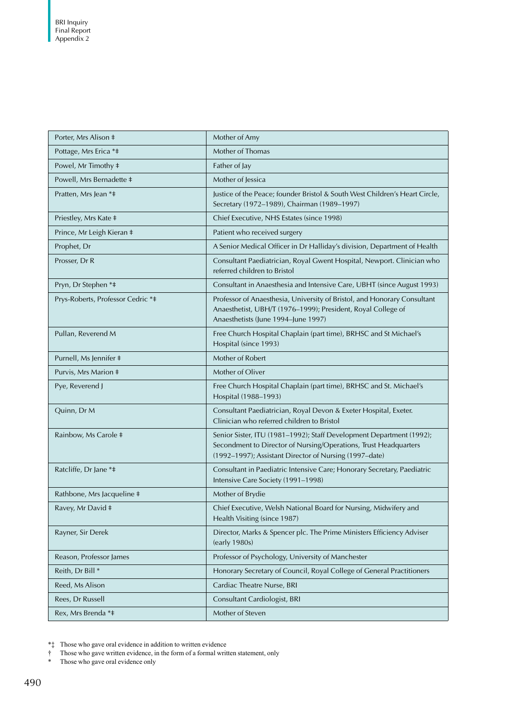| Porter, Mrs Alison ‡              | Mother of Amy                                                                                                                                                                                      |  |  |  |  |
|-----------------------------------|----------------------------------------------------------------------------------------------------------------------------------------------------------------------------------------------------|--|--|--|--|
| Pottage, Mrs Erica *‡             | Mother of Thomas                                                                                                                                                                                   |  |  |  |  |
| Powel, Mr Timothy #               | Father of Jay                                                                                                                                                                                      |  |  |  |  |
| Powell, Mrs Bernadette ‡          | Mother of Jessica                                                                                                                                                                                  |  |  |  |  |
| Pratten, Mrs Jean *‡              | Justice of the Peace; founder Bristol & South West Children's Heart Circle,<br>Secretary (1972-1989), Chairman (1989-1997)                                                                         |  |  |  |  |
| Priestley, Mrs Kate ‡             | Chief Executive, NHS Estates (since 1998)                                                                                                                                                          |  |  |  |  |
| Prince, Mr Leigh Kieran ‡         | Patient who received surgery                                                                                                                                                                       |  |  |  |  |
| Prophet, Dr                       | A Senior Medical Officer in Dr Halliday's division, Department of Health                                                                                                                           |  |  |  |  |
| Prosser, Dr R                     | Consultant Paediatrician, Royal Gwent Hospital, Newport. Clinician who<br>referred children to Bristol                                                                                             |  |  |  |  |
| Pryn, Dr Stephen *‡               | Consultant in Anaesthesia and Intensive Care, UBHT (since August 1993)                                                                                                                             |  |  |  |  |
| Prys-Roberts, Professor Cedric *# | Professor of Anaesthesia, University of Bristol, and Honorary Consultant<br>Anaesthetist, UBH/T (1976-1999); President, Royal College of<br>Anaesthetists (June 1994-June 1997)                    |  |  |  |  |
| Pullan, Reverend M                | Free Church Hospital Chaplain (part time), BRHSC and St Michael's<br>Hospital (since 1993)                                                                                                         |  |  |  |  |
| Purnell, Ms Jennifer #            | Mother of Robert                                                                                                                                                                                   |  |  |  |  |
| Purvis, Mrs Marion ‡              | Mother of Oliver                                                                                                                                                                                   |  |  |  |  |
| Pye, Reverend J                   | Free Church Hospital Chaplain (part time), BRHSC and St. Michael's<br>Hospital (1988-1993)                                                                                                         |  |  |  |  |
| Quinn, Dr M                       | Consultant Paediatrician, Royal Devon & Exeter Hospital, Exeter.<br>Clinician who referred children to Bristol                                                                                     |  |  |  |  |
| Rainbow, Ms Carole #              | Senior Sister, ITU (1981-1992); Staff Development Department (1992);<br>Secondment to Director of Nursing/Operations, Trust Headquarters<br>(1992-1997); Assistant Director of Nursing (1997-date) |  |  |  |  |
| Ratcliffe, Dr Jane *‡             | Consultant in Paediatric Intensive Care; Honorary Secretary, Paediatric<br>Intensive Care Society (1991-1998)                                                                                      |  |  |  |  |
| Rathbone, Mrs Jacqueline #        | Mother of Brydie                                                                                                                                                                                   |  |  |  |  |
| Ravey, Mr David #                 | Chief Executive, Welsh National Board for Nursing, Midwifery and<br>Health Visiting (since 1987)                                                                                                   |  |  |  |  |
| Rayner, Sir Derek                 | Director, Marks & Spencer plc. The Prime Ministers Efficiency Adviser<br>(early 1980s)                                                                                                             |  |  |  |  |
| Reason, Professor James           | Professor of Psychology, University of Manchester                                                                                                                                                  |  |  |  |  |
| Reith, Dr Bill *                  | Honorary Secretary of Council, Royal College of General Practitioners                                                                                                                              |  |  |  |  |
| Reed, Ms Alison                   | Cardiac Theatre Nurse, BRI                                                                                                                                                                         |  |  |  |  |
| Rees, Dr Russell                  | Consultant Cardiologist, BRI                                                                                                                                                                       |  |  |  |  |
| Rex, Mrs Brenda *‡                | Mother of Steven                                                                                                                                                                                   |  |  |  |  |

<sup>\*‡</sup> Those who gave oral evidence in addition to written evidence

<sup>†</sup> Those who gave written evidence, in the form of a formal written statement, only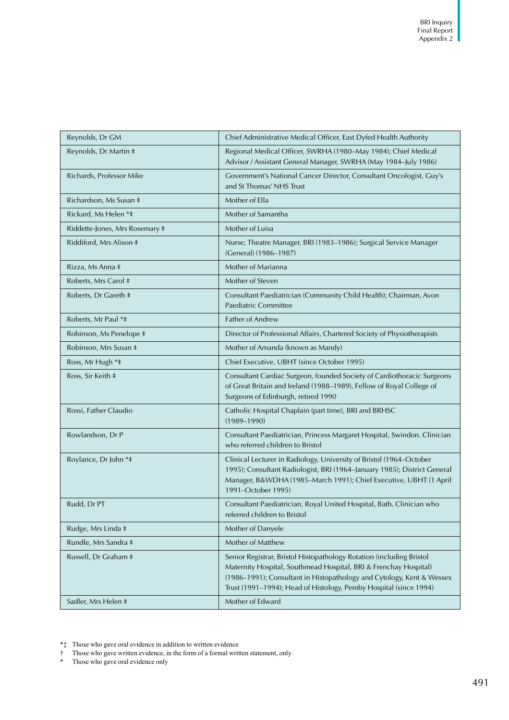| Reynolds, Dr GM                | Chief Administrative Medical Officer, East Dyfed Health Authority                                                                                                                                                                                                                      |  |  |  |
|--------------------------------|----------------------------------------------------------------------------------------------------------------------------------------------------------------------------------------------------------------------------------------------------------------------------------------|--|--|--|
| Reynolds, Dr Martin ‡          | Regional Medical Officer, SWRHA (1980-May 1984); Chief Medical<br>Advisor / Assistant General Manager, SWRHA (May 1984-July 1986)                                                                                                                                                      |  |  |  |
| Richards, Professor Mike       | Government's National Cancer Director, Consultant Oncologist, Guy's<br>and St Thomas' NHS Trust                                                                                                                                                                                        |  |  |  |
| Richardson, Ms Susan ‡         | Mother of Ella                                                                                                                                                                                                                                                                         |  |  |  |
| Rickard, Ms Helen *‡           | Mother of Samantha                                                                                                                                                                                                                                                                     |  |  |  |
| Riddette-Jones, Mrs Rosemary ‡ | Mother of Luisa                                                                                                                                                                                                                                                                        |  |  |  |
| Riddiford, Mrs Alison ‡        | Nurse; Theatre Manager, BRI (1983-1986); Surgical Service Manager<br>(General) (1986-1987)                                                                                                                                                                                             |  |  |  |
| Rizza, Ms Anna ‡               | Mother of Marianna                                                                                                                                                                                                                                                                     |  |  |  |
| Roberts, Mrs Carol ‡           | Mother of Steven                                                                                                                                                                                                                                                                       |  |  |  |
| Roberts, Dr Gareth ‡           | Consultant Paediatrician (Community Child Health); Chairman, Avon<br>Paediatric Committee                                                                                                                                                                                              |  |  |  |
| Roberts, Mr Paul *‡            | Father of Andrew                                                                                                                                                                                                                                                                       |  |  |  |
| Robinson, Ms Penelope ‡        | Director of Professional Affairs, Chartered Society of Physiotherapists                                                                                                                                                                                                                |  |  |  |
| Robinson, Mrs Susan ‡          | Mother of Amanda (known as Mandy)                                                                                                                                                                                                                                                      |  |  |  |
| Ross, Mr Hugh *‡               | Chief Executive, UBHT (since October 1995)                                                                                                                                                                                                                                             |  |  |  |
| Ross, Sir Keith ‡              | Consultant Cardiac Surgeon, founded Society of Cardiothoracic Surgeons<br>of Great Britain and Ireland (1988-1989), Fellow of Royal College of<br>Surgeons of Edinburgh, retired 1990                                                                                                  |  |  |  |
| Rossi, Father Claudio          | Catholic Hospital Chaplain (part time), BRI and BRHSC<br>$(1989 - 1990)$                                                                                                                                                                                                               |  |  |  |
| Rowlandson, Dr P               | Consultant Paediatrician, Princess Margaret Hospital, Swindon. Clinician<br>who referred children to Bristol                                                                                                                                                                           |  |  |  |
| Roylance, Dr John *‡           | Clinical Lecturer in Radiology, University of Bristol (1964-October<br>1995); Consultant Radiologist, BRI (1964–January 1985); District General<br>Manager, B&WDHA (1985-March 1991); Chief Executive, UBHT (1 April<br>1991-October 1995)                                             |  |  |  |
| Rudd, Dr PT                    | Consultant Paediatrician, Royal United Hospital, Bath. Clinician who<br>referred children to Bristol                                                                                                                                                                                   |  |  |  |
| Rudge, Mrs Linda ‡             | Mother of Danyele                                                                                                                                                                                                                                                                      |  |  |  |
| Rundle, Mrs Sandra ‡           | Mother of Matthew                                                                                                                                                                                                                                                                      |  |  |  |
| Russell, Dr Graham ‡           | Senior Registrar, Bristol Histopathology Rotation (including Bristol<br>Maternity Hospital, Southmead Hospital, BRI & Frenchay Hospital)<br>(1986-1991); Consultant in Histopathology and Cytology, Kent & Wessex<br>Trust (1991-1994); Head of Histology, Pemby Hospital (since 1994) |  |  |  |
| Sadler, Mrs Helen ‡            | Mother of Edward                                                                                                                                                                                                                                                                       |  |  |  |

<sup>\*‡</sup> Those who gave oral evidence in addition to written evidence

<sup>†</sup> Those who gave written evidence, in the form of a formal written statement, only

<sup>\*</sup> Those who gave oral evidence only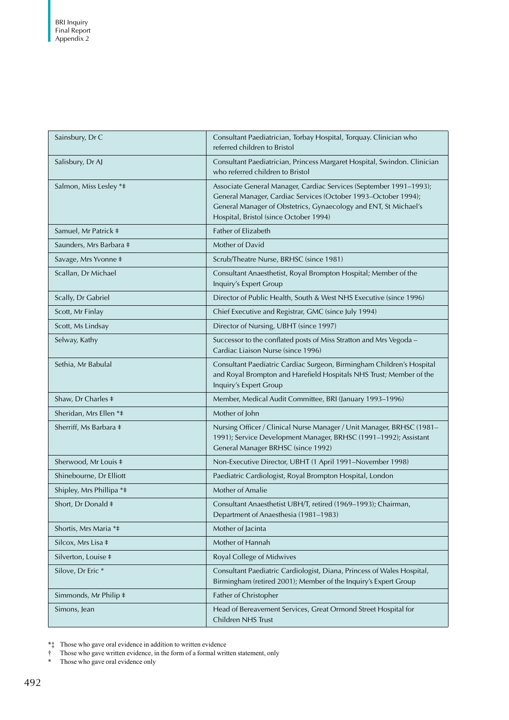| Sainsbury, Dr C          | Consultant Paediatrician, Torbay Hospital, Torquay. Clinician who<br>referred children to Bristol                                                                                                                                                  |  |  |  |  |
|--------------------------|----------------------------------------------------------------------------------------------------------------------------------------------------------------------------------------------------------------------------------------------------|--|--|--|--|
| Salisbury, Dr AJ         | Consultant Paediatrician, Princess Margaret Hospital, Swindon. Clinician<br>who referred children to Bristol                                                                                                                                       |  |  |  |  |
| Salmon, Miss Lesley *‡   | Associate General Manager, Cardiac Services (September 1991-1993);<br>General Manager, Cardiac Services (October 1993-October 1994);<br>General Manager of Obstetrics, Gynaecology and ENT, St Michael's<br>Hospital, Bristol (since October 1994) |  |  |  |  |
| Samuel, Mr Patrick ‡     | Father of Elizabeth                                                                                                                                                                                                                                |  |  |  |  |
| Saunders, Mrs Barbara ‡  | Mother of David                                                                                                                                                                                                                                    |  |  |  |  |
| Savage, Mrs Yvonne #     | Scrub/Theatre Nurse, BRHSC (since 1981)                                                                                                                                                                                                            |  |  |  |  |
| Scallan, Dr Michael      | Consultant Anaesthetist, Royal Brompton Hospital; Member of the<br>Inquiry's Expert Group                                                                                                                                                          |  |  |  |  |
| Scally, Dr Gabriel       | Director of Public Health, South & West NHS Executive (since 1996)                                                                                                                                                                                 |  |  |  |  |
| Scott, Mr Finlay         | Chief Executive and Registrar, GMC (since July 1994)                                                                                                                                                                                               |  |  |  |  |
| Scott, Ms Lindsay        | Director of Nursing, UBHT (since 1997)                                                                                                                                                                                                             |  |  |  |  |
| Selway, Kathy            | Successor to the conflated posts of Miss Stratton and Mrs Vegoda -<br>Cardiac Liaison Nurse (since 1996)                                                                                                                                           |  |  |  |  |
| Sethia, Mr Babulal       | Consultant Paediatric Cardiac Surgeon, Birmingham Children's Hospital<br>and Royal Brompton and Harefield Hospitals NHS Trust; Member of the<br>Inquiry's Expert Group                                                                             |  |  |  |  |
| Shaw, Dr Charles ‡       | Member, Medical Audit Committee, BRI (January 1993-1996)                                                                                                                                                                                           |  |  |  |  |
| Sheridan, Mrs Ellen *‡   | Mother of John                                                                                                                                                                                                                                     |  |  |  |  |
| Sherriff, Ms Barbara ‡   | Nursing Officer / Clinical Nurse Manager / Unit Manager, BRHSC (1981-<br>1991); Service Development Manager, BRHSC (1991-1992); Assistant<br>General Manager BRHSC (since 1992)                                                                    |  |  |  |  |
| Sherwood, Mr Louis ‡     | Non-Executive Director, UBHT (1 April 1991-November 1998)                                                                                                                                                                                          |  |  |  |  |
| Shinebourne, Dr Elliott  | Paediatric Cardiologist, Royal Brompton Hospital, London                                                                                                                                                                                           |  |  |  |  |
| Shipley, Mrs Phillipa *‡ | Mother of Amalie                                                                                                                                                                                                                                   |  |  |  |  |
| Short, Dr Donald ‡       | Consultant Anaesthetist UBH/T, retired (1969-1993); Chairman,<br>Department of Anaesthesia (1981-1983)                                                                                                                                             |  |  |  |  |
| Shortis, Mrs Maria *‡    | Mother of Jacinta                                                                                                                                                                                                                                  |  |  |  |  |
| Silcox, Mrs Lisa ‡       | Mother of Hannah                                                                                                                                                                                                                                   |  |  |  |  |
| Silverton, Louise #      | Royal College of Midwives                                                                                                                                                                                                                          |  |  |  |  |
| Silove, Dr Eric*         | Consultant Paediatric Cardiologist, Diana, Princess of Wales Hospital,<br>Birmingham (retired 2001); Member of the Inquiry's Expert Group                                                                                                          |  |  |  |  |
| Simmonds, Mr Philip ‡    | Father of Christopher                                                                                                                                                                                                                              |  |  |  |  |
| Simons, Jean             | Head of Bereavement Services, Great Ormond Street Hospital for<br>Children NHS Trust                                                                                                                                                               |  |  |  |  |

<sup>\*‡</sup> Those who gave oral evidence in addition to written evidence

<sup>†</sup> Those who gave written evidence, in the form of a formal written statement, only

<sup>\*</sup> Those who gave oral evidence only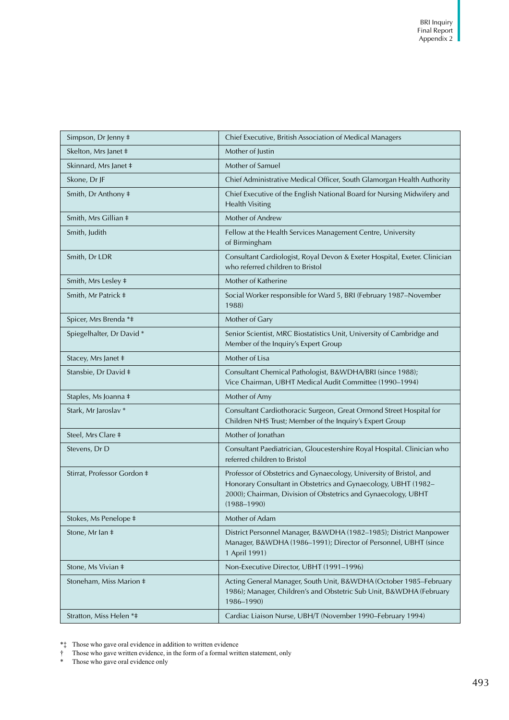| Simpson, Dr Jenny ‡         | Chief Executive, British Association of Medical Managers                                                                                                                                                                  |  |  |  |
|-----------------------------|---------------------------------------------------------------------------------------------------------------------------------------------------------------------------------------------------------------------------|--|--|--|
| Skelton, Mrs Janet ‡        | Mother of Justin                                                                                                                                                                                                          |  |  |  |
| Skinnard, Mrs Janet ‡       | Mother of Samuel                                                                                                                                                                                                          |  |  |  |
| Skone, Dr JF                | Chief Administrative Medical Officer, South Glamorgan Health Authority                                                                                                                                                    |  |  |  |
| Smith, Dr Anthony #         | Chief Executive of the English National Board for Nursing Midwifery and<br><b>Health Visiting</b>                                                                                                                         |  |  |  |
| Smith, Mrs Gillian #        | Mother of Andrew                                                                                                                                                                                                          |  |  |  |
| Smith, Judith               | Fellow at the Health Services Management Centre, University<br>of Birmingham                                                                                                                                              |  |  |  |
| Smith, Dr LDR               | Consultant Cardiologist, Royal Devon & Exeter Hospital, Exeter. Clinician<br>who referred children to Bristol                                                                                                             |  |  |  |
| Smith, Mrs Lesley #         | Mother of Katherine                                                                                                                                                                                                       |  |  |  |
| Smith, Mr Patrick #         | Social Worker responsible for Ward 5, BRI (February 1987-November<br>1988)                                                                                                                                                |  |  |  |
| Spicer, Mrs Brenda *‡       | Mother of Gary                                                                                                                                                                                                            |  |  |  |
| Spiegelhalter, Dr David *   | Senior Scientist, MRC Biostatistics Unit, University of Cambridge and<br>Member of the Inquiry's Expert Group                                                                                                             |  |  |  |
| Stacey, Mrs Janet #         | Mother of Lisa                                                                                                                                                                                                            |  |  |  |
| Stansbie, Dr David ‡        | Consultant Chemical Pathologist, B&WDHA/BRI (since 1988);<br>Vice Chairman, UBHT Medical Audit Committee (1990-1994)                                                                                                      |  |  |  |
| Staples, Ms Joanna ‡        | Mother of Amy                                                                                                                                                                                                             |  |  |  |
| Stark, Mr Jaroslav *        | Consultant Cardiothoracic Surgeon, Great Ormond Street Hospital for<br>Children NHS Trust; Member of the Inquiry's Expert Group                                                                                           |  |  |  |
| Steel, Mrs Clare ‡          | Mother of Jonathan                                                                                                                                                                                                        |  |  |  |
| Stevens, Dr D               | Consultant Paediatrician, Gloucestershire Royal Hospital. Clinician who<br>referred children to Bristol                                                                                                                   |  |  |  |
| Stirrat, Professor Gordon ‡ | Professor of Obstetrics and Gynaecology, University of Bristol, and<br>Honorary Consultant in Obstetrics and Gynaecology, UBHT (1982-<br>2000); Chairman, Division of Obstetrics and Gynaecology, UBHT<br>$(1988 - 1990)$ |  |  |  |
| Stokes, Ms Penelope ‡       | Mother of Adam                                                                                                                                                                                                            |  |  |  |
| Stone, Mr Ian ‡             | District Personnel Manager, B&WDHA (1982-1985); District Manpower<br>Manager, B&WDHA (1986-1991); Director of Personnel, UBHT (since<br>1 April 1991)                                                                     |  |  |  |
| Stone, Ms Vivian ‡          | Non-Executive Director, UBHT (1991-1996)                                                                                                                                                                                  |  |  |  |
| Stoneham, Miss Marion ‡     | Acting General Manager, South Unit, B&WDHA (October 1985-February<br>1986); Manager, Children's and Obstetric Sub Unit, B&WDHA (February<br>1986-1990)                                                                    |  |  |  |
| Stratton, Miss Helen *‡     | Cardiac Liaison Nurse, UBH/T (November 1990-February 1994)                                                                                                                                                                |  |  |  |

<sup>\*‡</sup> Those who gave oral evidence in addition to written evidence

<sup>†</sup> Those who gave written evidence, in the form of a formal written statement, only

<sup>\*</sup> Those who gave oral evidence only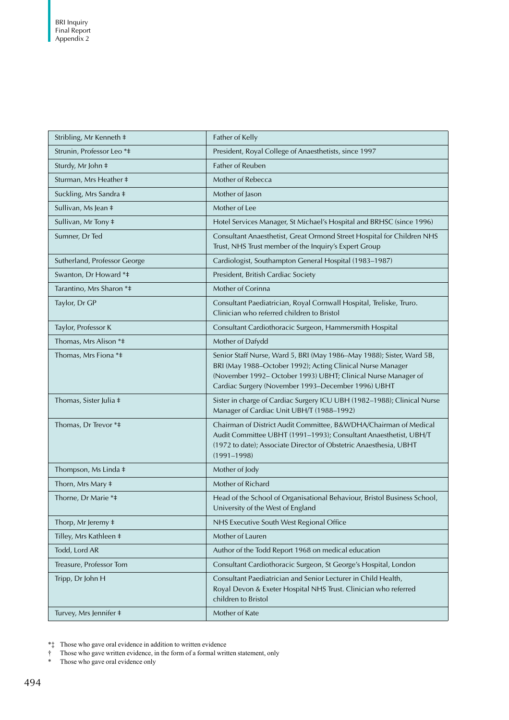| Stribling, Mr Kenneth ‡      | Father of Kelly                                                                                                                                                                                                                                            |  |  |  |  |
|------------------------------|------------------------------------------------------------------------------------------------------------------------------------------------------------------------------------------------------------------------------------------------------------|--|--|--|--|
| Strunin, Professor Leo *‡    | President, Royal College of Anaesthetists, since 1997                                                                                                                                                                                                      |  |  |  |  |
| Sturdy, Mr John ‡            | Father of Reuben                                                                                                                                                                                                                                           |  |  |  |  |
| Sturman, Mrs Heather ‡       | Mother of Rebecca                                                                                                                                                                                                                                          |  |  |  |  |
| Suckling, Mrs Sandra ‡       | Mother of Jason                                                                                                                                                                                                                                            |  |  |  |  |
| Sullivan, Ms Jean ‡          | Mother of Lee                                                                                                                                                                                                                                              |  |  |  |  |
| Sullivan, Mr Tony #          | Hotel Services Manager, St Michael's Hospital and BRHSC (since 1996)                                                                                                                                                                                       |  |  |  |  |
| Sumner, Dr Ted               | Consultant Anaesthetist, Great Ormond Street Hospital for Children NHS<br>Trust, NHS Trust member of the Inquiry's Expert Group                                                                                                                            |  |  |  |  |
| Sutherland, Professor George | Cardiologist, Southampton General Hospital (1983-1987)                                                                                                                                                                                                     |  |  |  |  |
| Swanton, Dr Howard *‡        | President, British Cardiac Society                                                                                                                                                                                                                         |  |  |  |  |
| Tarantino, Mrs Sharon *‡     | Mother of Corinna                                                                                                                                                                                                                                          |  |  |  |  |
| Taylor, Dr GP                | Consultant Paediatrician, Royal Cornwall Hospital, Treliske, Truro.<br>Clinician who referred children to Bristol                                                                                                                                          |  |  |  |  |
| Taylor, Professor K          | Consultant Cardiothoracic Surgeon, Hammersmith Hospital                                                                                                                                                                                                    |  |  |  |  |
| Thomas, Mrs Alison *‡        | Mother of Dafydd                                                                                                                                                                                                                                           |  |  |  |  |
| Thomas, Mrs Fiona *‡         | Senior Staff Nurse, Ward 5, BRI (May 1986-May 1988); Sister, Ward 5B,<br>BRI (May 1988-October 1992); Acting Clinical Nurse Manager<br>(November 1992– October 1993) UBHT; Clinical Nurse Manager of<br>Cardiac Surgery (November 1993-December 1996) UBHT |  |  |  |  |
| Thomas, Sister Julia ‡       | Sister in charge of Cardiac Surgery ICU UBH (1982-1988); Clinical Nurse<br>Manager of Cardiac Unit UBH/T (1988-1992)                                                                                                                                       |  |  |  |  |
| Thomas, Dr Trevor *‡         | Chairman of District Audit Committee, B&WDHA/Chairman of Medical<br>Audit Committee UBHT (1991-1993); Consultant Anaesthetist, UBH/T<br>(1972 to date); Associate Director of Obstetric Anaesthesia, UBHT<br>$(1991 - 1998)$                               |  |  |  |  |
| Thompson, Ms Linda ‡         | Mother of Jody                                                                                                                                                                                                                                             |  |  |  |  |
| Thorn, Mrs Mary #            | Mother of Richard                                                                                                                                                                                                                                          |  |  |  |  |
| Thorne, Dr Marie *‡          | Head of the School of Organisational Behaviour, Bristol Business School,<br>University of the West of England                                                                                                                                              |  |  |  |  |
| Thorp, Mr Jeremy #           | NHS Executive South West Regional Office                                                                                                                                                                                                                   |  |  |  |  |
| Tilley, Mrs Kathleen ‡       | Mother of Lauren                                                                                                                                                                                                                                           |  |  |  |  |
| Todd, Lord AR                | Author of the Todd Report 1968 on medical education                                                                                                                                                                                                        |  |  |  |  |
| Treasure, Professor Tom      | Consultant Cardiothoracic Surgeon, St George's Hospital, London                                                                                                                                                                                            |  |  |  |  |
| Tripp, Dr John H             | Consultant Paediatrician and Senior Lecturer in Child Health,<br>Royal Devon & Exeter Hospital NHS Trust. Clinician who referred<br>children to Bristol                                                                                                    |  |  |  |  |
| Turvey, Mrs Jennifer #       | Mother of Kate                                                                                                                                                                                                                                             |  |  |  |  |

<sup>\*‡</sup> Those who gave oral evidence in addition to written evidence

<sup>†</sup> Those who gave written evidence, in the form of a formal written statement, only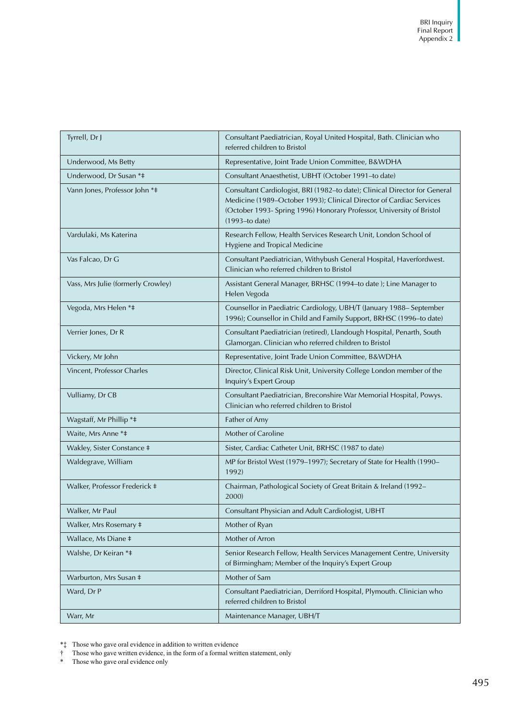| Tyrrell, Dr J                      | Consultant Paediatrician, Royal United Hospital, Bath. Clinician who<br>referred children to Bristol                                                                                                                                         |  |  |  |
|------------------------------------|----------------------------------------------------------------------------------------------------------------------------------------------------------------------------------------------------------------------------------------------|--|--|--|
| Underwood, Ms Betty                | Representative, Joint Trade Union Committee, B&WDHA                                                                                                                                                                                          |  |  |  |
| Underwood, Dr Susan *‡             | Consultant Anaesthetist, UBHT (October 1991-to date)                                                                                                                                                                                         |  |  |  |
| Vann Jones, Professor John *‡      | Consultant Cardiologist, BRI (1982-to date); Clinical Director for General<br>Medicine (1989-October 1993); Clinical Director of Cardiac Services<br>(October 1993- Spring 1996) Honorary Professor, University of Bristol<br>(1993-to date) |  |  |  |
| Vardulaki, Ms Katerina             | Research Fellow, Health Services Research Unit, London School of<br>Hygiene and Tropical Medicine                                                                                                                                            |  |  |  |
| Vas Falcao, Dr G                   | Consultant Paediatrician, Withybush General Hospital, Haverfordwest.<br>Clinician who referred children to Bristol                                                                                                                           |  |  |  |
| Vass, Mrs Julie (formerly Crowley) | Assistant General Manager, BRHSC (1994-to date); Line Manager to<br>Helen Vegoda                                                                                                                                                             |  |  |  |
| Vegoda, Mrs Helen *‡               | Counsellor in Paediatric Cardiology, UBH/T (January 1988- September<br>1996); Counsellor in Child and Family Support, BRHSC (1996-to date)                                                                                                   |  |  |  |
| Verrier Jones, Dr R                | Consultant Paediatrician (retired), Llandough Hospital, Penarth, South<br>Glamorgan. Clinician who referred children to Bristol                                                                                                              |  |  |  |
| Vickery, Mr John                   | Representative, Joint Trade Union Committee, B&WDHA                                                                                                                                                                                          |  |  |  |
| Vincent, Professor Charles         | Director, Clinical Risk Unit, University College London member of the<br>Inquiry's Expert Group                                                                                                                                              |  |  |  |
| Vulliamy, Dr CB                    | Consultant Paediatrician, Breconshire War Memorial Hospital, Powys.<br>Clinician who referred children to Bristol                                                                                                                            |  |  |  |
| Wagstaff, Mr Phillip *‡            | Father of Amy                                                                                                                                                                                                                                |  |  |  |
| Waite, Mrs Anne *‡                 | Mother of Caroline                                                                                                                                                                                                                           |  |  |  |
| Wakley, Sister Constance ‡         | Sister, Cardiac Catheter Unit, BRHSC (1987 to date)                                                                                                                                                                                          |  |  |  |
| Waldegrave, William                | MP for Bristol West (1979–1997); Secretary of State for Health (1990–<br>1992)                                                                                                                                                               |  |  |  |
| Walker, Professor Frederick ‡      | Chairman, Pathological Society of Great Britain & Ireland (1992-<br>2000)                                                                                                                                                                    |  |  |  |
| Walker, Mr Paul                    | Consultant Physician and Adult Cardiologist, UBHT                                                                                                                                                                                            |  |  |  |
| Walker, Mrs Rosemary ‡             | Mother of Ryan                                                                                                                                                                                                                               |  |  |  |
| Wallace, Ms Diane ‡                | Mother of Arron                                                                                                                                                                                                                              |  |  |  |
| Walshe, Dr Keiran *‡               | Senior Research Fellow, Health Services Management Centre, University<br>of Birmingham; Member of the Inquiry's Expert Group                                                                                                                 |  |  |  |
| Warburton, Mrs Susan ‡             | Mother of Sam                                                                                                                                                                                                                                |  |  |  |
| Ward, Dr P                         | Consultant Paediatrician, Derriford Hospital, Plymouth. Clinician who<br>referred children to Bristol                                                                                                                                        |  |  |  |
| Warr, Mr                           | Maintenance Manager, UBH/T                                                                                                                                                                                                                   |  |  |  |

<sup>\*‡</sup> Those who gave oral evidence in addition to written evidence

<sup>†</sup> Those who gave written evidence, in the form of a formal written statement, only

<sup>\*</sup> Those who gave oral evidence only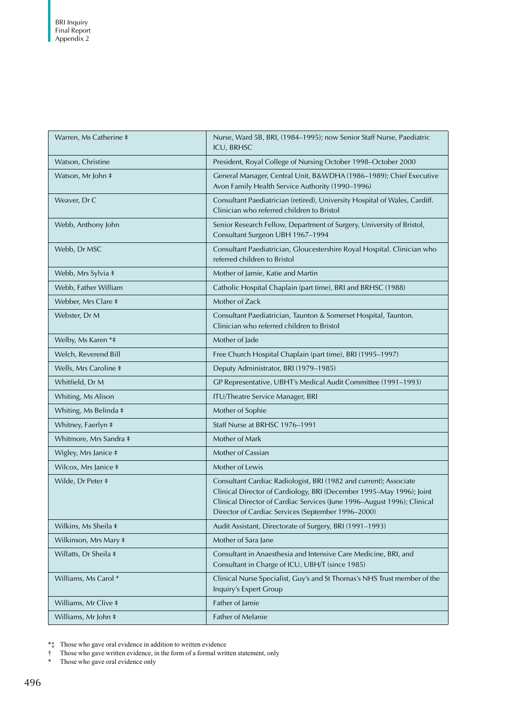| Warren, Ms Catherine ‡ | Nurse, Ward 5B, BRI, (1984-1995); now Senior Staff Nurse, Paediatric<br>ICU, BRHSC                                                                                                                                                                                         |  |  |  |  |
|------------------------|----------------------------------------------------------------------------------------------------------------------------------------------------------------------------------------------------------------------------------------------------------------------------|--|--|--|--|
| Watson, Christine      | President, Royal College of Nursing October 1998-October 2000                                                                                                                                                                                                              |  |  |  |  |
| Watson, Mr John ‡      | General Manager, Central Unit, B&WDHA (1986–1989); Chief Executive<br>Avon Family Health Service Authority (1990-1996)                                                                                                                                                     |  |  |  |  |
| Weaver, Dr C           | Consultant Paediatrician (retired), University Hospital of Wales, Cardiff.<br>Clinician who referred children to Bristol                                                                                                                                                   |  |  |  |  |
| Webb, Anthony John     | Senior Research Fellow, Department of Surgery, University of Bristol,<br>Consultant Surgeon UBH 1967-1994                                                                                                                                                                  |  |  |  |  |
| Webb, Dr MSC           | Consultant Paediatrician, Gloucestershire Royal Hospital. Clinician who<br>referred children to Bristol                                                                                                                                                                    |  |  |  |  |
| Webb, Mrs Sylvia ‡     | Mother of Jamie, Katie and Martin                                                                                                                                                                                                                                          |  |  |  |  |
| Webb, Father William   | Catholic Hospital Chaplain (part time), BRI and BRHSC (1988)                                                                                                                                                                                                               |  |  |  |  |
| Webber, Mrs Clare #    | Mother of Zack                                                                                                                                                                                                                                                             |  |  |  |  |
| Webster, Dr M          | Consultant Paediatrician, Taunton & Somerset Hospital, Taunton.<br>Clinician who referred children to Bristol                                                                                                                                                              |  |  |  |  |
| Welby, Ms Karen *‡     | Mother of Jade                                                                                                                                                                                                                                                             |  |  |  |  |
| Welch, Reverend Bill   | Free Church Hospital Chaplain (part time), BRI (1995-1997)                                                                                                                                                                                                                 |  |  |  |  |
| Wells, Mrs Caroline ‡  | Deputy Administrator, BRI (1979-1985)                                                                                                                                                                                                                                      |  |  |  |  |
| Whitfield, Dr M        | GP Representative, UBHT's Medical Audit Committee (1991-1993)                                                                                                                                                                                                              |  |  |  |  |
| Whiting, Ms Alison     | <b>ITU/Theatre Service Manager, BRI</b>                                                                                                                                                                                                                                    |  |  |  |  |
| Whiting, Ms Belinda ‡  | Mother of Sophie                                                                                                                                                                                                                                                           |  |  |  |  |
| Whitney, Faerlyn #     | Staff Nurse at BRHSC 1976-1991                                                                                                                                                                                                                                             |  |  |  |  |
| Whitmore, Mrs Sandra ‡ | Mother of Mark                                                                                                                                                                                                                                                             |  |  |  |  |
| Wigley, Mrs Janice ‡   | Mother of Cassian                                                                                                                                                                                                                                                          |  |  |  |  |
| Wilcox, Mrs Janice ‡   | Mother of Lewis                                                                                                                                                                                                                                                            |  |  |  |  |
| Wilde, Dr Peter #      | Consultant Cardiac Radiologist, BRI (1982 and current); Associate<br>Clinical Director of Cardiology, BRI (December 1995-May 1996); Joint<br>Clinical Director of Cardiac Services (June 1996-August 1996); Clinical<br>Director of Cardiac Services (September 1996-2000) |  |  |  |  |
| Wilkins, Ms Sheila #   | Audit Assistant, Directorate of Surgery, BRI (1991-1993)                                                                                                                                                                                                                   |  |  |  |  |
| Wilkinson, Mrs Mary ‡  | Mother of Sara Jane                                                                                                                                                                                                                                                        |  |  |  |  |
| Willatts, Dr Sheila ‡  | Consultant in Anaesthesia and Intensive Care Medicine, BRI, and<br>Consultant in Charge of ICU, UBH/T (since 1985)                                                                                                                                                         |  |  |  |  |
| Williams, Ms Carol *   | Clinical Nurse Specialist, Guy's and St Thomas's NHS Trust member of the<br>Inquiry's Expert Group                                                                                                                                                                         |  |  |  |  |
| Williams, Mr Clive #   | Father of Jamie                                                                                                                                                                                                                                                            |  |  |  |  |
| Williams, Mr John ‡    | <b>Father of Melanie</b>                                                                                                                                                                                                                                                   |  |  |  |  |

\*‡ Those who gave oral evidence in addition to written evidence

† Those who gave written evidence, in the form of a formal written statement, only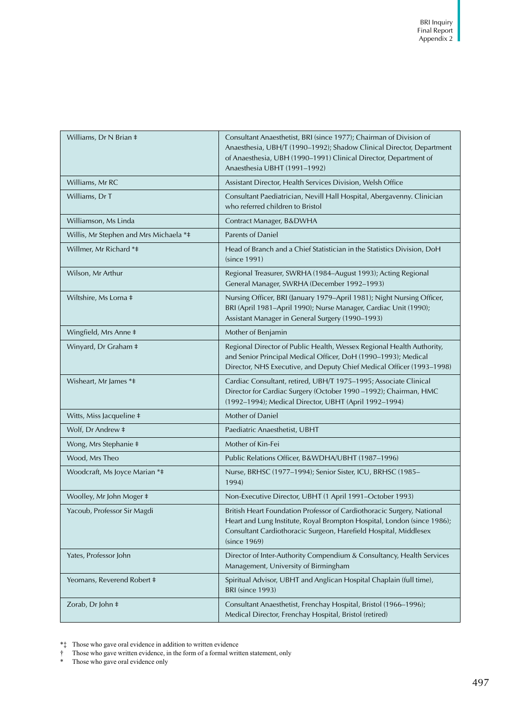| Williams, Dr N Brian ‡                 | Consultant Anaesthetist, BRI (since 1977); Chairman of Division of<br>Anaesthesia, UBH/T (1990-1992); Shadow Clinical Director, Department<br>of Anaesthesia, UBH (1990-1991) Clinical Director, Department of<br>Anaesthesia UBHT (1991-1992) |  |  |  |
|----------------------------------------|------------------------------------------------------------------------------------------------------------------------------------------------------------------------------------------------------------------------------------------------|--|--|--|
| Williams, Mr RC                        | Assistant Director, Health Services Division, Welsh Office                                                                                                                                                                                     |  |  |  |
| Williams, Dr T                         | Consultant Paediatrician, Nevill Hall Hospital, Abergavenny. Clinician<br>who referred children to Bristol                                                                                                                                     |  |  |  |
| Williamson, Ms Linda                   | Contract Manager, B&DWHA                                                                                                                                                                                                                       |  |  |  |
| Willis, Mr Stephen and Mrs Michaela *+ | <b>Parents of Daniel</b>                                                                                                                                                                                                                       |  |  |  |
| Willmer, Mr Richard *‡                 | Head of Branch and a Chief Statistician in the Statistics Division, DoH<br>(since 1991)                                                                                                                                                        |  |  |  |
| Wilson, Mr Arthur                      | Regional Treasurer, SWRHA (1984-August 1993); Acting Regional<br>General Manager, SWRHA (December 1992-1993)                                                                                                                                   |  |  |  |
| Wiltshire, Ms Lorna ‡                  | Nursing Officer, BRI (January 1979-April 1981); Night Nursing Officer,<br>BRI (April 1981-April 1990); Nurse Manager, Cardiac Unit (1990);<br>Assistant Manager in General Surgery (1990-1993)                                                 |  |  |  |
| Wingfield, Mrs Anne #                  | Mother of Benjamin                                                                                                                                                                                                                             |  |  |  |
| Winyard, Dr Graham ‡                   | Regional Director of Public Health, Wessex Regional Health Authority,<br>and Senior Principal Medical Officer, DoH (1990-1993); Medical<br>Director, NHS Executive, and Deputy Chief Medical Officer (1993-1998)                               |  |  |  |
| Wisheart, Mr James *‡                  | Cardiac Consultant, retired, UBH/T 1975-1995; Associate Clinical<br>Director for Cardiac Surgery (October 1990 -1992); Chairman, HMC<br>(1992-1994); Medical Director, UBHT (April 1992-1994)                                                  |  |  |  |
| Witts, Miss Jacqueline ‡               | Mother of Daniel                                                                                                                                                                                                                               |  |  |  |
| Wolf, Dr Andrew ‡                      | Paediatric Anaesthetist, UBHT                                                                                                                                                                                                                  |  |  |  |
| Wong, Mrs Stephanie ‡                  | Mother of Kin-Fei                                                                                                                                                                                                                              |  |  |  |
| Wood, Mrs Theo                         | Public Relations Officer, B&WDHA/UBHT (1987-1996)                                                                                                                                                                                              |  |  |  |
| Woodcraft, Ms Joyce Marian *‡          | Nurse, BRHSC (1977-1994); Senior Sister, ICU, BRHSC (1985-<br>1994)                                                                                                                                                                            |  |  |  |
| Woolley, Mr John Moger #               | Non-Executive Director, UBHT (1 April 1991-October 1993)                                                                                                                                                                                       |  |  |  |
| Yacoub, Professor Sir Magdi            | British Heart Foundation Professor of Cardiothoracic Surgery, National<br>Heart and Lung Institute, Royal Brompton Hospital, London (since 1986);<br>Consultant Cardiothoracic Surgeon, Harefield Hospital, Middlesex<br>(since 1969)          |  |  |  |
| Yates, Professor John                  | Director of Inter-Authority Compendium & Consultancy, Health Services<br>Management, University of Birmingham                                                                                                                                  |  |  |  |
| Yeomans, Reverend Robert #             | Spiritual Advisor, UBHT and Anglican Hospital Chaplain (full time),<br>BRI (since 1993)                                                                                                                                                        |  |  |  |
| Zorab, Dr John ‡                       | Consultant Anaesthetist, Frenchay Hospital, Bristol (1966-1996);<br>Medical Director, Frenchay Hospital, Bristol (retired)                                                                                                                     |  |  |  |

<sup>\*‡</sup> Those who gave oral evidence in addition to written evidence

<sup>†</sup> Those who gave written evidence, in the form of a formal written statement, only

<sup>\*</sup> Those who gave oral evidence only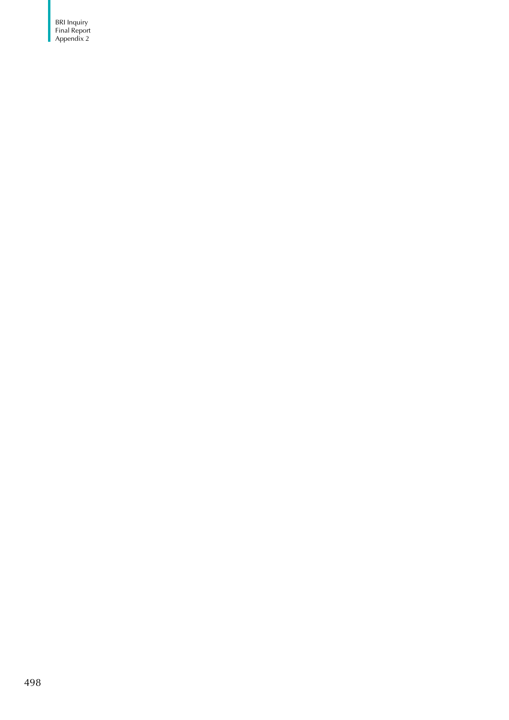BRI Inquiry Final Report Appendix 2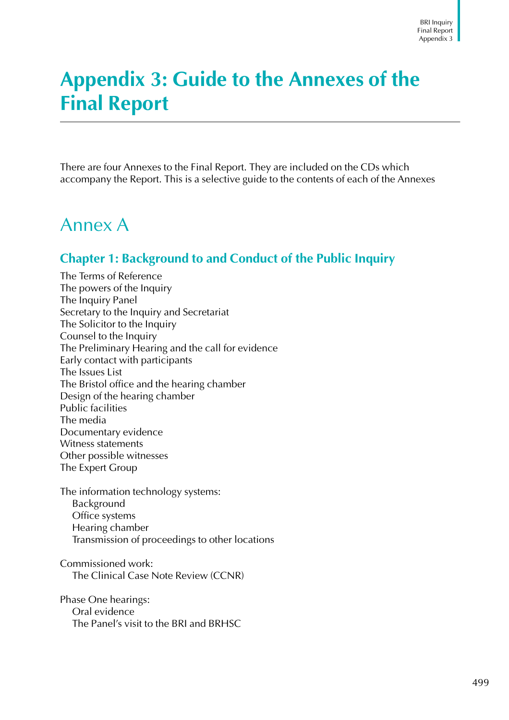# **Appendix 3: Guide to the Annexes of the Final Report**

There are four Annexes to the Final Report. They are included on the CDs which accompany the Report. This is a selective guide to the contents of each of the Annexes

# Annex A

## **Chapter 1: Background to and Conduct of the Public Inquiry**

The Terms of Reference The powers of the Inquiry The Inquiry Panel Secretary to the Inquiry and Secretariat The Solicitor to the Inquiry Counsel to the Inquiry The Preliminary Hearing and the call for evidence Early contact with participants The Issues List The Bristol office and the hearing chamber Design of the hearing chamber Public facilities The media Documentary evidence Witness statements Other possible witnesses The Expert Group

The information technology systems: Background Office systems Hearing chamber Transmission of proceedings to other locations

Commissioned work: The Clinical Case Note Review (CCNR)

Phase One hearings: Oral evidence The Panel's visit to the BRI and BRHSC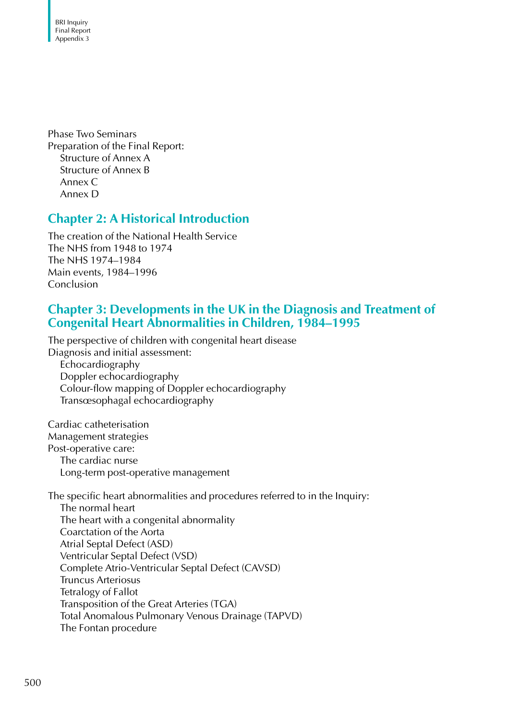BRI Inquiry Final Report Appendix 3

Phase Two Seminars Preparation of the Final Report: Structure of Annex A Structure of Annex B Annex C Annex D

## **Chapter 2: A Historical Introduction**

The creation of the National Health Service The NHS from 1948 to 1974 The NHS 1974–1984 Main events, 1984–1996 Conclusion

### **Chapter 3: Developments in the UK in the Diagnosis and Treatment of Congenital Heart Abnormalities in Children, 1984–1995**

The perspective of children with congenital heart disease Diagnosis and initial assessment: Echocardiography Doppler echocardiography Colour-flow mapping of Doppler echocardiography Transœsophagal echocardiography

Cardiac catheterisation Management strategies Post-operative care: The cardiac nurse Long-term post-operative management

The specific heart abnormalities and procedures referred to in the Inquiry: The normal heart The heart with a congenital abnormality Coarctation of the Aorta Atrial Septal Defect (ASD) Ventricular Septal Defect (VSD) Complete Atrio-Ventricular Septal Defect (CAVSD) Truncus Arteriosus Tetralogy of Fallot Transposition of the Great Arteries (TGA) Total Anomalous Pulmonary Venous Drainage (TAPVD)

The Fontan procedure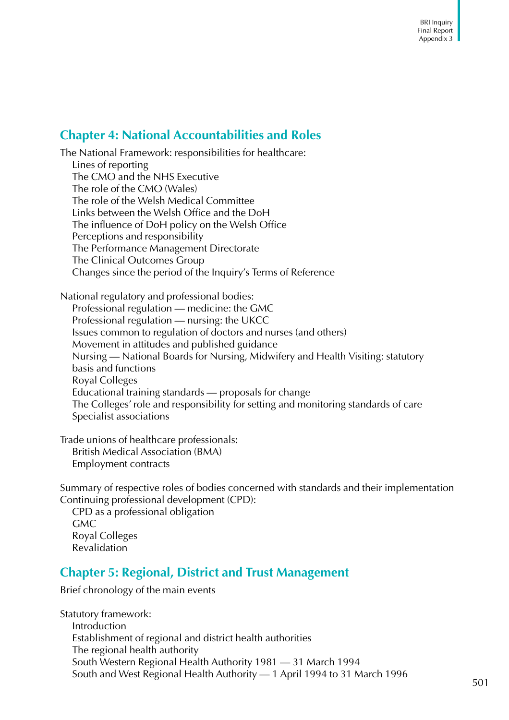## **Chapter 4: National Accountabilities and Roles**

The National Framework: responsibilities for healthcare: Lines of reporting The CMO and the NHS Executive The role of the CMO (Wales) The role of the Welsh Medical Committee Links between the Welsh Office and the DoH The influence of DoH policy on the Welsh Office Perceptions and responsibility The Performance Management Directorate The Clinical Outcomes Group Changes since the period of the Inquiry's Terms of Reference

National regulatory and professional bodies: Professional regulation — medicine: the GMC Professional regulation — nursing: the UKCC Issues common to regulation of doctors and nurses (and others) Movement in attitudes and published guidance Nursing — National Boards for Nursing, Midwifery and Health Visiting: statutory basis and functions Royal Colleges Educational training standards — proposals for change The Colleges' role and responsibility for setting and monitoring standards of care Specialist associations

Trade unions of healthcare professionals: British Medical Association (BMA) Employment contracts

Summary of respective roles of bodies concerned with standards and their implementation Continuing professional development (CPD):

CPD as a professional obligation **GMC** Royal Colleges Revalidation

## **Chapter 5: Regional, District and Trust Management**

Brief chronology of the main events

Statutory framework: Introduction Establishment of regional and district health authorities The regional health authority South Western Regional Health Authority 1981 — 31 March 1994 South and West Regional Health Authority — 1 April 1994 to 31 March 1996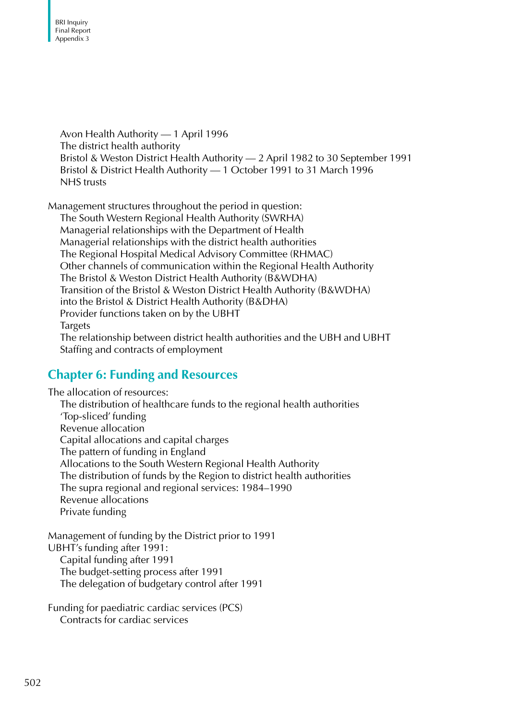Avon Health Authority — 1 April 1996 The district health authority Bristol & Weston District Health Authority — 2 April 1982 to 30 September 1991 Bristol & District Health Authority — 1 October 1991 to 31 March 1996 NHS trusts

Management structures throughout the period in question:

The South Western Regional Health Authority (SWRHA) Managerial relationships with the Department of Health Managerial relationships with the district health authorities The Regional Hospital Medical Advisory Committee (RHMAC) Other channels of communication within the Regional Health Authority The Bristol & Weston District Health Authority (B&WDHA) Transition of the Bristol & Weston District Health Authority (B&WDHA) into the Bristol & District Health Authority (B&DHA) Provider functions taken on by the UBHT Targets The relationship between district health authorities and the UBH and UBHT Staffing and contracts of employment

## **Chapter 6: Funding and Resources**

The allocation of resources: The distribution of healthcare funds to the regional health authorities 'Top-sliced' funding Revenue allocation Capital allocations and capital charges The pattern of funding in England Allocations to the South Western Regional Health Authority The distribution of funds by the Region to district health authorities The supra regional and regional services: 1984–1990 Revenue allocations Private funding

Management of funding by the District prior to 1991 UBHT's funding after 1991: Capital funding after 1991 The budget-setting process after 1991 The delegation of budgetary control after 1991

Funding for paediatric cardiac services (PCS) Contracts for cardiac services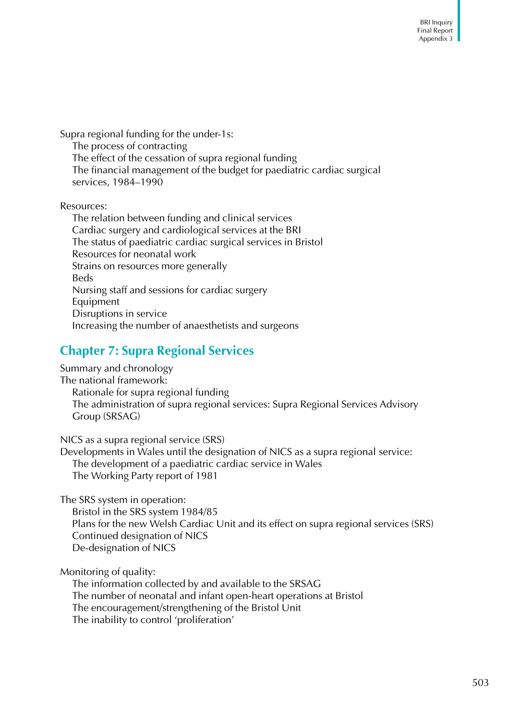Supra regional funding for the under-1s: The process of contracting The effect of the cessation of supra regional funding The financial management of the budget for paediatric cardiac surgical services, 1984–1990

Resources:

The relation between funding and clinical services Cardiac surgery and cardiological services at the BRI The status of paediatric cardiac surgical services in Bristol Resources for neonatal work Strains on resources more generally Beds Nursing staff and sessions for cardiac surgery Equipment Disruptions in service Increasing the number of anaesthetists and surgeons

## **Chapter 7: Supra Regional Services**

Summary and chronology

The national framework:

Rationale for supra regional funding The administration of supra regional services: Supra Regional Services Advisory Group (SRSAG)

NICS as a supra regional service (SRS)

Developments in Wales until the designation of NICS as a supra regional service: The development of a paediatric cardiac service in Wales The Working Party report of 1981

The SRS system in operation:

Bristol in the SRS system 1984/85 Plans for the new Welsh Cardiac Unit and its effect on supra regional services (SRS) Continued designation of NICS De-designation of NICS

Monitoring of quality:

The information collected by and available to the SRSAG The number of neonatal and infant open-heart operations at Bristol The encouragement/strengthening of the Bristol Unit The inability to control 'proliferation'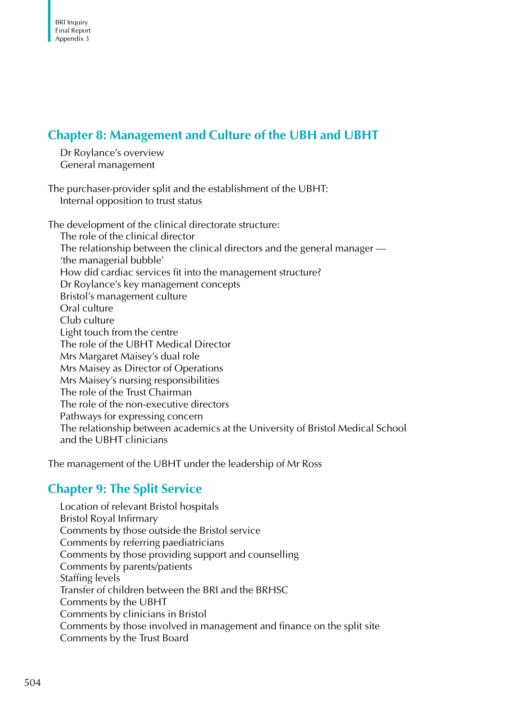## **Chapter 8: Management and Culture of the UBH and UBHT**

Dr Roylance's overview General management

The purchaser-provider split and the establishment of the UBHT: Internal opposition to trust status

The development of the clinical directorate structure: The role of the clinical director The relationship between the clinical directors and the general manager — 'the managerial bubble' How did cardiac services fit into the management structure? Dr Roylance's key management concepts Bristol's management culture Oral culture Club culture Light touch from the centre The role of the UBHT Medical Director Mrs Margaret Maisey's dual role Mrs Maisey as Director of Operations Mrs Maisey's nursing responsibilities The role of the Trust Chairman The role of the non-executive directors Pathways for expressing concern The relationship between academics at the University of Bristol Medical School and the UBHT clinicians

The management of the UBHT under the leadership of Mr Ross

## **Chapter 9: The Split Service**

Location of relevant Bristol hospitals Bristol Royal Infirmary Comments by those outside the Bristol service Comments by referring paediatricians Comments by those providing support and counselling Comments by parents/patients Staffing levels Transfer of children between the BRI and the BRHSC Comments by the UBHT Comments by clinicians in Bristol Comments by those involved in management and finance on the split site Comments by the Trust Board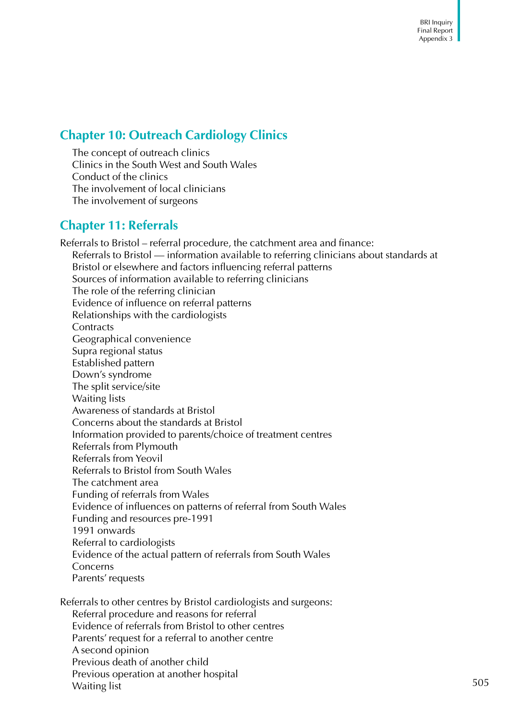## **Chapter 10: Outreach Cardiology Clinics**

The concept of outreach clinics Clinics in the South West and South Wales Conduct of the clinics The involvement of local clinicians The involvement of surgeons

## **Chapter 11: Referrals**

Referrals to Bristol – referral procedure, the catchment area and finance: Referrals to Bristol — information available to referring clinicians about standards at Bristol or elsewhere and factors influencing referral patterns Sources of information available to referring clinicians The role of the referring clinician Evidence of influence on referral patterns Relationships with the cardiologists **Contracts** Geographical convenience Supra regional status Established pattern Down's syndrome The split service/site Waiting lists Awareness of standards at Bristol Concerns about the standards at Bristol Information provided to parents/choice of treatment centres Referrals from Plymouth Referrals from Yeovil Referrals to Bristol from South Wales The catchment area Funding of referrals from Wales Evidence of influences on patterns of referral from South Wales Funding and resources pre-1991 1991 onwards Referral to cardiologists Evidence of the actual pattern of referrals from South Wales Concerns Parents' requests Referrals to other centres by Bristol cardiologists and surgeons: Referral procedure and reasons for referral Evidence of referrals from Bristol to other centres Parents' request for a referral to another centre A second opinion

- Previous death of another child
- Previous operation at another hospital
- Waiting list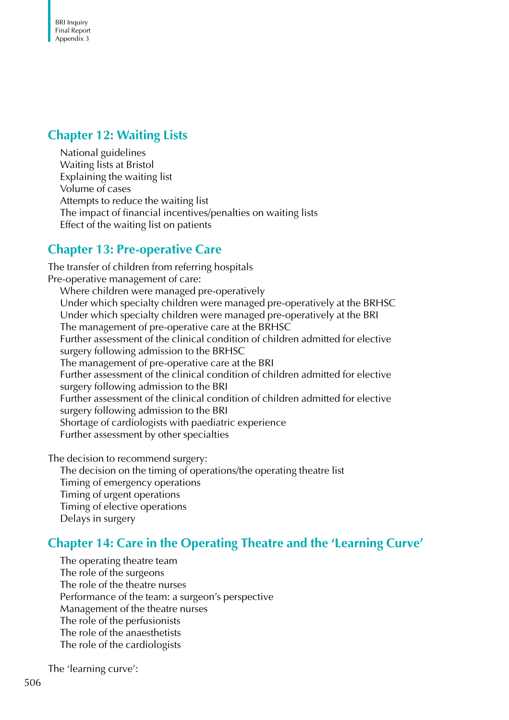## **Chapter 12: Waiting Lists**

National guidelines Waiting lists at Bristol Explaining the waiting list Volume of cases Attempts to reduce the waiting list The impact of financial incentives/penalties on waiting lists Effect of the waiting list on patients

## **Chapter 13: Pre-operative Care**

The transfer of children from referring hospitals Pre-operative management of care: Where children were managed pre-operatively Under which specialty children were managed pre-operatively at the BRHSC Under which specialty children were managed pre-operatively at the BRI The management of pre-operative care at the BRHSC Further assessment of the clinical condition of children admitted for elective surgery following admission to the BRHSC The management of pre-operative care at the BRI Further assessment of the clinical condition of children admitted for elective surgery following admission to the BRI Further assessment of the clinical condition of children admitted for elective surgery following admission to the BRI Shortage of cardiologists with paediatric experience Further assessment by other specialties

The decision to recommend surgery:

The decision on the timing of operations/the operating theatre list Timing of emergency operations Timing of urgent operations Timing of elective operations Delays in surgery

## **Chapter 14: Care in the Operating Theatre and the 'Learning Curve'**

The operating theatre team The role of the surgeons The role of the theatre nurses Performance of the team: a surgeon's perspective Management of the theatre nurses The role of the perfusionists The role of the anaesthetists The role of the cardiologists

The 'learning curve':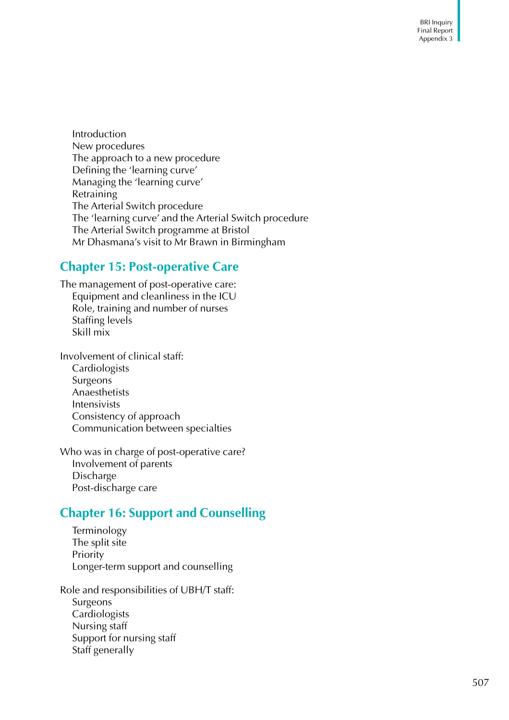Introduction New procedures The approach to a new procedure Defining the 'learning curve' Managing the 'learning curve' Retraining The Arterial Switch procedure The 'learning curve' and the Arterial Switch procedure The Arterial Switch programme at Bristol Mr Dhasmana's visit to Mr Brawn in Birmingham

### **Chapter 15: Post-operative Care**

The management of post-operative care: Equipment and cleanliness in the ICU Role, training and number of nurses Staffing levels Skill mix

Involvement of clinical staff: Cardiologists Surgeons Anaesthetists Intensivists Consistency of approach Communication between specialties

Who was in charge of post-operative care? Involvement of parents Discharge Post-discharge care

## **Chapter 16: Support and Counselling**

**Terminology** The split site Priority Longer-term support and counselling

Role and responsibilities of UBH/T staff: Surgeons Cardiologists Nursing staff Support for nursing staff Staff generally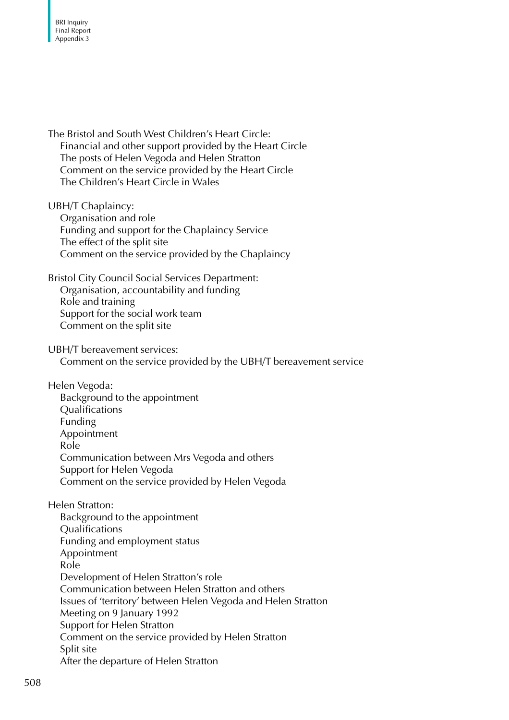The Bristol and South West Children's Heart Circle: Financial and other support provided by the Heart Circle The posts of Helen Vegoda and Helen Stratton Comment on the service provided by the Heart Circle The Children's Heart Circle in Wales

UBH/T Chaplaincy:

Organisation and role Funding and support for the Chaplaincy Service The effect of the split site Comment on the service provided by the Chaplaincy

Bristol City Council Social Services Department: Organisation, accountability and funding Role and training Support for the social work team Comment on the split site

UBH/T bereavement services: Comment on the service provided by the UBH/T bereavement service

Helen Vegoda:

Background to the appointment Qualifications Funding Appointment Role Communication between Mrs Vegoda and others Support for Helen Vegoda Comment on the service provided by Helen Vegoda

Helen Stratton:

Background to the appointment Qualifications Funding and employment status Appointment Role Development of Helen Stratton's role Communication between Helen Stratton and others Issues of 'territory' between Helen Vegoda and Helen Stratton Meeting on 9 January 1992 Support for Helen Stratton Comment on the service provided by Helen Stratton Split site After the departure of Helen Stratton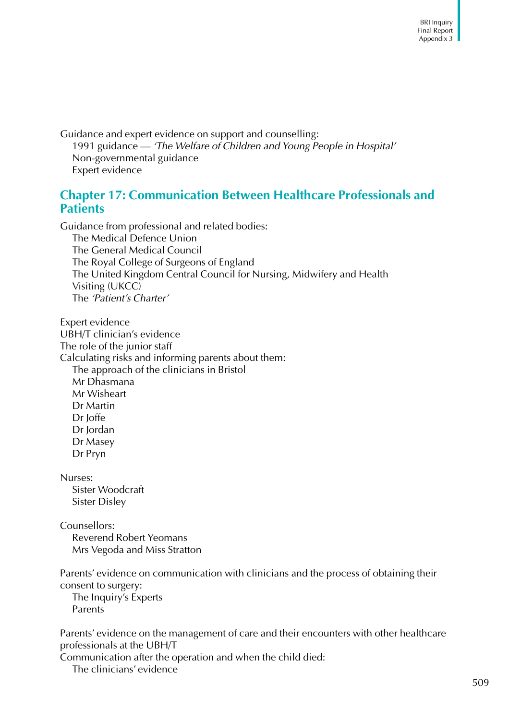Guidance and expert evidence on support and counselling: 1991 guidance — *'The Welfare of Children and Young People in Hospital'* Non-governmental guidance Expert evidence

### **Chapter 17: Communication Between Healthcare Professionals and Patients**

Guidance from professional and related bodies: The Medical Defence Union The General Medical Council The Royal College of Surgeons of England The United Kingdom Central Council for Nursing, Midwifery and Health Visiting (UKCC) The *'Patient's Charter'*

Expert evidence UBH/T clinician's evidence The role of the junior staff Calculating risks and informing parents about them: The approach of the clinicians in Bristol Mr Dhasmana Mr Wisheart Dr Martin Dr Joffe Dr Jordan Dr Masey Dr Pryn

Nurses: Sister Woodcraft Sister Disley

Counsellors: Reverend Robert Yeomans Mrs Vegoda and Miss Stratton

Parents' evidence on communication with clinicians and the process of obtaining their consent to surgery:

The Inquiry's Experts Parents

Parents' evidence on the management of care and their encounters with other healthcare professionals at the UBH/T

Communication after the operation and when the child died: The clinicians' evidence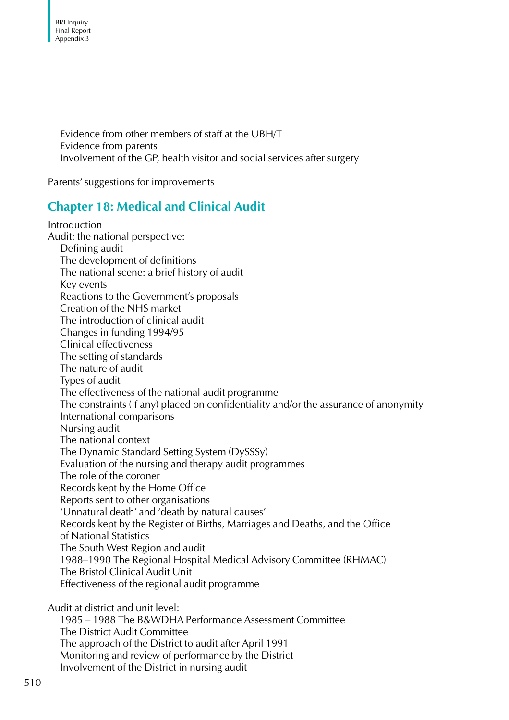Evidence from other members of staff at the UBH/T Evidence from parents Involvement of the GP, health visitor and social services after surgery

Parents' suggestions for improvements

# **Chapter 18: Medical and Clinical Audit**

Introduction Audit: the national perspective: Defining audit The development of definitions The national scene: a brief history of audit Key events Reactions to the Government's proposals Creation of the NHS market The introduction of clinical audit Changes in funding 1994/95 Clinical effectiveness The setting of standards The nature of audit Types of audit The effectiveness of the national audit programme The constraints (if any) placed on confidentiality and/or the assurance of anonymity International comparisons Nursing audit The national context The Dynamic Standard Setting System (DySSSy) Evaluation of the nursing and therapy audit programmes The role of the coroner Records kept by the Home Office Reports sent to other organisations 'Unnatural death' and 'death by natural causes' Records kept by the Register of Births, Marriages and Deaths, and the Office of National Statistics The South West Region and audit 1988–1990 The Regional Hospital Medical Advisory Committee (RHMAC) The Bristol Clinical Audit Unit Effectiveness of the regional audit programme

Audit at district and unit level:

1985 – 1988 The B&WDHA Performance Assessment Committee The District Audit Committee The approach of the District to audit after April 1991 Monitoring and review of performance by the District Involvement of the District in nursing audit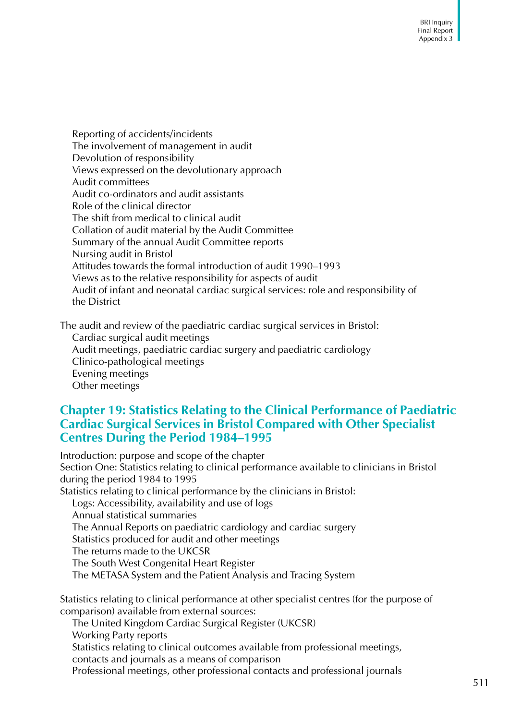Reporting of accidents/incidents The involvement of management in audit Devolution of responsibility Views expressed on the devolutionary approach Audit committees Audit co-ordinators and audit assistants Role of the clinical director The shift from medical to clinical audit Collation of audit material by the Audit Committee Summary of the annual Audit Committee reports Nursing audit in Bristol Attitudes towards the formal introduction of audit 1990–1993 Views as to the relative responsibility for aspects of audit Audit of infant and neonatal cardiac surgical services: role and responsibility of the District

The audit and review of the paediatric cardiac surgical services in Bristol: Cardiac surgical audit meetings Audit meetings, paediatric cardiac surgery and paediatric cardiology Clinico-pathological meetings Evening meetings Other meetings

### **Chapter 19: Statistics Relating to the Clinical Performance of Paediatric Cardiac Surgical Services in Bristol Compared with Other Specialist Centres During the Period 1984–1995**

Introduction: purpose and scope of the chapter Section One: Statistics relating to clinical performance available to clinicians in Bristol during the period 1984 to 1995 Statistics relating to clinical performance by the clinicians in Bristol: Logs: Accessibility, availability and use of logs Annual statistical summaries The Annual Reports on paediatric cardiology and cardiac surgery Statistics produced for audit and other meetings The returns made to the UKCSR The South West Congenital Heart Register The METASA System and the Patient Analysis and Tracing System Statistics relating to clinical performance at other specialist centres (for the purpose of comparison) available from external sources: The United Kingdom Cardiac Surgical Register (UKCSR) Working Party reports Statistics relating to clinical outcomes available from professional meetings, contacts and journals as a means of comparison

Professional meetings, other professional contacts and professional journals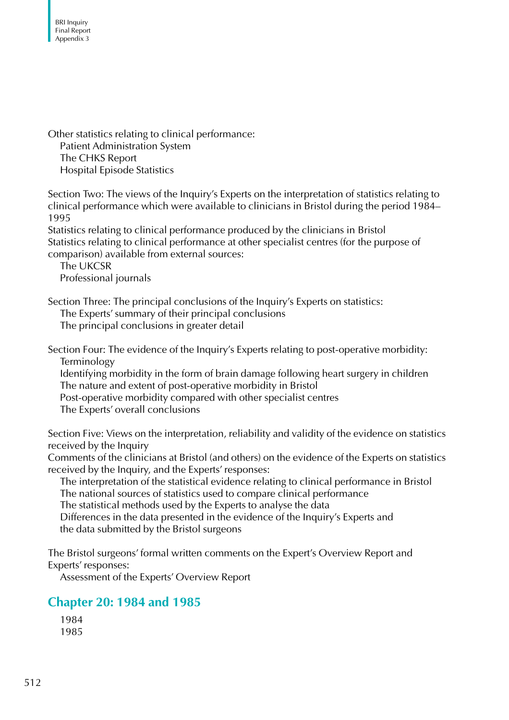Other statistics relating to clinical performance: Patient Administration System The CHKS Report Hospital Episode Statistics

Section Two: The views of the Inquiry's Experts on the interpretation of statistics relating to clinical performance which were available to clinicians in Bristol during the period 1984– 1995

Statistics relating to clinical performance produced by the clinicians in Bristol Statistics relating to clinical performance at other specialist centres (for the purpose of comparison) available from external sources:

The UKCSR Professional journals

Section Three: The principal conclusions of the Inquiry's Experts on statistics: The Experts' summary of their principal conclusions The principal conclusions in greater detail

Section Four: The evidence of the Inquiry's Experts relating to post-operative morbidity: Terminology

Identifying morbidity in the form of brain damage following heart surgery in children The nature and extent of post-operative morbidity in Bristol

Post-operative morbidity compared with other specialist centres

The Experts' overall conclusions

Section Five: Views on the interpretation, reliability and validity of the evidence on statistics received by the Inquiry

Comments of the clinicians at Bristol (and others) on the evidence of the Experts on statistics received by the Inquiry, and the Experts' responses:

The interpretation of the statistical evidence relating to clinical performance in Bristol The national sources of statistics used to compare clinical performance

The statistical methods used by the Experts to analyse the data

Differences in the data presented in the evidence of the Inquiry's Experts and the data submitted by the Bristol surgeons

The Bristol surgeons' formal written comments on the Expert's Overview Report and Experts' responses:

Assessment of the Experts' Overview Report

### **Chapter 20: 1984 and 1985**

| 1984 |  |
|------|--|
| 1985 |  |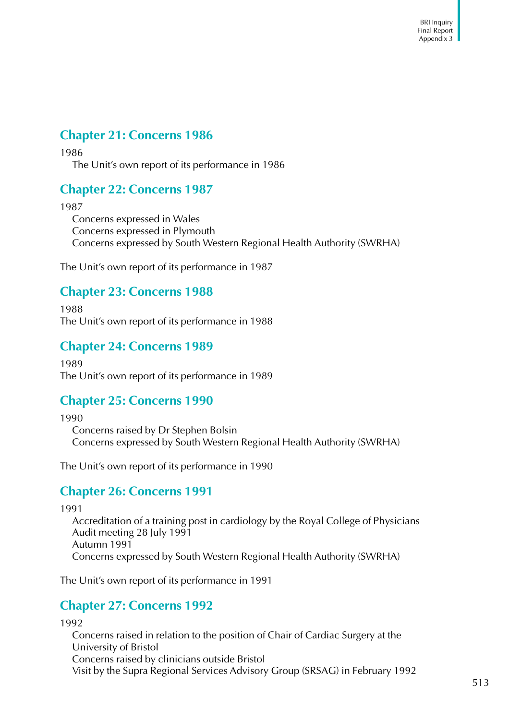## **Chapter 21: Concerns 1986**

1986

The Unit's own report of its performance in 1986

# **Chapter 22: Concerns 1987**

1987 Concerns expressed in Wales Concerns expressed in Plymouth Concerns expressed by South Western Regional Health Authority (SWRHA)

The Unit's own report of its performance in 1987

## **Chapter 23: Concerns 1988**

1988 The Unit's own report of its performance in 1988

## **Chapter 24: Concerns 1989**

1989 The Unit's own report of its performance in 1989

## **Chapter 25: Concerns 1990**

1990 Concerns raised by Dr Stephen Bolsin Concerns expressed by South Western Regional Health Authority (SWRHA)

The Unit's own report of its performance in 1990

# **Chapter 26: Concerns 1991**

1991 Accreditation of a training post in cardiology by the Royal College of Physicians Audit meeting 28 July 1991 Autumn 1991 Concerns expressed by South Western Regional Health Authority (SWRHA)

The Unit's own report of its performance in 1991

# **Chapter 27: Concerns 1992**

1992 Concerns raised in relation to the position of Chair of Cardiac Surgery at the University of Bristol Concerns raised by clinicians outside Bristol Visit by the Supra Regional Services Advisory Group (SRSAG) in February 1992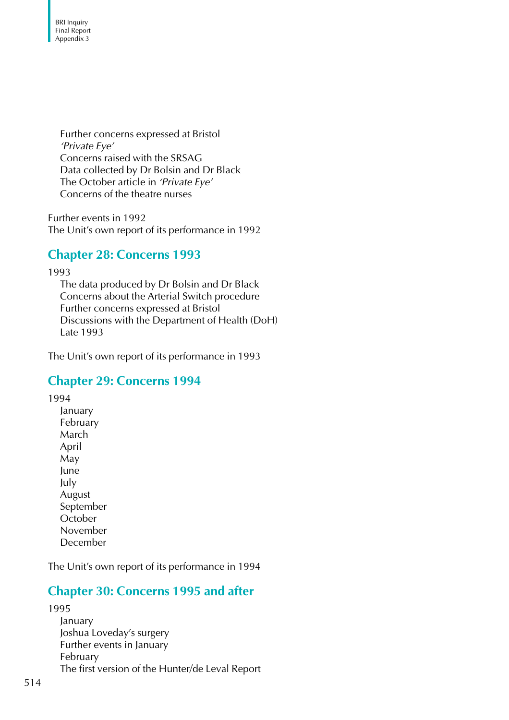Further concerns expressed at Bristol *'Private Eye'* Concerns raised with the SRSAG Data collected by Dr Bolsin and Dr Black The October article in *'Private Eye'* Concerns of the theatre nurses

Further events in 1992 The Unit's own report of its performance in 1992

## **Chapter 28: Concerns 1993**

1993

The data produced by Dr Bolsin and Dr Black Concerns about the Arterial Switch procedure Further concerns expressed at Bristol Discussions with the Department of Health (DoH) Late 1993

The Unit's own report of its performance in 1993

## **Chapter 29: Concerns 1994**

1994

January February March April May June July August September October November December

The Unit's own report of its performance in 1994

## **Chapter 30: Concerns 1995 and after**

#### 1995

January Joshua Loveday's surgery Further events in January February The first version of the Hunter/de Leval Report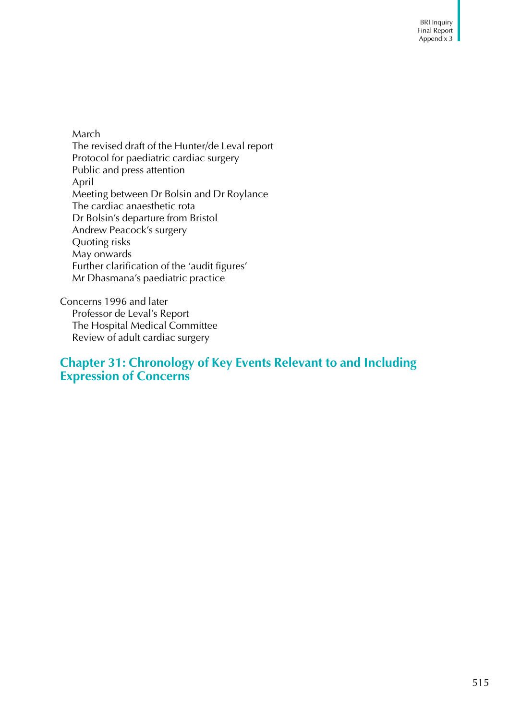BRI Inquiry Final Report Appendix 3

March The revised draft of the Hunter/de Leval report Protocol for paediatric cardiac surgery Public and press attention April Meeting between Dr Bolsin and Dr Roylance The cardiac anaesthetic rota Dr Bolsin's departure from Bristol Andrew Peacock's surgery Quoting risks May onwards Further clarification of the 'audit figures' Mr Dhasmana's paediatric practice

Concerns 1996 and later Professor de Leval's Report The Hospital Medical Committee Review of adult cardiac surgery

### **Chapter 31: Chronology of Key Events Relevant to and Including Expression of Concerns**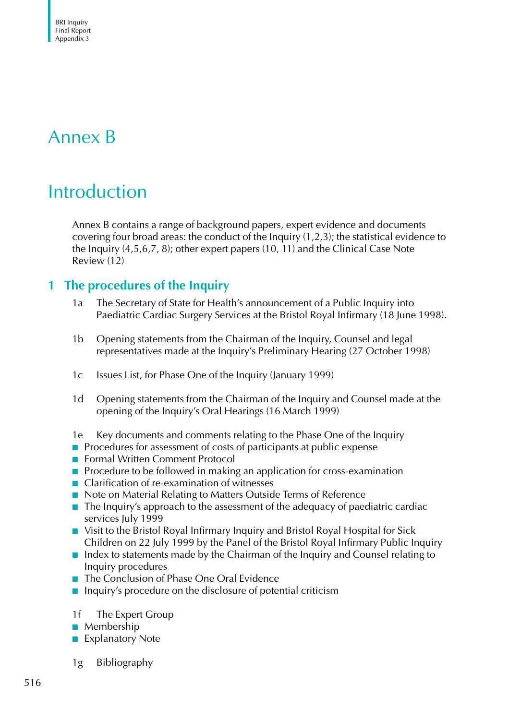# Annex B

# **Introduction**

Annex B contains a range of background papers, expert evidence and documents covering four broad areas: the conduct of the Inquiry (1,2,3); the statistical evidence to the Inquiry (4,5,6,7, 8); other expert papers (10, 11) and the Clinical Case Note Review (12)

### **1 The procedures of the Inquiry**

- 1a The Secretary of State for Health's announcement of a Public Inquiry into Paediatric Cardiac Surgery Services at the Bristol Royal Infirmary (18 June 1998).
- 1b Opening statements from the Chairman of the Inquiry, Counsel and legal representatives made at the Inquiry's Preliminary Hearing (27 October 1998)
- 1c Issues List, for Phase One of the Inquiry (January 1999)
- 1d Opening statements from the Chairman of the Inquiry and Counsel made at the opening of the Inquiry's Oral Hearings (16 March 1999)
- 1e Key documents and comments relating to the Phase One of the Inquiry
- Procedures for assessment of costs of participants at public expense
- Formal Written Comment Protocol
- Procedure to be followed in making an application for cross-examination
- Clarification of re-examination of witnesses
- Note on Material Relating to Matters Outside Terms of Reference
- The Inquiry's approach to the assessment of the adequacy of paediatric cardiac services July 1999
- Visit to the Bristol Royal Infirmary Inquiry and Bristol Royal Hospital for Sick Children on 22 July 1999 by the Panel of the Bristol Royal Infirmary Public Inquiry
- Index to statements made by the Chairman of the Inquiry and Counsel relating to Inquiry procedures
- The Conclusion of Phase One Oral Evidence
- Inquiry's procedure on the disclosure of potential criticism
- 1f The Expert Group
- Membership
- Explanatory Note
- 1g Bibliography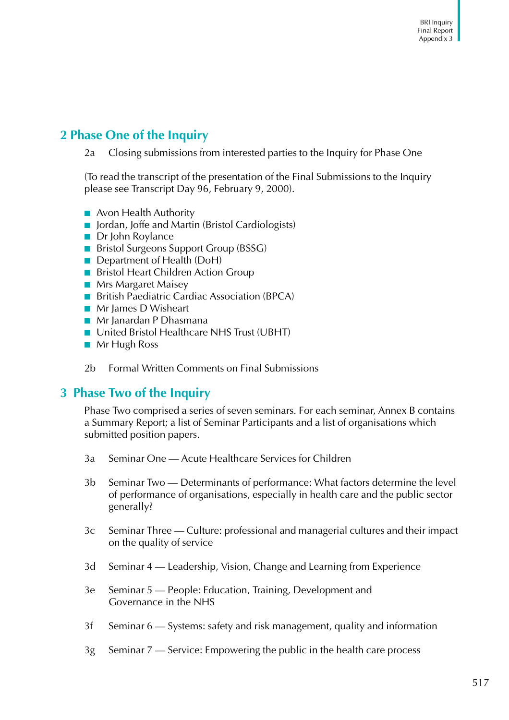## **2 Phase One of the Inquiry**

2a Closing submissions from interested parties to the Inquiry for Phase One

(To read the transcript of the presentation of the Final Submissions to the Inquiry please see Transcript Day 96, February 9, 2000).

- Avon Health Authority
- Jordan, Joffe and Martin (Bristol Cardiologists)
- Dr John Roylance
- Bristol Surgeons Support Group (BSSG)
- Department of Health (DoH)
- Bristol Heart Children Action Group
- Mrs Margaret Maisey
- British Paediatric Cardiac Association (BPCA)
- Mr James D Wisheart
- Mr Janardan P Dhasmana
- United Bristol Healthcare NHS Trust (UBHT)
- Mr Hugh Ross
- 2b Formal Written Comments on Final Submissions

### **3 Phase Two of the Inquiry**

Phase Two comprised a series of seven seminars. For each seminar, Annex B contains a Summary Report; a list of Seminar Participants and a list of organisations which submitted position papers.

- 3a Seminar One Acute Healthcare Services for Children
- 3b Seminar Two Determinants of performance: What factors determine the level of performance of organisations, especially in health care and the public sector generally?
- 3c Seminar Three Culture: professional and managerial cultures and their impact on the quality of service
- 3d Seminar 4 Leadership, Vision, Change and Learning from Experience
- 3e Seminar 5 People: Education, Training, Development and Governance in the NHS
- 3f Seminar 6 Systems: safety and risk management, quality and information
- 3g Seminar 7 Service: Empowering the public in the health care process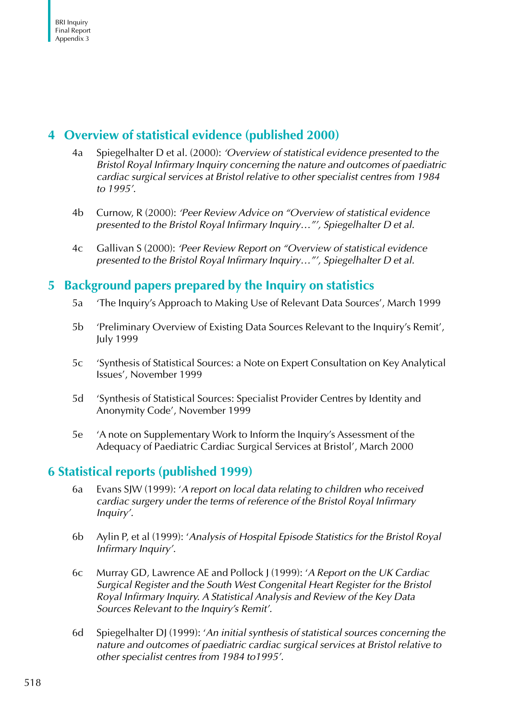## **4 Overview of statistical evidence (published 2000)**

- 4a Spiegelhalter D et al. (2000): *'Overview of statistical evidence presented to the Bristol Royal Infirmary Inquiry concerning the nature and outcomes of paediatric cardiac surgical services at Bristol relative to other specialist centres from 1984 to 1995'.*
- 4b Curnow, R (2000): *'Peer Review Advice on "Overview of statistical evidence presented to the Bristol Royal Infirmary Inquiry…"', Spiegelhalter D et al.*
- 4c Gallivan S (2000): *'Peer Review Report on "Overview of statistical evidence presented to the Bristol Royal Infirmary Inquiry…"', Spiegelhalter D et al.*

### **5 Background papers prepared by the Inquiry on statistics**

- 5a 'The Inquiry's Approach to Making Use of Relevant Data Sources', March 1999
- 5b 'Preliminary Overview of Existing Data Sources Relevant to the Inquiry's Remit', July 1999
- 5c 'Synthesis of Statistical Sources: a Note on Expert Consultation on Key Analytical Issues', November 1999
- 5d 'Synthesis of Statistical Sources: Specialist Provider Centres by Identity and Anonymity Code', November 1999
- 5e 'A note on Supplementary Work to Inform the Inquiry's Assessment of the Adequacy of Paediatric Cardiac Surgical Services at Bristol', March 2000

## **6 Statistical reports (published 1999)**

- 6a Evans SJW (1999): '*A report on local data relating to children who received cardiac surgery under the terms of reference of the Bristol Royal Infirmary Inquiry'.*
- 6b Aylin P, et al (1999): '*Analysis of Hospital Episode Statistics for the Bristol Royal Infirmary Inquiry'.*
- 6c Murray GD, Lawrence AE and Pollock J (1999): '*A Report on the UK Cardiac Surgical Register and the South West Congenital Heart Register for the Bristol Royal Infirmary Inquiry. A Statistical Analysis and Review of the Key Data Sources Relevant to the Inquiry's Remit'.*
- 6d Spiegelhalter DJ (1999): '*An initial synthesis of statistical sources concerning the nature and outcomes of paediatric cardiac surgical services at Bristol relative to other specialist centres from 1984 to1995'.*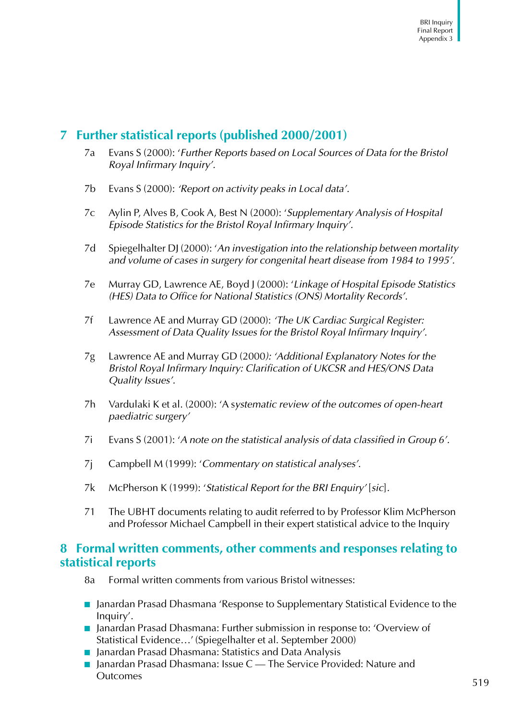## **7 Further statistical reports (published 2000/2001)**

- 7a Evans S (2000): '*Further Reports based on Local Sources of Data for the Bristol Royal Infirmary Inquiry'.*
- 7b Evans S (2000): *'Report on activity peaks in Local data'.*
- 7c Aylin P, Alves B, Cook A, Best N (2000): '*Supplementary Analysis of Hospital Episode Statistics for the Bristol Royal Infirmary Inquiry'.*
- 7d Spiegelhalter DJ (2000): '*An investigation into the relationship between mortality and volume of cases in surgery for congenital heart disease from 1984 to 1995'.*
- 7e Murray GD, Lawrence AE, Boyd J (2000): '*Linkage of Hospital Episode Statistics (HES) Data to Office for National Statistics (ONS) Mortality Records'.*
- 7f Lawrence AE and Murray GD (2000): *'The UK Cardiac Surgical Register: Assessment of Data Quality Issues for the Bristol Royal Infirmary Inquiry'.*
- 7g Lawrence AE and Murray GD (2000*): 'Additional Explanatory Notes for the Bristol Royal Infirmary Inquiry: Clarification of UKCSR and HES/ONS Data Quality Issues'.*
- 7h Vardulaki K et al. (2000): 'A s*ystematic review of the outcomes of open-heart paediatric surgery'*
- 7i Evans S (2001): '*A note on the statistical analysis of data classified in Group 6'.*
- 7j Campbell M (1999): '*Commentary on statistical analyses'*.
- 7k McPherson K (1999): '*Statistical Report for the BRI Enquiry'* [*sic*]*.*
- 71 The UBHT documents relating to audit referred to by Professor Klim McPherson and Professor Michael Campbell in their expert statistical advice to the Inquiry

### **8 Formal written comments, other comments and responses relating to statistical reports**

- 8a Formal written comments from various Bristol witnesses:
- Janardan Prasad Dhasmana 'Response to Supplementary Statistical Evidence to the Inquiry'.
- Janardan Prasad Dhasmana: Further submission in response to: 'Overview of Statistical Evidence…' (Spiegelhalter et al. September 2000)
- Janardan Prasad Dhasmana: Statistics and Data Analysis
- Janardan Prasad Dhasmana: Issue C The Service Provided: Nature and Outcomes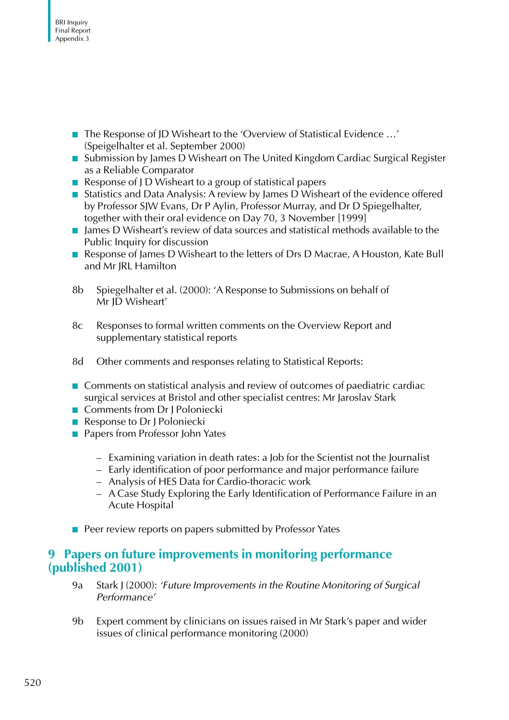- The Response of JD Wisheart to the 'Overview of Statistical Evidence ...' (Speigelhalter et al. September 2000)
- Submission by James D Wisheart on The United Kingdom Cardiac Surgical Register as a Reliable Comparator
- Response of J D Wisheart to a group of statistical papers
- Statistics and Data Analysis: A review by James D Wisheart of the evidence offered by Professor SJW Evans, Dr P Aylin, Professor Murray, and Dr D Spiegelhalter, together with their oral evidence on Day 70, 3 November [1999]
- James D Wisheart's review of data sources and statistical methods available to the Public Inquiry for discussion
- Response of James D Wisheart to the letters of Drs D Macrae, A Houston, Kate Bull and Mr JRL Hamilton
- 8b Spiegelhalter et al. (2000): 'A Response to Submissions on behalf of Mr JD Wisheart'
- 8c Responses to formal written comments on the Overview Report and supplementary statistical reports
- 8d Other comments and responses relating to Statistical Reports:
- Comments on statistical analysis and review of outcomes of paediatric cardiac surgical services at Bristol and other specialist centres: Mr Jaroslav Stark
- Comments from Dr J Poloniecki
- Response to Dr J Poloniecki
- Papers from Professor John Yates
	- Examining variation in death rates: a Job for the Scientist not the Journalist
	- Early identification of poor performance and major performance failure
	- Analysis of HES Data for Cardio-thoracic work
	- A Case Study Exploring the Early Identification of Performance Failure in an Acute Hospital
- Peer review reports on papers submitted by Professor Yates

### **9 Papers on future improvements in monitoring performance (published 2001)**

- 9a Stark J (2000): *'Future Improvements in the Routine Monitoring of Surgical Performance'*
- 9b Expert comment by clinicians on issues raised in Mr Stark's paper and wider issues of clinical performance monitoring (2000)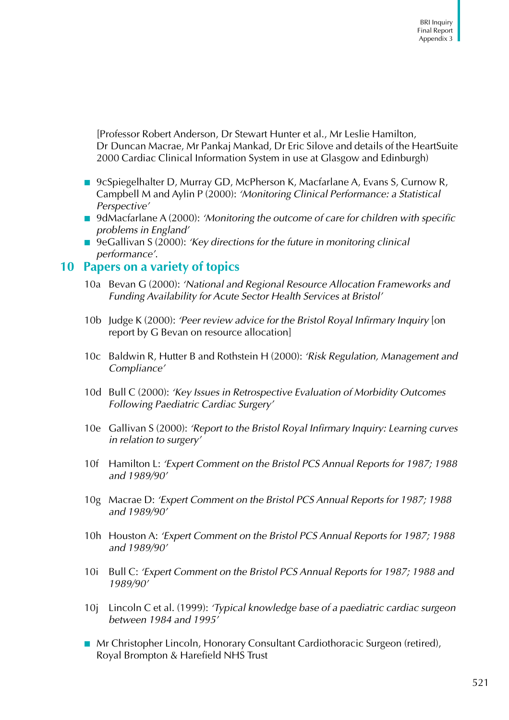[Professor Robert Anderson, Dr Stewart Hunter et al., Mr Leslie Hamilton, Dr Duncan Macrae, Mr Pankaj Mankad, Dr Eric Silove and details of the HeartSuite 2000 Cardiac Clinical Information System in use at Glasgow and Edinburgh)

- 9cSpiegelhalter D, Murray GD, McPherson K, Macfarlane A, Evans S, Curnow R, Campbell M and Aylin P (2000): *'Monitoring Clinical Performance: a Statistical Perspective'*
- 9dMacfarlane A (2000): *'Monitoring the outcome of care for children with specific problems in England'*
- 9eGallivan S (2000): *'Key directions for the future in monitoring clinical performance'*.

#### **10 Papers on a variety of topics**

- 10a Bevan G (2000): *'National and Regional Resource Allocation Frameworks and Funding Availability for Acute Sector Health Services at Bristol'*
- 10b Judge K (2000): *'Peer review advice for the Bristol Royal Infirmary Inquiry* [on report by G Bevan on resource allocation]
- 10c Baldwin R, Hutter B and Rothstein H (2000): *'Risk Regulation, Management and Compliance'*
- 10d Bull C (2000): *'Key Issues in Retrospective Evaluation of Morbidity Outcomes Following Paediatric Cardiac Surgery'*
- 10e Gallivan S (2000): *'Report to the Bristol Royal Infirmary Inquiry: Learning curves in relation to surgery'*
- 10f Hamilton L: *'Expert Comment on the Bristol PCS Annual Reports for 1987; 1988 and 1989/90'*
- 10g Macrae D: *'Expert Comment on the Bristol PCS Annual Reports for 1987; 1988 and 1989/90'*
- 10h Houston A: *'Expert Comment on the Bristol PCS Annual Reports for 1987; 1988 and 1989/90'*
- 10i Bull C: *'Expert Comment on the Bristol PCS Annual Reports for 1987; 1988 and 1989/90'*
- 10j Lincoln C et al. (1999): *'Typical knowledge base of a paediatric cardiac surgeon between 1984 and 1995'*
- Mr Christopher Lincoln, Honorary Consultant Cardiothoracic Surgeon (retired), Royal Brompton & Harefield NHS Trust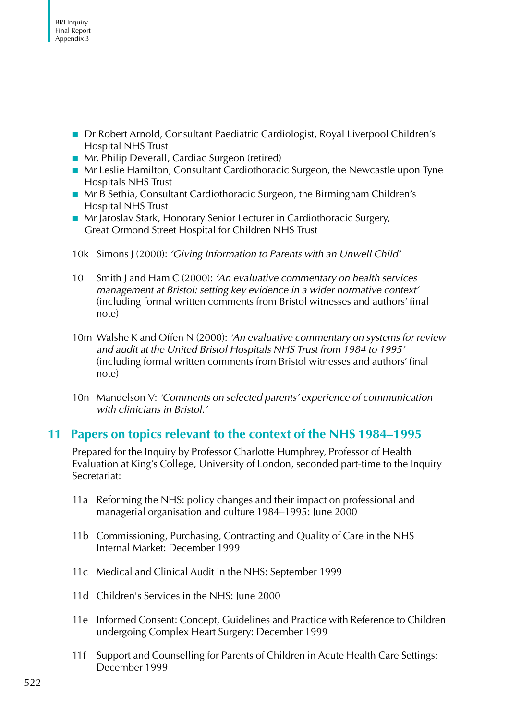- Dr Robert Arnold, Consultant Paediatric Cardiologist, Royal Liverpool Children's Hospital NHS Trust
- Mr. Philip Deverall, Cardiac Surgeon (retired)
- Mr Leslie Hamilton, Consultant Cardiothoracic Surgeon, the Newcastle upon Tyne Hospitals NHS Trust
- Mr B Sethia, Consultant Cardiothoracic Surgeon, the Birmingham Children's Hospital NHS Trust
- Mr Jaroslav Stark, Honorary Senior Lecturer in Cardiothoracic Surgery, Great Ormond Street Hospital for Children NHS Trust
- 10k Simons J (2000): *'Giving Information to Parents with an Unwell Child'*
- 10l Smith J and Ham C (2000): *'An evaluative commentary on health services management at Bristol: setting key evidence in a wider normative context'*  (including formal written comments from Bristol witnesses and authors' final note)
- 10m Walshe K and Offen N (2000): *'An evaluative commentary on systems for review and audit at the United Bristol Hospitals NHS Trust from 1984 to 1995'* (including formal written comments from Bristol witnesses and authors' final note)
- 10n Mandelson V: *'Comments on selected parents' experience of communication with clinicians in Bristol.'*

### **11 Papers on topics relevant to the context of the NHS 1984–1995**

Prepared for the Inquiry by Professor Charlotte Humphrey, Professor of Health Evaluation at King's College, University of London, seconded part-time to the Inquiry Secretariat:

- 11a Reforming the NHS: policy changes and their impact on professional and managerial organisation and culture 1984–1995: June 2000
- 11b Commissioning, Purchasing, Contracting and Quality of Care in the NHS Internal Market: December 1999
- 11c Medical and Clinical Audit in the NHS: September 1999
- 11d Children's Services in the NHS: Iune 2000
- 11e Informed Consent: Concept, Guidelines and Practice with Reference to Children undergoing Complex Heart Surgery: December 1999
- 11f Support and Counselling for Parents of Children in Acute Health Care Settings: December 1999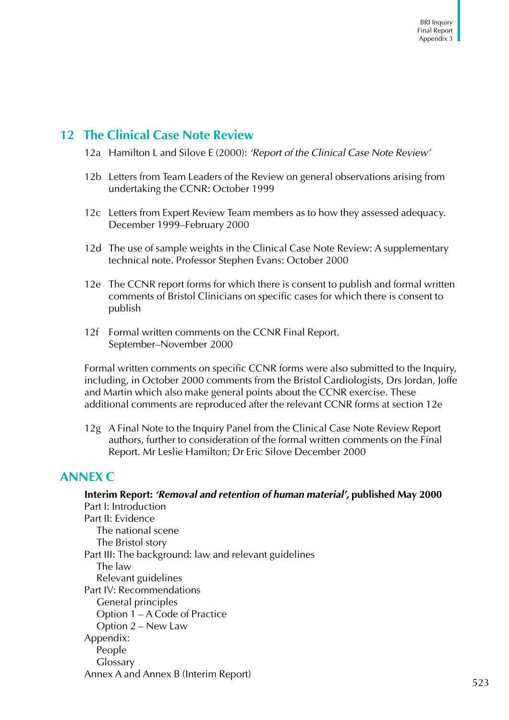## **12 The Clinical Case Note Review**

- 12a Hamilton L and Silove E (2000): *'Report of the Clinical Case Note Review'*
- 12b Letters from Team Leaders of the Review on general observations arising from undertaking the CCNR: October 1999
- 12c Letters from Expert Review Team members as to how they assessed adequacy. December 1999–February 2000
- 12d The use of sample weights in the Clinical Case Note Review: A supplementary technical note. Professor Stephen Evans: October 2000
- 12e The CCNR report forms for which there is consent to publish and formal written comments of Bristol Clinicians on specific cases for which there is consent to publish
- 12f Formal written comments on the CCNR Final Report. September–November 2000

Formal written comments on specific CCNR forms were also submitted to the Inquiry, including, in October 2000 comments from the Bristol Cardiologists, Drs Jordan, Joffe and Martin which also make general points about the CCNR exercise. These additional comments are reproduced after the relevant CCNR forms at section 12e

12g A Final Note to the Inquiry Panel from the Clinical Case Note Review Report authors, further to consideration of the formal written comments on the Final Report. Mr Leslie Hamilton; Dr Eric Silove December 2000

## **ANNEX C**

**Interim Report:** *'Removal and retention of human material',* **published May 2000** Part I: Introduction Part II: Evidence The national scene The Bristol story Part III: The background: law and relevant guidelines The law Relevant guidelines Part IV: Recommendations General principles Option 1 – A Code of Practice Option 2 – New Law Appendix: People Glossary Annex A and Annex B (Interim Report)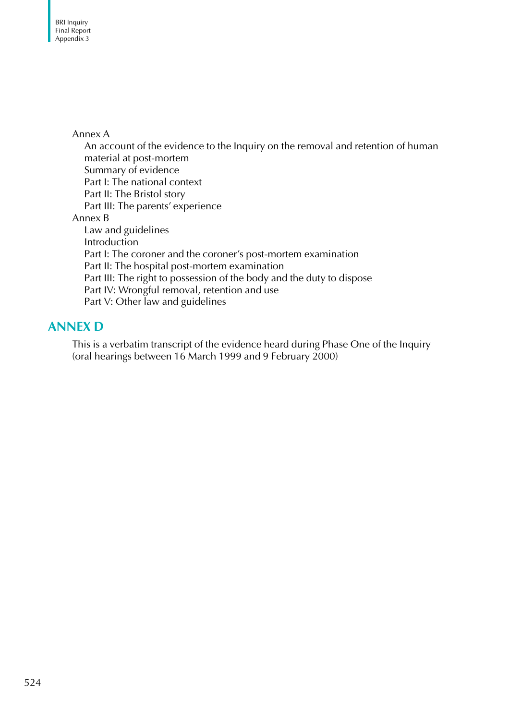Annex A An account of the evidence to the Inquiry on the removal and retention of human material at post-mortem Summary of evidence Part I: The national context Part II: The Bristol story Part III: The parents' experience Annex B Law and guidelines Introduction Part I: The coroner and the coroner's post-mortem examination Part II: The hospital post-mortem examination Part III: The right to possession of the body and the duty to dispose Part IV: Wrongful removal, retention and use Part V: Other law and guidelines

### **ANNEX D**

This is a verbatim transcript of the evidence heard during Phase One of the Inquiry (oral hearings between 16 March 1999 and 9 February 2000)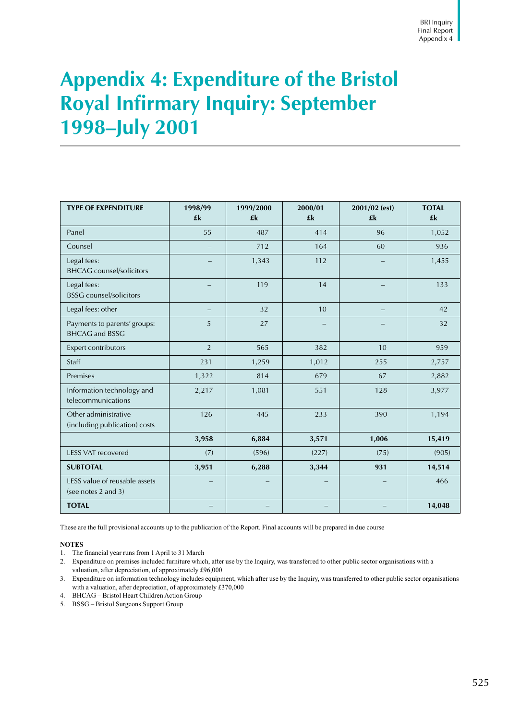# **Appendix 4: Expenditure of the Bristol Royal Infirmary Inquiry: September 1998–July 2001**

| <b>TYPE OF EXPENDITURE</b>                            | 1998/99<br>£k  | 1999/2000<br>£k | 2000/01<br>£k | 2001/02 (est)<br>£k | <b>TOTAL</b><br>£k |
|-------------------------------------------------------|----------------|-----------------|---------------|---------------------|--------------------|
| Panel                                                 | 55             | 487             | 414           | 96                  | 1,052              |
| Counsel                                               |                | 712             | 164           | 60                  | 936                |
| Legal fees:<br><b>BHCAG</b> counsel/solicitors        |                | 1,343           | 112           |                     | 1,455              |
| Legal fees:<br><b>BSSG</b> counsel/solicitors         |                | 119             | 14            |                     | 133                |
| Legal fees: other                                     |                | 32              | 10            | $\qquad \qquad -$   | 42                 |
| Payments to parents' groups:<br><b>BHCAG</b> and BSSG | 5              | 27              |               |                     | 32                 |
| Expert contributors                                   | $\overline{2}$ | 565             | 382           | 10                  | 959                |
| Staff                                                 | 231            | 1,259           | 1,012         | 255                 | 2,757              |
| Premises                                              | 1,322          | 814             | 679           | 67                  | 2,882              |
| Information technology and<br>telecommunications      | 2,217          | 1,081           | 551           | 128                 | 3,977              |
| Other administrative<br>(including publication) costs | 126            | 445             | 233           | 390                 | 1,194              |
|                                                       | 3,958          | 6,884           | 3,571         | 1,006               | 15,419             |
| <b>LESS VAT recovered</b>                             | (7)            | (596)           | (227)         | (75)                | (905)              |
| <b>SUBTOTAL</b>                                       | 3,951          | 6,288           | 3,344         | 931                 | 14,514             |
| LESS value of reusable assets<br>(see notes 2 and 3)  |                |                 |               |                     | 466                |
| <b>TOTAL</b>                                          |                |                 |               |                     | 14,048             |

These are the full provisional accounts up to the publication of the Report. Final accounts will be prepared in due course

#### **NOTES**

- 1. The financial year runs from 1 April to 31 March
- 2. Expenditure on premises included furniture which, after use by the Inquiry, was transferred to other public sector organisations with a valuation, after depreciation, of approximately £96,000
- 3. Expenditure on information technology includes equipment, which after use by the Inquiry, was transferred to other public sector organisations with a valuation, after depreciation, of approximately £370,000
- 4. BHCAG Bristol Heart Children Action Group
- 5. BSSG Bristol Surgeons Support Group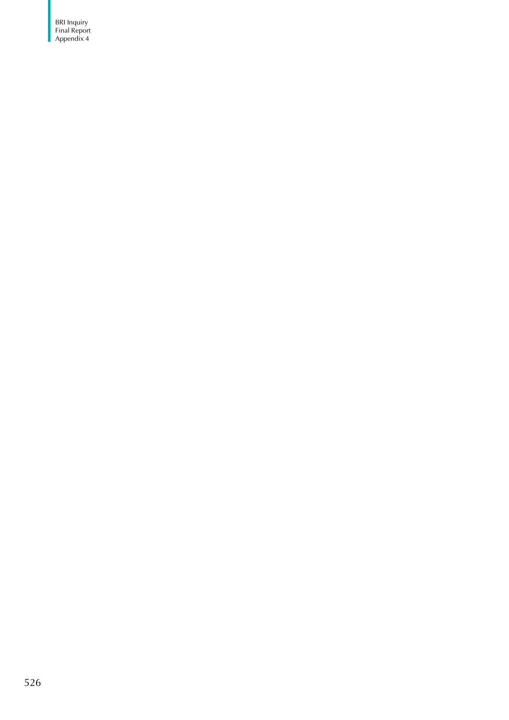BRI Inquiry Final Report Appendix 4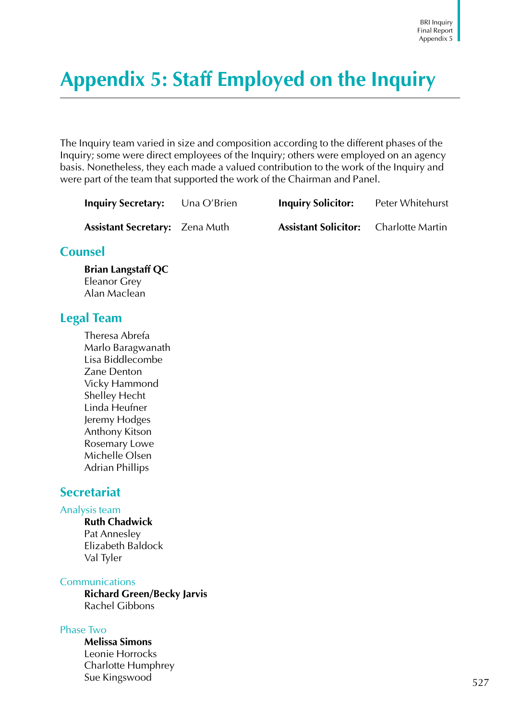# **Appendix 5: Staff Employed on the Inquiry**

The Inquiry team varied in size and composition according to the different phases of the Inquiry; some were direct employees of the Inquiry; others were employed on an agency basis. Nonetheless, they each made a valued contribution to the work of the Inquiry and were part of the team that supported the work of the Chairman and Panel.

| <b>Inquiry Secretary:</b>             | Una O'Brien | <b>Inquiry Solicitor:</b>                    | Peter Whitehurst |
|---------------------------------------|-------------|----------------------------------------------|------------------|
| <b>Assistant Secretary:</b> Zena Muth |             | <b>Assistant Solicitor:</b> Charlotte Martin |                  |

### **Counsel**

### **Brian Langstaff QC**

Eleanor Grey Alan Maclean

### **Legal Team**

Theresa Abrefa Marlo Baragwanath Lisa Biddlecombe Zane Denton Vicky Hammond Shelley Hecht Linda Heufner Jeremy Hodges Anthony Kitson Rosemary Lowe Michelle Olsen Adrian Phillips

## **Secretariat**

#### Analysis team

**Ruth Chadwick**  Pat Annesley Elizabeth Baldock Val Tyler

### **Communications**

**Richard Green/Becky Jarvis** Rachel Gibbons

### Phase Two

**Melissa Simons** Leonie Horrocks Charlotte Humphrey Sue Kingswood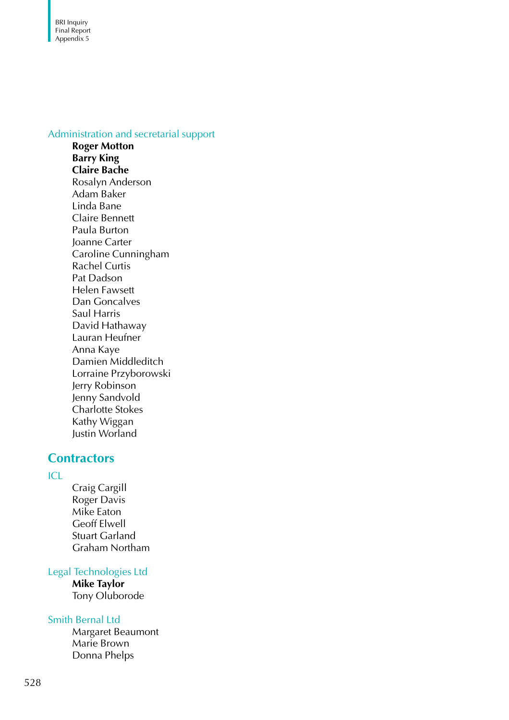#### Administration and secretarial support

**Roger Motton Barry King Claire Bache** Rosalyn Anderson Adam Baker Linda Bane Claire Bennett Paula Burton Joanne Carter Caroline Cunningham Rachel Curtis Pat Dadson Helen Fawsett Dan Goncalves Saul Harris David Hathaway Lauran Heufner Anna Kaye Damien Middleditch Lorraine Przyborowski Jerry Robinson Jenny Sandvold Charlotte Stokes Kathy Wiggan Justin Worland

### **Contractors**

#### ICL

Craig Cargill Roger Davis Mike Eaton Geoff Elwell Stuart Garland Graham Northam

#### Legal Technologies Ltd

**Mike Taylor** Tony Oluborode

#### Smith Bernal Ltd

Margaret Beaumont Marie Brown Donna Phelps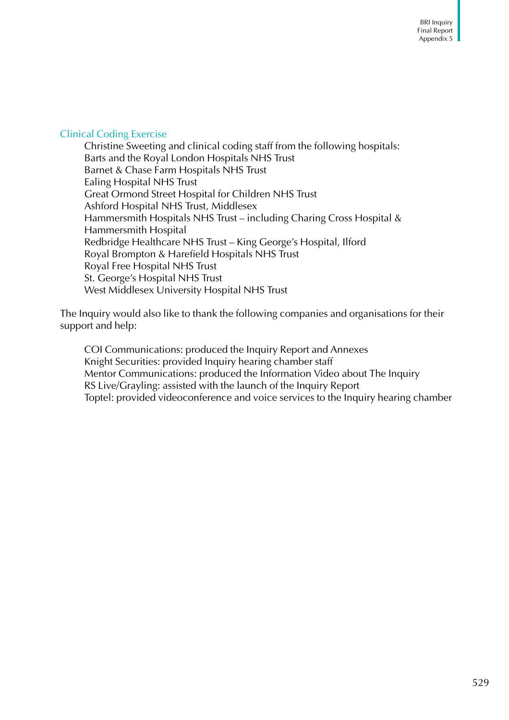### Clinical Coding Exercise

Christine Sweeting and clinical coding staff from the following hospitals: Barts and the Royal London Hospitals NHS Trust Barnet & Chase Farm Hospitals NHS Trust Ealing Hospital NHS Trust Great Ormond Street Hospital for Children NHS Trust Ashford Hospital NHS Trust, Middlesex Hammersmith Hospitals NHS Trust – including Charing Cross Hospital & Hammersmith Hospital Redbridge Healthcare NHS Trust – King George's Hospital, Ilford Royal Brompton & Harefield Hospitals NHS Trust Royal Free Hospital NHS Trust St. George's Hospital NHS Trust West Middlesex University Hospital NHS Trust

The Inquiry would also like to thank the following companies and organisations for their support and help:

COI Communications: produced the Inquiry Report and Annexes Knight Securities: provided Inquiry hearing chamber staff Mentor Communications: produced the Information Video about The Inquiry RS Live/Grayling: assisted with the launch of the Inquiry Report Toptel: provided videoconference and voice services to the Inquiry hearing chamber